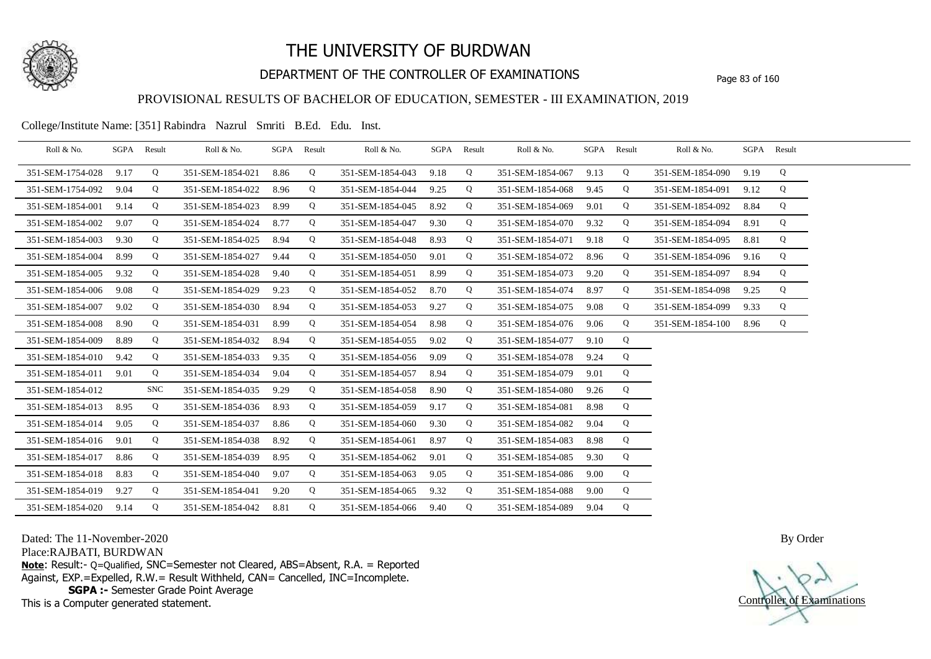

## DEPARTMENT OF THE CONTROLLER OF EXAMINATIONS Page 83 of 160

### PROVISIONAL RESULTS OF BACHELOR OF EDUCATION, SEMESTER - III EXAMINATION, 2019

College/Institute Name: [351] Rabindra Nazrul Smriti B.Ed. Edu. Inst.

| Roll & No.       |      | SGPA Result | Roll & No.       |      | SGPA Result | Roll & No.       |      | SGPA Result | Roll & No.       |      | SGPA Result | Roll & No.       |      | SGPA Result |  |
|------------------|------|-------------|------------------|------|-------------|------------------|------|-------------|------------------|------|-------------|------------------|------|-------------|--|
| 351-SEM-1754-028 | 9.17 | Q           | 351-SEM-1854-021 | 8.86 | Q           | 351-SEM-1854-043 | 9.18 | Q           | 351-SEM-1854-067 | 9.13 | Q           | 351-SEM-1854-090 | 9.19 | Q           |  |
| 351-SEM-1754-092 | 9.04 | Q           | 351-SEM-1854-022 | 8.96 | Q           | 351-SEM-1854-044 | 9.25 | Q           | 351-SEM-1854-068 | 9.45 | Q           | 351-SEM-1854-091 | 9.12 | Q           |  |
| 351-SEM-1854-001 | 9.14 | Q           | 351-SEM-1854-023 | 8.99 | Q           | 351-SEM-1854-045 | 8.92 | Q           | 351-SEM-1854-069 | 9.01 | Q           | 351-SEM-1854-092 | 8.84 | Q           |  |
| 351-SEM-1854-002 | 9.07 | Q           | 351-SEM-1854-024 | 8.77 | Q           | 351-SEM-1854-047 | 9.30 | Q           | 351-SEM-1854-070 | 9.32 | Q           | 351-SEM-1854-094 | 8.91 | Q           |  |
| 351-SEM-1854-003 | 9.30 | Q           | 351-SEM-1854-025 | 8.94 | Q           | 351-SEM-1854-048 | 8.93 | Q           | 351-SEM-1854-071 | 9.18 | Q           | 351-SEM-1854-095 | 8.81 | Q           |  |
| 351-SEM-1854-004 | 8.99 | Q           | 351-SEM-1854-027 | 9.44 | Q           | 351-SEM-1854-050 | 9.01 | Q           | 351-SEM-1854-072 | 8.96 | Q           | 351-SEM-1854-096 | 9.16 | Q           |  |
| 351-SEM-1854-005 | 9.32 | Q           | 351-SEM-1854-028 | 9.40 | Q           | 351-SEM-1854-051 | 8.99 | Q           | 351-SEM-1854-073 | 9.20 | Q           | 351-SEM-1854-097 | 8.94 | Q           |  |
| 351-SEM-1854-006 | 9.08 | Q           | 351-SEM-1854-029 | 9.23 | Q           | 351-SEM-1854-052 | 8.70 | Q           | 351-SEM-1854-074 | 8.97 | Q           | 351-SEM-1854-098 | 9.25 | Q           |  |
| 351-SEM-1854-007 | 9.02 | Q           | 351-SEM-1854-030 | 8.94 | Q           | 351-SEM-1854-053 | 9.27 | Q           | 351-SEM-1854-075 | 9.08 | Q           | 351-SEM-1854-099 | 9.33 | Q           |  |
| 351-SEM-1854-008 | 8.90 | Q           | 351-SEM-1854-031 | 8.99 | Q           | 351-SEM-1854-054 | 8.98 | Q           | 351-SEM-1854-076 | 9.06 | Q           | 351-SEM-1854-100 | 8.96 | Q           |  |
| 351-SEM-1854-009 | 8.89 | Q           | 351-SEM-1854-032 | 8.94 | Q           | 351-SEM-1854-055 | 9.02 | Q           | 351-SEM-1854-077 | 9.10 | Q           |                  |      |             |  |
| 351-SEM-1854-010 | 9.42 | Q           | 351-SEM-1854-033 | 9.35 | Q           | 351-SEM-1854-056 | 9.09 | Q           | 351-SEM-1854-078 | 9.24 | Q           |                  |      |             |  |
| 351-SEM-1854-011 | 9.01 | Q           | 351-SEM-1854-034 | 9.04 | Q           | 351-SEM-1854-057 | 8.94 | Q           | 351-SEM-1854-079 | 9.01 | Q           |                  |      |             |  |
| 351-SEM-1854-012 |      | <b>SNC</b>  | 351-SEM-1854-035 | 9.29 | Q           | 351-SEM-1854-058 | 8.90 | Q           | 351-SEM-1854-080 | 9.26 | Q           |                  |      |             |  |
| 351-SEM-1854-013 | 8.95 | Q           | 351-SEM-1854-036 | 8.93 | Q           | 351-SEM-1854-059 | 9.17 | Q           | 351-SEM-1854-081 | 8.98 | Q           |                  |      |             |  |
| 351-SEM-1854-014 | 9.05 | Q           | 351-SEM-1854-037 | 8.86 | Q           | 351-SEM-1854-060 | 9.30 | Q           | 351-SEM-1854-082 | 9.04 | Q           |                  |      |             |  |
| 351-SEM-1854-016 | 9.01 | Q           | 351-SEM-1854-038 | 8.92 | Q           | 351-SEM-1854-061 | 8.97 | Q           | 351-SEM-1854-083 | 8.98 | Q           |                  |      |             |  |
| 351-SEM-1854-017 | 8.86 | Q           | 351-SEM-1854-039 | 8.95 | Q           | 351-SEM-1854-062 | 9.01 | Q           | 351-SEM-1854-085 | 9.30 | Q           |                  |      |             |  |
| 351-SEM-1854-018 | 8.83 | Q           | 351-SEM-1854-040 | 9.07 | Q           | 351-SEM-1854-063 | 9.05 | Q           | 351-SEM-1854-086 | 9.00 | Q           |                  |      |             |  |
| 351-SEM-1854-019 | 9.27 | Q           | 351-SEM-1854-041 | 9.20 | Q           | 351-SEM-1854-065 | 9.32 | Q           | 351-SEM-1854-088 | 9.00 | Q           |                  |      |             |  |
| 351-SEM-1854-020 | 9.14 | Q           | 351-SEM-1854-042 | 8.81 | Q           | 351-SEM-1854-066 | 9.40 | Q           | 351-SEM-1854-089 | 9.04 | Q           |                  |      |             |  |

Dated: The 11-November-2020

Place:RAJBATI, BURDWAN

**Note**: Result:- Q=Qualified, SNC=Semester not Cleared, ABS=Absent, R.A. = Reported Against, EXP.=Expelled, R.W.= Result Withheld, CAN= Cancelled, INC=Incomplete. **SGPA :-** Semester Grade Point Average

This is a Computer generated statement.

Controller of Examinations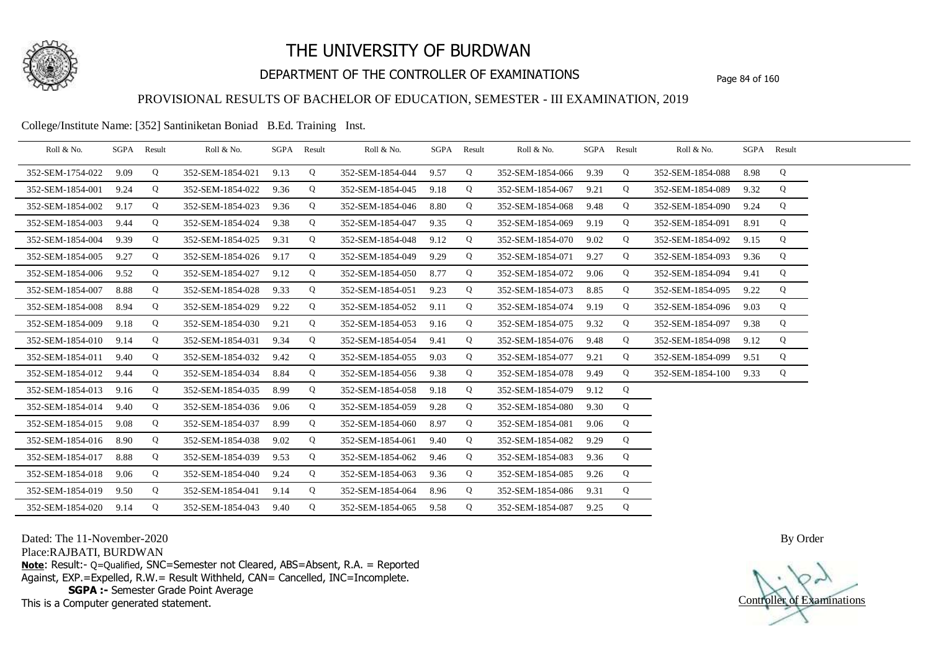

## DEPARTMENT OF THE CONTROLLER OF EXAMINATIONS Page 84 of 160

## PROVISIONAL RESULTS OF BACHELOR OF EDUCATION, SEMESTER - III EXAMINATION, 2019

College/Institute Name: [352] Santiniketan Boniad B.Ed. Training Inst.

| Roll & No.       | SGPA | Result | Roll & No.       |      | SGPA Result | Roll & No.       | SGPA Result |   | Roll & No.       | SGPA Result |   | Roll & No.       |      | SGPA Result |  |
|------------------|------|--------|------------------|------|-------------|------------------|-------------|---|------------------|-------------|---|------------------|------|-------------|--|
| 352-SEM-1754-022 | 9.09 | Q      | 352-SEM-1854-021 | 9.13 | Q           | 352-SEM-1854-044 | 9.57        | Q | 352-SEM-1854-066 | 9.39        | Q | 352-SEM-1854-088 | 8.98 | Q           |  |
| 352-SEM-1854-001 | 9.24 | Q      | 352-SEM-1854-022 | 9.36 | Q           | 352-SEM-1854-045 | 9.18        | Q | 352-SEM-1854-067 | 9.21        | Q | 352-SEM-1854-089 | 9.32 | Q           |  |
| 352-SEM-1854-002 | 9.17 | Q      | 352-SEM-1854-023 | 9.36 | Q           | 352-SEM-1854-046 | 8.80        | Q | 352-SEM-1854-068 | 9.48        | Q | 352-SEM-1854-090 | 9.24 | Q           |  |
| 352-SEM-1854-003 | 9.44 | Q      | 352-SEM-1854-024 | 9.38 | Q           | 352-SEM-1854-047 | 9.35        | Q | 352-SEM-1854-069 | 9.19        | Q | 352-SEM-1854-091 | 8.91 | Q           |  |
| 352-SEM-1854-004 | 9.39 | Q      | 352-SEM-1854-025 | 9.31 | Q           | 352-SEM-1854-048 | 9.12        | Q | 352-SEM-1854-070 | 9.02        | Q | 352-SEM-1854-092 | 9.15 | Q           |  |
| 352-SEM-1854-005 | 9.27 | Q      | 352-SEM-1854-026 | 9.17 | Q           | 352-SEM-1854-049 | 9.29        | Q | 352-SEM-1854-071 | 9.27        | Q | 352-SEM-1854-093 | 9.36 | Q           |  |
| 352-SEM-1854-006 | 9.52 | Q      | 352-SEM-1854-027 | 9.12 | Q           | 352-SEM-1854-050 | 8.77        | Q | 352-SEM-1854-072 | 9.06        | Q | 352-SEM-1854-094 | 9.41 | Q           |  |
| 352-SEM-1854-007 | 8.88 | Q      | 352-SEM-1854-028 | 9.33 | Q           | 352-SEM-1854-051 | 9.23        | Q | 352-SEM-1854-073 | 8.85        | Q | 352-SEM-1854-095 | 9.22 | Q           |  |
| 352-SEM-1854-008 | 8.94 | Q      | 352-SEM-1854-029 | 9.22 | Q           | 352-SEM-1854-052 | 9.11        | Q | 352-SEM-1854-074 | 9.19        | Q | 352-SEM-1854-096 | 9.03 | Q           |  |
| 352-SEM-1854-009 | 9.18 | Q      | 352-SEM-1854-030 | 9.21 | Q           | 352-SEM-1854-053 | 9.16        | Q | 352-SEM-1854-075 | 9.32        | Q | 352-SEM-1854-097 | 9.38 | Q           |  |
| 352-SEM-1854-010 | 9.14 | Q      | 352-SEM-1854-031 | 9.34 | Q           | 352-SEM-1854-054 | 9.41        | Q | 352-SEM-1854-076 | 9.48        | Q | 352-SEM-1854-098 | 9.12 | Q           |  |
| 352-SEM-1854-011 | 9.40 | Q      | 352-SEM-1854-032 | 9.42 | Q           | 352-SEM-1854-055 | 9.03        | Q | 352-SEM-1854-077 | 9.21        | Q | 352-SEM-1854-099 | 9.51 | Q           |  |
| 352-SEM-1854-012 | 9.44 | Q      | 352-SEM-1854-034 | 8.84 | Q           | 352-SEM-1854-056 | 9.38        | Q | 352-SEM-1854-078 | 9.49        | Q | 352-SEM-1854-100 | 9.33 | Q           |  |
| 352-SEM-1854-013 | 9.16 | Q      | 352-SEM-1854-035 | 8.99 | Q           | 352-SEM-1854-058 | 9.18        | Q | 352-SEM-1854-079 | 9.12        | Q |                  |      |             |  |
| 352-SEM-1854-014 | 9.40 | Q      | 352-SEM-1854-036 | 9.06 | Q           | 352-SEM-1854-059 | 9.28        | Q | 352-SEM-1854-080 | 9.30        | Q |                  |      |             |  |
| 352-SEM-1854-015 | 9.08 | Q      | 352-SEM-1854-037 | 8.99 | Q           | 352-SEM-1854-060 | 8.97        | Q | 352-SEM-1854-081 | 9.06        | Q |                  |      |             |  |
| 352-SEM-1854-016 | 8.90 | Q      | 352-SEM-1854-038 | 9.02 | Q           | 352-SEM-1854-061 | 9.40        | Q | 352-SEM-1854-082 | 9.29        | Q |                  |      |             |  |
| 352-SEM-1854-017 | 8.88 | Q      | 352-SEM-1854-039 | 9.53 | Q           | 352-SEM-1854-062 | 9.46        | Q | 352-SEM-1854-083 | 9.36        | Q |                  |      |             |  |
| 352-SEM-1854-018 | 9.06 | Q      | 352-SEM-1854-040 | 9.24 | Q           | 352-SEM-1854-063 | 9.36        | Q | 352-SEM-1854-085 | 9.26        | Q |                  |      |             |  |
| 352-SEM-1854-019 | 9.50 | Q      | 352-SEM-1854-041 | 9.14 | Q           | 352-SEM-1854-064 | 8.96        | Q | 352-SEM-1854-086 | 9.31        | Q |                  |      |             |  |
| 352-SEM-1854-020 | 9.14 | Q      | 352-SEM-1854-043 | 9.40 | Q           | 352-SEM-1854-065 | 9.58        | Q | 352-SEM-1854-087 | 9.25        | Q |                  |      |             |  |

Dated: The 11-November-2020

Place:RAJBATI, BURDWAN

**Note**: Result:- Q=Qualified, SNC=Semester not Cleared, ABS=Absent, R.A. = Reported Against, EXP.=Expelled, R.W.= Result Withheld, CAN= Cancelled, INC=Incomplete. **SGPA :-** Semester Grade Point Average

This is a Computer generated statement.

Controller of Examinations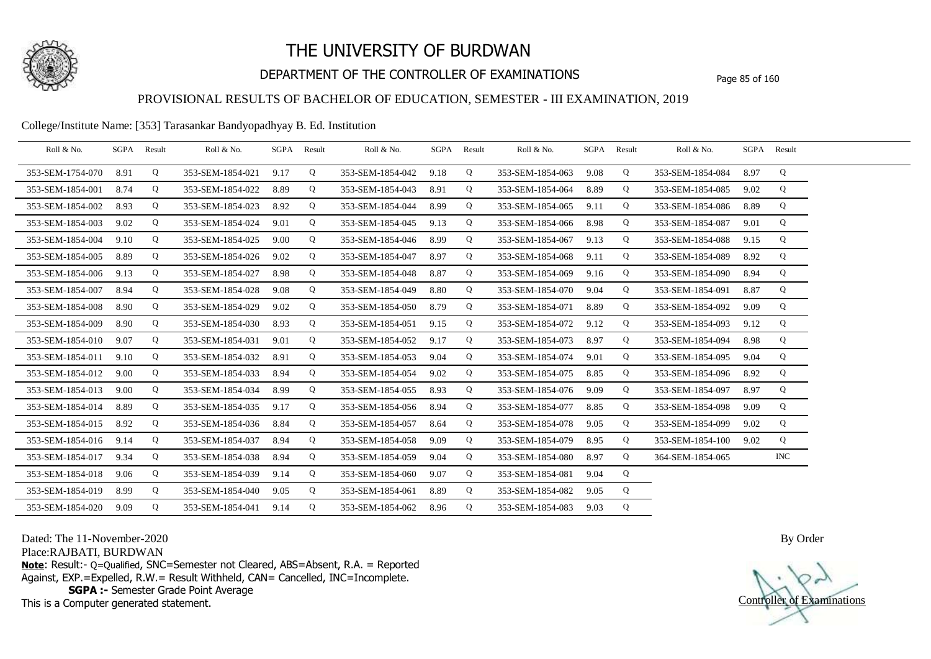

## DEPARTMENT OF THE CONTROLLER OF EXAMINATIONS Page 85 of 160

## PROVISIONAL RESULTS OF BACHELOR OF EDUCATION, SEMESTER - III EXAMINATION, 2019

#### College/Institute Name: [353] Tarasankar Bandyopadhyay B. Ed. Institution

| Roll & No.       | SGPA Result |   | Roll & No.       | SGPA | Result      | Roll & No.       |      | SGPA Result | Roll & No.       | SGPA | Result      | Roll & No.       | SGPA Result |            |  |
|------------------|-------------|---|------------------|------|-------------|------------------|------|-------------|------------------|------|-------------|------------------|-------------|------------|--|
| 353-SEM-1754-070 | 8.91        | Q | 353-SEM-1854-021 | 9.17 | Q           | 353-SEM-1854-042 | 9.18 | Q           | 353-SEM-1854-063 | 9.08 | Q           | 353-SEM-1854-084 | 8.97        | Q          |  |
| 353-SEM-1854-001 | 8.74        | Q | 353-SEM-1854-022 | 8.89 | Q           | 353-SEM-1854-043 | 8.91 | Q           | 353-SEM-1854-064 | 8.89 | Q           | 353-SEM-1854-085 | 9.02        | Q          |  |
| 353-SEM-1854-002 | 8.93        | Q | 353-SEM-1854-023 | 8.92 | Q           | 353-SEM-1854-044 | 8.99 | Q           | 353-SEM-1854-065 | 9.11 | Q           | 353-SEM-1854-086 | 8.89        | Q          |  |
| 353-SEM-1854-003 | 9.02        | Q | 353-SEM-1854-024 | 9.01 | Q           | 353-SEM-1854-045 | 9.13 | Q           | 353-SEM-1854-066 | 8.98 | Q           | 353-SEM-1854-087 | 9.01        | Q          |  |
| 353-SEM-1854-004 | 9.10        | Q | 353-SEM-1854-025 | 9.00 | Q           | 353-SEM-1854-046 | 8.99 | Q           | 353-SEM-1854-067 | 9.13 | Q           | 353-SEM-1854-088 | 9.15        | Q          |  |
| 353-SEM-1854-005 | 8.89        | Q | 353-SEM-1854-026 | 9.02 | Q           | 353-SEM-1854-047 | 8.97 | Q           | 353-SEM-1854-068 | 9.11 | Q           | 353-SEM-1854-089 | 8.92        | Q          |  |
| 353-SEM-1854-006 | 9.13        | Q | 353-SEM-1854-027 | 8.98 | Q           | 353-SEM-1854-048 | 8.87 | Q           | 353-SEM-1854-069 | 9.16 | Q           | 353-SEM-1854-090 | 8.94        | Q          |  |
| 353-SEM-1854-007 | 8.94        | Q | 353-SEM-1854-028 | 9.08 | Q           | 353-SEM-1854-049 | 8.80 | Q           | 353-SEM-1854-070 | 9.04 | Q           | 353-SEM-1854-091 | 8.87        | Q          |  |
| 353-SEM-1854-008 | 8.90        | Q | 353-SEM-1854-029 | 9.02 | Q           | 353-SEM-1854-050 | 8.79 | Q           | 353-SEM-1854-071 | 8.89 | Q           | 353-SEM-1854-092 | 9.09        | Q          |  |
| 353-SEM-1854-009 | 8.90        | Q | 353-SEM-1854-030 | 8.93 | Q           | 353-SEM-1854-051 | 9.15 | Q           | 353-SEM-1854-072 | 9.12 | Q           | 353-SEM-1854-093 | 9.12        | Q          |  |
| 353-SEM-1854-010 | 9.07        | Q | 353-SEM-1854-031 | 9.01 | Q           | 353-SEM-1854-052 | 9.17 | Q           | 353-SEM-1854-073 | 8.97 | Q           | 353-SEM-1854-094 | 8.98        | Q          |  |
| 353-SEM-1854-011 | 9.10        | Q | 353-SEM-1854-032 | 8.91 | $\mathbf Q$ | 353-SEM-1854-053 | 9.04 | Q           | 353-SEM-1854-074 | 9.01 | Q           | 353-SEM-1854-095 | 9.04        | Q          |  |
| 353-SEM-1854-012 | 9.00        | Q | 353-SEM-1854-033 | 8.94 | Q           | 353-SEM-1854-054 | 9.02 | Q           | 353-SEM-1854-075 | 8.85 | Q           | 353-SEM-1854-096 | 8.92        | Q          |  |
| 353-SEM-1854-013 | 9.00        | Q | 353-SEM-1854-034 | 8.99 | Q           | 353-SEM-1854-055 | 8.93 | Q           | 353-SEM-1854-076 | 9.09 | Q           | 353-SEM-1854-097 | 8.97        | Q          |  |
| 353-SEM-1854-014 | 8.89        | Q | 353-SEM-1854-035 | 9.17 | Q           | 353-SEM-1854-056 | 8.94 | Q           | 353-SEM-1854-077 | 8.85 | Q           | 353-SEM-1854-098 | 9.09        | Q          |  |
| 353-SEM-1854-015 | 8.92        | Q | 353-SEM-1854-036 | 8.84 | Q           | 353-SEM-1854-057 | 8.64 | Q           | 353-SEM-1854-078 | 9.05 | Q           | 353-SEM-1854-099 | 9.02        | Q          |  |
| 353-SEM-1854-016 | 9.14        | Q | 353-SEM-1854-037 | 8.94 | Q           | 353-SEM-1854-058 | 9.09 | Q           | 353-SEM-1854-079 | 8.95 | Q           | 353-SEM-1854-100 | 9.02        | Q          |  |
| 353-SEM-1854-017 | 9.34        | Q | 353-SEM-1854-038 | 8.94 | Q           | 353-SEM-1854-059 | 9.04 | Q           | 353-SEM-1854-080 | 8.97 | $\mathbf Q$ | 364-SEM-1854-065 |             | <b>INC</b> |  |
| 353-SEM-1854-018 | 9.06        | Q | 353-SEM-1854-039 | 9.14 | Q           | 353-SEM-1854-060 | 9.07 | Q           | 353-SEM-1854-081 | 9.04 | Q           |                  |             |            |  |
| 353-SEM-1854-019 | 8.99        | Q | 353-SEM-1854-040 | 9.05 | Q           | 353-SEM-1854-061 | 8.89 | Q           | 353-SEM-1854-082 | 9.05 | Q           |                  |             |            |  |
| 353-SEM-1854-020 | 9.09        | Q | 353-SEM-1854-041 | 9.14 | Q           | 353-SEM-1854-062 | 8.96 | Q           | 353-SEM-1854-083 | 9.03 | Q           |                  |             |            |  |

Dated: The 11-November-2020

Place:RAJBATI, BURDWAN

**Note**: Result:- Q=Qualified, SNC=Semester not Cleared, ABS=Absent, R.A. = Reported Against, EXP.=Expelled, R.W.= Result Withheld, CAN= Cancelled, INC=Incomplete. **SGPA :-** Semester Grade Point Average

This is a Computer generated statement.

Controller of Examinations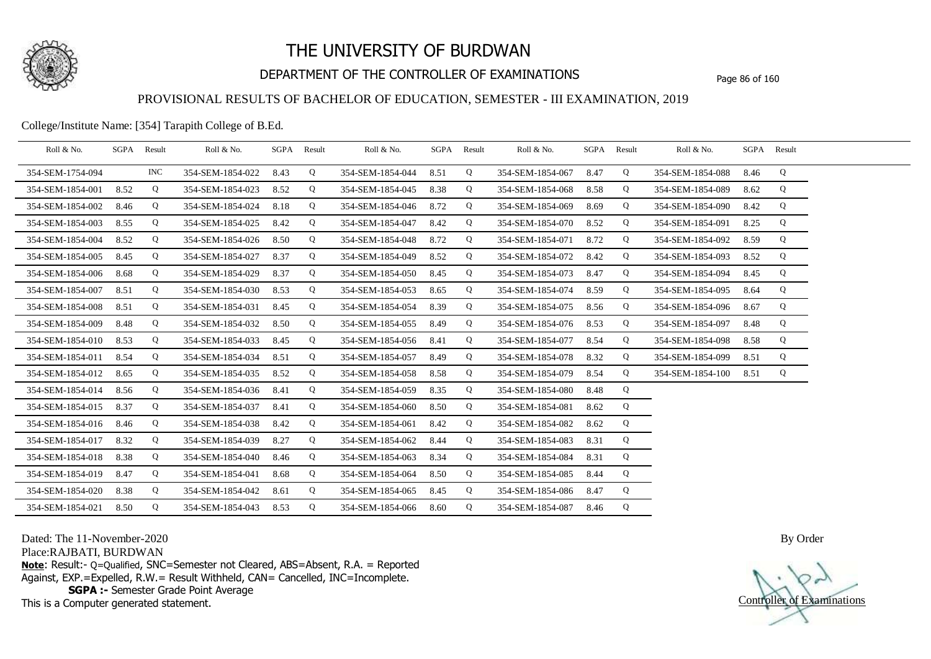

## DEPARTMENT OF THE CONTROLLER OF EXAMINATIONS Page 86 of 160

### PROVISIONAL RESULTS OF BACHELOR OF EDUCATION, SEMESTER - III EXAMINATION, 2019

College/Institute Name: [354] Tarapith College of B.Ed.

| Roll & No.       |      | SGPA Result | Roll & No.       |      | SGPA Result | Roll & No.       | SGPA Result |   | Roll & No.       | SGPA Result |   | Roll & No.       |      | SGPA Result |  |
|------------------|------|-------------|------------------|------|-------------|------------------|-------------|---|------------------|-------------|---|------------------|------|-------------|--|
| 354-SEM-1754-094 |      | <b>INC</b>  | 354-SEM-1854-022 | 8.43 | Q           | 354-SEM-1854-044 | 8.51        | Q | 354-SEM-1854-067 | 8.47        | Q | 354-SEM-1854-088 | 8.46 | Q           |  |
| 354-SEM-1854-001 | 8.52 | Q           | 354-SEM-1854-023 | 8.52 | Q           | 354-SEM-1854-045 | 8.38        | Q | 354-SEM-1854-068 | 8.58        | Q | 354-SEM-1854-089 | 8.62 | Q           |  |
| 354-SEM-1854-002 | 8.46 | Q           | 354-SEM-1854-024 | 8.18 | Q           | 354-SEM-1854-046 | 8.72        | Q | 354-SEM-1854-069 | 8.69        | Q | 354-SEM-1854-090 | 8.42 | Q           |  |
| 354-SEM-1854-003 | 8.55 | Q           | 354-SEM-1854-025 | 8.42 | Q           | 354-SEM-1854-047 | 8.42        | Q | 354-SEM-1854-070 | 8.52        | Q | 354-SEM-1854-091 | 8.25 | Q           |  |
| 354-SEM-1854-004 | 8.52 | Q           | 354-SEM-1854-026 | 8.50 | Q           | 354-SEM-1854-048 | 8.72        | Q | 354-SEM-1854-071 | 8.72        | Q | 354-SEM-1854-092 | 8.59 | Q           |  |
| 354-SEM-1854-005 | 8.45 | Q           | 354-SEM-1854-027 | 8.37 | Q           | 354-SEM-1854-049 | 8.52        | Q | 354-SEM-1854-072 | 8.42        | Q | 354-SEM-1854-093 | 8.52 | Q           |  |
| 354-SEM-1854-006 | 8.68 | Q           | 354-SEM-1854-029 | 8.37 | Q           | 354-SEM-1854-050 | 8.45        | Q | 354-SEM-1854-073 | 8.47        | Q | 354-SEM-1854-094 | 8.45 | Q           |  |
| 354-SEM-1854-007 | 8.51 | Q           | 354-SEM-1854-030 | 8.53 | Q           | 354-SEM-1854-053 | 8.65        | Q | 354-SEM-1854-074 | 8.59        | Q | 354-SEM-1854-095 | 8.64 | Q           |  |
| 354-SEM-1854-008 | 8.51 | Q           | 354-SEM-1854-031 | 8.45 | Q           | 354-SEM-1854-054 | 8.39        | Q | 354-SEM-1854-075 | 8.56        | Q | 354-SEM-1854-096 | 8.67 | Q           |  |
| 354-SEM-1854-009 | 8.48 | Q           | 354-SEM-1854-032 | 8.50 | Q           | 354-SEM-1854-055 | 8.49        | Q | 354-SEM-1854-076 | 8.53        | Q | 354-SEM-1854-097 | 8.48 | Q           |  |
| 354-SEM-1854-010 | 8.53 | Q           | 354-SEM-1854-033 | 8.45 | Q           | 354-SEM-1854-056 | 8.41        | Q | 354-SEM-1854-077 | 8.54        | Q | 354-SEM-1854-098 | 8.58 | Q           |  |
| 354-SEM-1854-011 | 8.54 | Q           | 354-SEM-1854-034 | 8.51 | Q           | 354-SEM-1854-057 | 8.49        | Q | 354-SEM-1854-078 | 8.32        | Q | 354-SEM-1854-099 | 8.51 | Q           |  |
| 354-SEM-1854-012 | 8.65 | Q           | 354-SEM-1854-035 | 8.52 | Q           | 354-SEM-1854-058 | 8.58        | Q | 354-SEM-1854-079 | 8.54        | Q | 354-SEM-1854-100 | 8.51 | Q           |  |
| 354-SEM-1854-014 | 8.56 | Q           | 354-SEM-1854-036 | 8.41 | Q           | 354-SEM-1854-059 | 8.35        | Q | 354-SEM-1854-080 | 8.48        | Q |                  |      |             |  |
| 354-SEM-1854-015 | 8.37 | Q           | 354-SEM-1854-037 | 8.41 | Q           | 354-SEM-1854-060 | 8.50        | Q | 354-SEM-1854-081 | 8.62        | Q |                  |      |             |  |
| 354-SEM-1854-016 | 8.46 | Q           | 354-SEM-1854-038 | 8.42 | Q           | 354-SEM-1854-061 | 8.42        | Q | 354-SEM-1854-082 | 8.62        | Q |                  |      |             |  |
| 354-SEM-1854-017 | 8.32 | Q           | 354-SEM-1854-039 | 8.27 | Q           | 354-SEM-1854-062 | 8.44        | Q | 354-SEM-1854-083 | 8.31        | Q |                  |      |             |  |
| 354-SEM-1854-018 | 8.38 | Q           | 354-SEM-1854-040 | 8.46 | Q           | 354-SEM-1854-063 | 8.34        | Q | 354-SEM-1854-084 | 8.31        | Q |                  |      |             |  |
| 354-SEM-1854-019 | 8.47 | Q           | 354-SEM-1854-041 | 8.68 | Q           | 354-SEM-1854-064 | 8.50        | Q | 354-SEM-1854-085 | 8.44        | Q |                  |      |             |  |
| 354-SEM-1854-020 | 8.38 | Q           | 354-SEM-1854-042 | 8.61 | Q           | 354-SEM-1854-065 | 8.45        | Q | 354-SEM-1854-086 | 8.47        | Q |                  |      |             |  |
| 354-SEM-1854-021 | 8.50 | Q           | 354-SEM-1854-043 | 8.53 | Q           | 354-SEM-1854-066 | 8.60        | Q | 354-SEM-1854-087 | 8.46        | Q |                  |      |             |  |

Dated: The 11-November-2020

Place:RAJBATI, BURDWAN

**Note**: Result:- Q=Qualified, SNC=Semester not Cleared, ABS=Absent, R.A. = Reported Against, EXP.=Expelled, R.W.= Result Withheld, CAN= Cancelled, INC=Incomplete. **SGPA :-** Semester Grade Point Average

This is a Computer generated statement.

Controller of Examinations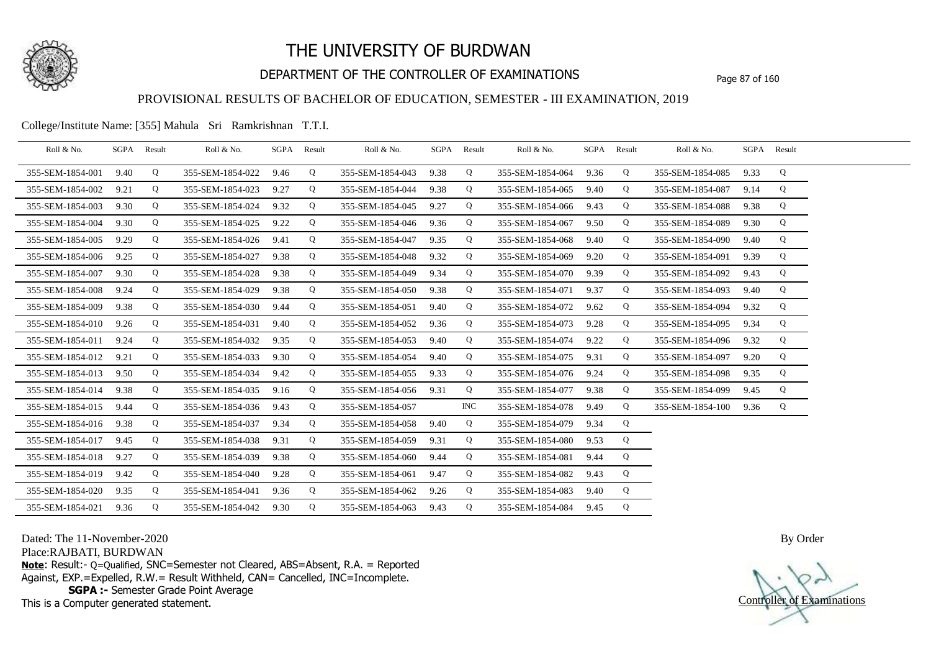

## DEPARTMENT OF THE CONTROLLER OF EXAMINATIONS Page 87 of 160

### PROVISIONAL RESULTS OF BACHELOR OF EDUCATION, SEMESTER - III EXAMINATION, 2019

College/Institute Name: [355] Mahula Sri Ramkrishnan T.T.I.

| Roll & No.       |      | SGPA Result | Roll & No.       |      | SGPA Result | Roll & No.       |      | SGPA Result | Roll & No.            | SGPA Result |   | Roll & No.       |      | SGPA Result |  |
|------------------|------|-------------|------------------|------|-------------|------------------|------|-------------|-----------------------|-------------|---|------------------|------|-------------|--|
| 355-SEM-1854-001 | 9.40 | Q           | 355-SEM-1854-022 | 9.46 | Q           | 355-SEM-1854-043 | 9.38 | Q           | 355-SEM-1854-064      | 9.36        | Q | 355-SEM-1854-085 | 9.33 | Q           |  |
| 355-SEM-1854-002 | 9.21 | Q           | 355-SEM-1854-023 | 9.27 | Q           | 355-SEM-1854-044 | 9.38 | Q           | 355-SEM-1854-065      | 9.40        | Q | 355-SEM-1854-087 | 9.14 | Q           |  |
| 355-SEM-1854-003 | 9.30 | Q           | 355-SEM-1854-024 | 9.32 | Q           | 355-SEM-1854-045 | 9.27 | Q           | 355-SEM-1854-066      | 9.43        | Q | 355-SEM-1854-088 | 9.38 | Q           |  |
| 355-SEM-1854-004 | 9.30 | Q           | 355-SEM-1854-025 | 9.22 | Q           | 355-SEM-1854-046 | 9.36 | Q           | 355-SEM-1854-067      | 9.50        | Q | 355-SEM-1854-089 | 9.30 | Q           |  |
| 355-SEM-1854-005 | 9.29 | Q           | 355-SEM-1854-026 | 9.41 | Q           | 355-SEM-1854-047 | 9.35 | Q           | 355-SEM-1854-068      | 9.40        | Q | 355-SEM-1854-090 | 9.40 | Q           |  |
| 355-SEM-1854-006 | 9.25 | Q           | 355-SEM-1854-027 | 9.38 | Q           | 355-SEM-1854-048 | 9.32 | Q           | 355-SEM-1854-069      | 9.20        | Q | 355-SEM-1854-091 | 9.39 | Q           |  |
| 355-SEM-1854-007 | 9.30 | Q           | 355-SEM-1854-028 | 9.38 | Q           | 355-SEM-1854-049 | 9.34 | Q           | 355-SEM-1854-070      | 9.39        | Q | 355-SEM-1854-092 | 9.43 | Q           |  |
| 355-SEM-1854-008 | 9.24 | Q           | 355-SEM-1854-029 | 9.38 | Q           | 355-SEM-1854-050 | 9.38 | Q           | 355-SEM-1854-071      | 9.37        | Q | 355-SEM-1854-093 | 9.40 | Q           |  |
| 355-SEM-1854-009 | 9.38 | Q           | 355-SEM-1854-030 | 9.44 | Q           | 355-SEM-1854-051 | 9.40 | Q           | 355-SEM-1854-072      | 9.62        | Q | 355-SEM-1854-094 | 9.32 | Q           |  |
| 355-SEM-1854-010 | 9.26 | Q           | 355-SEM-1854-031 | 9.40 | Q           | 355-SEM-1854-052 | 9.36 | Q           | 355-SEM-1854-073      | 9.28        | Q | 355-SEM-1854-095 | 9.34 | Q           |  |
| 355-SEM-1854-011 | 9.24 | Q           | 355-SEM-1854-032 | 9.35 | Q           | 355-SEM-1854-053 | 9.40 | Q           | 355-SEM-1854-074      | 9.22        | Q | 355-SEM-1854-096 | 9.32 | Q           |  |
| 355-SEM-1854-012 | 9.21 | Q           | 355-SEM-1854-033 | 9.30 | Q           | 355-SEM-1854-054 | 9.40 | Q           | 355-SEM-1854-075      | 9.31        | Q | 355-SEM-1854-097 | 9.20 | Q           |  |
| 355-SEM-1854-013 | 9.50 | Q           | 355-SEM-1854-034 | 9.42 | Q           | 355-SEM-1854-055 | 9.33 | Q           | 355-SEM-1854-076 9.24 |             | Q | 355-SEM-1854-098 | 9.35 | Q           |  |
| 355-SEM-1854-014 | 9.38 | Q           | 355-SEM-1854-035 | 9.16 | Q           | 355-SEM-1854-056 | 9.31 | Q           | 355-SEM-1854-077      | 9.38        | Q | 355-SEM-1854-099 | 9.45 | Q           |  |
| 355-SEM-1854-015 | 9.44 | Q           | 355-SEM-1854-036 | 9.43 | Q           | 355-SEM-1854-057 |      | <b>INC</b>  | 355-SEM-1854-078      | 9.49        | Q | 355-SEM-1854-100 | 9.36 | Q           |  |
| 355-SEM-1854-016 | 9.38 | Q           | 355-SEM-1854-037 | 9.34 | Q           | 355-SEM-1854-058 | 9.40 | Q           | 355-SEM-1854-079      | 9.34        | Q |                  |      |             |  |
| 355-SEM-1854-017 | 9.45 | Q           | 355-SEM-1854-038 | 9.31 | Q           | 355-SEM-1854-059 | 9.31 | Q           | 355-SEM-1854-080      | 9.53        | Q |                  |      |             |  |
| 355-SEM-1854-018 | 9.27 | Q           | 355-SEM-1854-039 | 9.38 | Q           | 355-SEM-1854-060 | 9.44 | Q           | 355-SEM-1854-081      | 9.44        | Q |                  |      |             |  |
| 355-SEM-1854-019 | 9.42 | Q           | 355-SEM-1854-040 | 9.28 | Q           | 355-SEM-1854-061 | 9.47 | Q           | 355-SEM-1854-082      | 9.43        | Q |                  |      |             |  |
| 355-SEM-1854-020 | 9.35 | Q           | 355-SEM-1854-041 | 9.36 | Q           | 355-SEM-1854-062 | 9.26 | Q           | 355-SEM-1854-083      | 9.40        | Q |                  |      |             |  |
| 355-SEM-1854-021 | 9.36 | Q           | 355-SEM-1854-042 | 9.30 | Q           | 355-SEM-1854-063 | 9.43 | Q           | 355-SEM-1854-084 9.45 |             | Q |                  |      |             |  |

Dated: The 11-November-2020

Place:RAJBATI, BURDWAN

**Note**: Result:- Q=Qualified, SNC=Semester not Cleared, ABS=Absent, R.A. = Reported Against, EXP.=Expelled, R.W.= Result Withheld, CAN= Cancelled, INC=Incomplete. **SGPA :-** Semester Grade Point Average

This is a Computer generated statement.

Controller of Examinations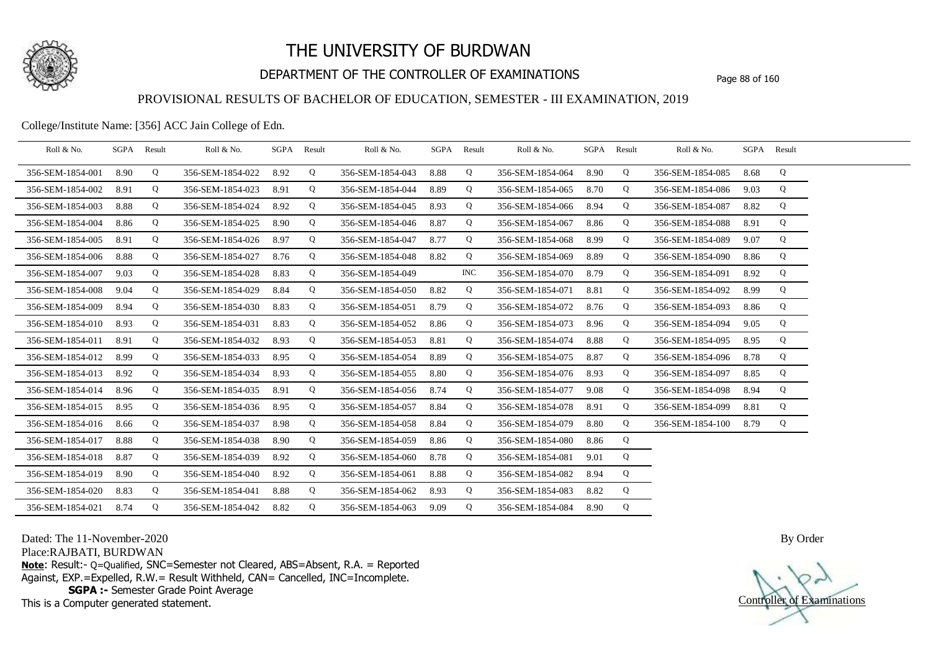

## DEPARTMENT OF THE CONTROLLER OF EXAMINATIONS Page 88 of 160

### PROVISIONAL RESULTS OF BACHELOR OF EDUCATION, SEMESTER - III EXAMINATION, 2019

College/Institute Name: [356] ACC Jain College of Edn.

| Roll & No.       | SGPA Result |   | Roll & No.       |      | SGPA Result | Roll & No.       |      | SGPA Result | Roll & No.       |      | SGPA Result | Roll & No.       | SGPA Result |   |  |
|------------------|-------------|---|------------------|------|-------------|------------------|------|-------------|------------------|------|-------------|------------------|-------------|---|--|
| 356-SEM-1854-001 | 8.90        | Q | 356-SEM-1854-022 | 8.92 | Q           | 356-SEM-1854-043 | 8.88 | Q           | 356-SEM-1854-064 | 8.90 | Q           | 356-SEM-1854-085 | 8.68        | Q |  |
| 356-SEM-1854-002 | 8.91        | Q | 356-SEM-1854-023 | 8.91 | Q           | 356-SEM-1854-044 | 8.89 | Q           | 356-SEM-1854-065 | 8.70 | Q           | 356-SEM-1854-086 | 9.03        | Q |  |
| 356-SEM-1854-003 | 8.88        | Q | 356-SEM-1854-024 | 8.92 | Q           | 356-SEM-1854-045 | 8.93 | Q           | 356-SEM-1854-066 | 8.94 | Q           | 356-SEM-1854-087 | 8.82        | Q |  |
| 356-SEM-1854-004 | 8.86        | Q | 356-SEM-1854-025 | 8.90 | Q           | 356-SEM-1854-046 | 8.87 | Q           | 356-SEM-1854-067 | 8.86 | Q           | 356-SEM-1854-088 | 8.91        | Q |  |
| 356-SEM-1854-005 | 8.91        | Q | 356-SEM-1854-026 | 8.97 | Q           | 356-SEM-1854-047 | 8.77 | Q           | 356-SEM-1854-068 | 8.99 | Q           | 356-SEM-1854-089 | 9.07        | Q |  |
| 356-SEM-1854-006 | 8.88        | Q | 356-SEM-1854-027 | 8.76 | Q           | 356-SEM-1854-048 | 8.82 | Q           | 356-SEM-1854-069 | 8.89 | Q           | 356-SEM-1854-090 | 8.86        | Q |  |
| 356-SEM-1854-007 | 9.03        | Q | 356-SEM-1854-028 | 8.83 | Q           | 356-SEM-1854-049 |      | INC.        | 356-SEM-1854-070 | 8.79 | Q           | 356-SEM-1854-091 | 8.92        | Q |  |
| 356-SEM-1854-008 | 9.04        | Q | 356-SEM-1854-029 | 8.84 | Q           | 356-SEM-1854-050 | 8.82 | Q           | 356-SEM-1854-071 | 8.81 | Q           | 356-SEM-1854-092 | 8.99        | Q |  |
| 356-SEM-1854-009 | 8.94        | Q | 356-SEM-1854-030 | 8.83 | Q           | 356-SEM-1854-051 | 8.79 | Q           | 356-SEM-1854-072 | 8.76 | Q           | 356-SEM-1854-093 | 8.86        | Q |  |
| 356-SEM-1854-010 | 8.93        | Q | 356-SEM-1854-031 | 8.83 | Q           | 356-SEM-1854-052 | 8.86 | Q           | 356-SEM-1854-073 | 8.96 | Q           | 356-SEM-1854-094 | 9.05        | Q |  |
| 356-SEM-1854-011 | 8.91        | Q | 356-SEM-1854-032 | 8.93 | Q           | 356-SEM-1854-053 | 8.81 | Q           | 356-SEM-1854-074 | 8.88 | Q           | 356-SEM-1854-095 | 8.95        | Q |  |
| 356-SEM-1854-012 | 8.99        | Q | 356-SEM-1854-033 | 8.95 | Q           | 356-SEM-1854-054 | 8.89 | Q           | 356-SEM-1854-075 | 8.87 | Q           | 356-SEM-1854-096 | 8.78        | Q |  |
| 356-SEM-1854-013 | 8.92        | Q | 356-SEM-1854-034 | 8.93 | Q           | 356-SEM-1854-055 | 8.80 | Q           | 356-SEM-1854-076 | 8.93 | Q           | 356-SEM-1854-097 | 8.85        | Q |  |
| 356-SEM-1854-014 | 8.96        | Q | 356-SEM-1854-035 | 8.91 | Q           | 356-SEM-1854-056 | 8.74 | Q           | 356-SEM-1854-077 | 9.08 | Q           | 356-SEM-1854-098 | 8.94        | Q |  |
| 356-SEM-1854-015 | 8.95        | Q | 356-SEM-1854-036 | 8.95 | Q           | 356-SEM-1854-057 | 8.84 | Q           | 356-SEM-1854-078 | 8.91 | Q           | 356-SEM-1854-099 | 8.81        | Q |  |
| 356-SEM-1854-016 | 8.66        | Q | 356-SEM-1854-037 | 8.98 | Q           | 356-SEM-1854-058 | 8.84 | Q           | 356-SEM-1854-079 | 8.80 | Q           | 356-SEM-1854-100 | 8.79        | Q |  |
| 356-SEM-1854-017 | 8.88        | Q | 356-SEM-1854-038 | 8.90 | Q           | 356-SEM-1854-059 | 8.86 | Q           | 356-SEM-1854-080 | 8.86 | Q           |                  |             |   |  |
| 356-SEM-1854-018 | 8.87        | Q | 356-SEM-1854-039 | 8.92 | Q           | 356-SEM-1854-060 | 8.78 | Q           | 356-SEM-1854-081 | 9.01 | Q           |                  |             |   |  |
| 356-SEM-1854-019 | 8.90        | Q | 356-SEM-1854-040 | 8.92 | Q           | 356-SEM-1854-061 | 8.88 | Q           | 356-SEM-1854-082 | 8.94 | Q           |                  |             |   |  |
| 356-SEM-1854-020 | 8.83        | Q | 356-SEM-1854-041 | 8.88 | Q           | 356-SEM-1854-062 | 8.93 | Q           | 356-SEM-1854-083 | 8.82 | Q           |                  |             |   |  |
| 356-SEM-1854-021 | 8.74        | Q | 356-SEM-1854-042 | 8.82 | Q           | 356-SEM-1854-063 | 9.09 | Q           | 356-SEM-1854-084 | 8.90 | Q           |                  |             |   |  |

Dated: The 11-November-2020

Place:RAJBATI, BURDWAN

**Note**: Result:- Q=Qualified, SNC=Semester not Cleared, ABS=Absent, R.A. = Reported Against, EXP.=Expelled, R.W.= Result Withheld, CAN= Cancelled, INC=Incomplete. **SGPA :-** Semester Grade Point Average

This is a Computer generated statement.

Controller of Examinations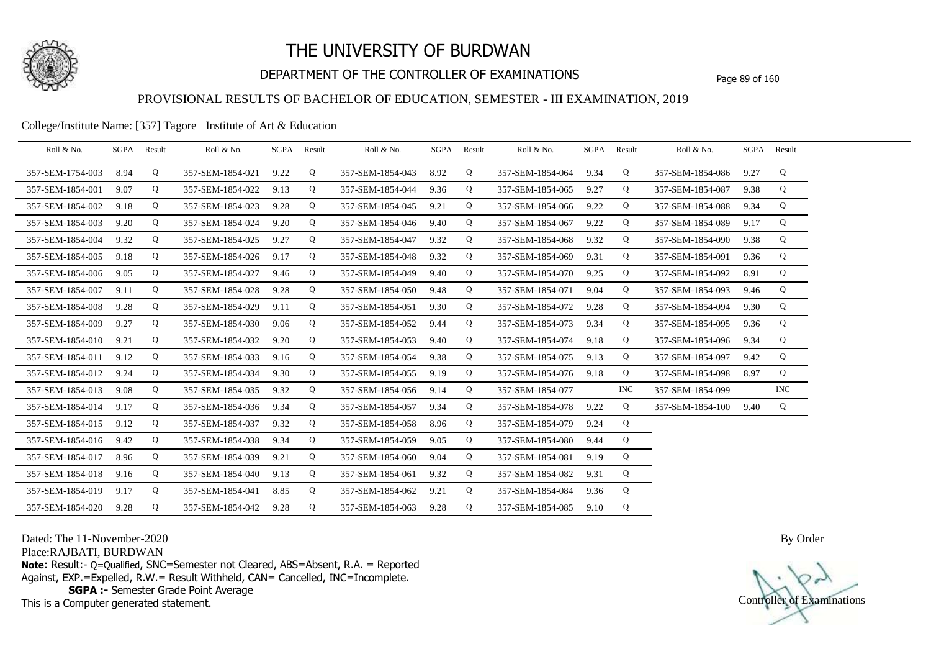

## DEPARTMENT OF THE CONTROLLER OF EXAMINATIONS Page 89 of 160

### PROVISIONAL RESULTS OF BACHELOR OF EDUCATION, SEMESTER - III EXAMINATION, 2019

### College/Institute Name: [357] Tagore Institute of Art & Education

| Roll & No.       | SGPA | Result | Roll & No.       |      | SGPA Result | Roll & No.       |      | SGPA Result | Roll & No.       | SGPA Result |            | Roll & No.       |      | SGPA Result |  |
|------------------|------|--------|------------------|------|-------------|------------------|------|-------------|------------------|-------------|------------|------------------|------|-------------|--|
| 357-SEM-1754-003 | 8.94 | Q      | 357-SEM-1854-021 | 9.22 | Q           | 357-SEM-1854-043 | 8.92 | Q           | 357-SEM-1854-064 | 9.34        | Q          | 357-SEM-1854-086 | 9.27 | Q           |  |
| 357-SEM-1854-001 | 9.07 | Q      | 357-SEM-1854-022 | 9.13 | Q           | 357-SEM-1854-044 | 9.36 | Q           | 357-SEM-1854-065 | 9.27        | Q          | 357-SEM-1854-087 | 9.38 | Q           |  |
| 357-SEM-1854-002 | 9.18 | Q      | 357-SEM-1854-023 | 9.28 | Q           | 357-SEM-1854-045 | 9.21 | Q           | 357-SEM-1854-066 | 9.22        | Q          | 357-SEM-1854-088 | 9.34 | Q           |  |
| 357-SEM-1854-003 | 9.20 | Q      | 357-SEM-1854-024 | 9.20 | Q           | 357-SEM-1854-046 | 9.40 | Q           | 357-SEM-1854-067 | 9.22        | Q          | 357-SEM-1854-089 | 9.17 | Q           |  |
| 357-SEM-1854-004 | 9.32 | Q      | 357-SEM-1854-025 | 9.27 | Q           | 357-SEM-1854-047 | 9.32 | Q           | 357-SEM-1854-068 | 9.32        | Q          | 357-SEM-1854-090 | 9.38 | Q           |  |
| 357-SEM-1854-005 | 9.18 | Q      | 357-SEM-1854-026 | 9.17 | Q           | 357-SEM-1854-048 | 9.32 | Q           | 357-SEM-1854-069 | 9.31        | Q          | 357-SEM-1854-091 | 9.36 | Q           |  |
| 357-SEM-1854-006 | 9.05 | Q      | 357-SEM-1854-027 | 9.46 | Q           | 357-SEM-1854-049 | 9.40 | Q           | 357-SEM-1854-070 | 9.25        | Q          | 357-SEM-1854-092 | 8.91 | Q           |  |
| 357-SEM-1854-007 | 9.11 | Q      | 357-SEM-1854-028 | 9.28 | Q           | 357-SEM-1854-050 | 9.48 | Q           | 357-SEM-1854-071 | 9.04        | Q          | 357-SEM-1854-093 | 9.46 | Q           |  |
| 357-SEM-1854-008 | 9.28 | Q      | 357-SEM-1854-029 | 9.11 | Q           | 357-SEM-1854-051 | 9.30 | Q           | 357-SEM-1854-072 | 9.28        | Q          | 357-SEM-1854-094 | 9.30 | Q           |  |
| 357-SEM-1854-009 | 9.27 | Q      | 357-SEM-1854-030 | 9.06 | Q           | 357-SEM-1854-052 | 9.44 | Q           | 357-SEM-1854-073 | 9.34        | Q          | 357-SEM-1854-095 | 9.36 | Q           |  |
| 357-SEM-1854-010 | 9.21 | Q      | 357-SEM-1854-032 | 9.20 | Q           | 357-SEM-1854-053 | 9.40 | Q           | 357-SEM-1854-074 | 9.18        | Q          | 357-SEM-1854-096 | 9.34 | Q           |  |
| 357-SEM-1854-011 | 9.12 | Q      | 357-SEM-1854-033 | 9.16 | Q           | 357-SEM-1854-054 | 9.38 | Q           | 357-SEM-1854-075 | 9.13        | Q          | 357-SEM-1854-097 | 9.42 | Q           |  |
| 357-SEM-1854-012 | 9.24 | Q      | 357-SEM-1854-034 | 9.30 | Q           | 357-SEM-1854-055 | 9.19 | Q           | 357-SEM-1854-076 | 9.18        | Q          | 357-SEM-1854-098 | 8.97 | Q           |  |
| 357-SEM-1854-013 | 9.08 | Q      | 357-SEM-1854-035 | 9.32 | Q           | 357-SEM-1854-056 | 9.14 | Q           | 357-SEM-1854-077 |             | <b>INC</b> | 357-SEM-1854-099 |      | <b>INC</b>  |  |
| 357-SEM-1854-014 | 9.17 | Q      | 357-SEM-1854-036 | 9.34 | Q           | 357-SEM-1854-057 | 9.34 | Q           | 357-SEM-1854-078 | 9.22        | Q          | 357-SEM-1854-100 | 9.40 | Q           |  |
| 357-SEM-1854-015 | 9.12 | Q      | 357-SEM-1854-037 | 9.32 | Q           | 357-SEM-1854-058 | 8.96 | Q           | 357-SEM-1854-079 | 9.24        | Q          |                  |      |             |  |
| 357-SEM-1854-016 | 9.42 | Q      | 357-SEM-1854-038 | 9.34 | Q           | 357-SEM-1854-059 | 9.05 | Q           | 357-SEM-1854-080 | 9.44        | Q          |                  |      |             |  |
| 357-SEM-1854-017 | 8.96 | Q      | 357-SEM-1854-039 | 9.21 | Q           | 357-SEM-1854-060 | 9.04 | Q           | 357-SEM-1854-081 | 9.19        | Q          |                  |      |             |  |
| 357-SEM-1854-018 | 9.16 | Q      | 357-SEM-1854-040 | 9.13 | Q           | 357-SEM-1854-061 | 9.32 | Q           | 357-SEM-1854-082 | 9.31        | Q          |                  |      |             |  |
| 357-SEM-1854-019 | 9.17 | Q      | 357-SEM-1854-041 | 8.85 | Q           | 357-SEM-1854-062 | 9.21 | Q           | 357-SEM-1854-084 | 9.36        | Q          |                  |      |             |  |
| 357-SEM-1854-020 | 9.28 | Q      | 357-SEM-1854-042 | 9.28 | Q           | 357-SEM-1854-063 | 9.28 | Q           | 357-SEM-1854-085 | 9.10        | Q          |                  |      |             |  |

Dated: The 11-November-2020

Place:RAJBATI, BURDWAN

**Note**: Result:- Q=Qualified, SNC=Semester not Cleared, ABS=Absent, R.A. = Reported Against, EXP.=Expelled, R.W.= Result Withheld, CAN= Cancelled, INC=Incomplete. **SGPA :-** Semester Grade Point Average

This is a Computer generated statement.

Controller of Examinations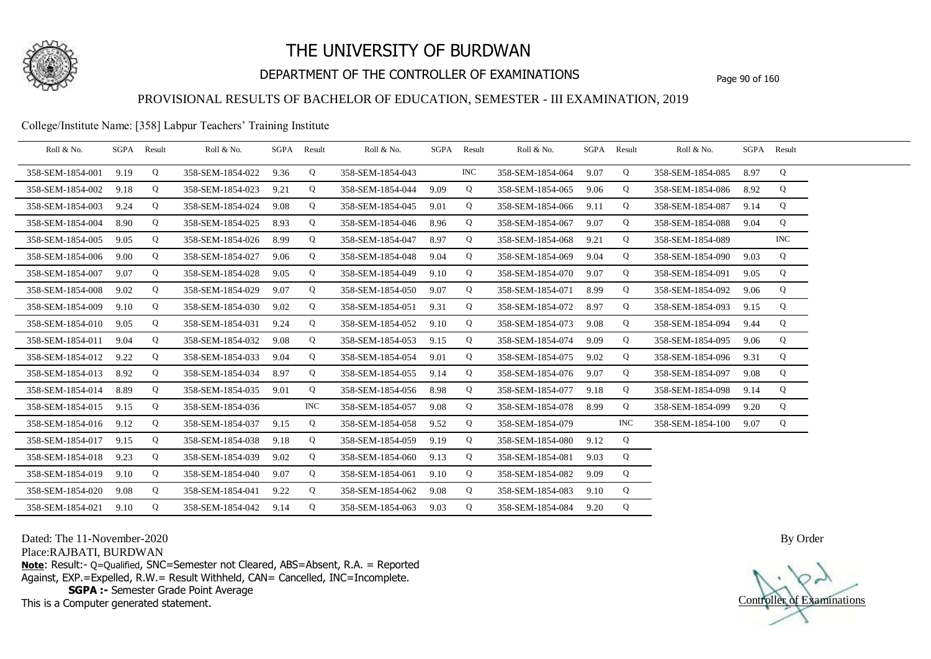

## DEPARTMENT OF THE CONTROLLER OF EXAMINATIONS Page 90 of 160

## PROVISIONAL RESULTS OF BACHELOR OF EDUCATION, SEMESTER - III EXAMINATION, 2019

#### College/Institute Name: [358] Labpur Teachers' Training Institute

| Roll & No.       | SGPA | Result | Roll & No.       |      | SGPA Result | Roll & No.       |      | SGPA Result | Roll & No.       | SGPA Result |            | Roll & No.       |      | SGPA Result |  |
|------------------|------|--------|------------------|------|-------------|------------------|------|-------------|------------------|-------------|------------|------------------|------|-------------|--|
| 358-SEM-1854-001 | 9.19 | Q      | 358-SEM-1854-022 | 9.36 | Q           | 358-SEM-1854-043 |      | <b>INC</b>  | 358-SEM-1854-064 | 9.07        | Q          | 358-SEM-1854-085 | 8.97 | Q           |  |
| 358-SEM-1854-002 | 9.18 | Q      | 358-SEM-1854-023 | 9.21 | Q           | 358-SEM-1854-044 | 9.09 | Q           | 358-SEM-1854-065 | 9.06        | Q          | 358-SEM-1854-086 | 8.92 | Q           |  |
| 358-SEM-1854-003 | 9.24 | Q      | 358-SEM-1854-024 | 9.08 | Q           | 358-SEM-1854-045 | 9.01 | Q           | 358-SEM-1854-066 | 9.11        | Q          | 358-SEM-1854-087 | 9.14 | Q           |  |
| 358-SEM-1854-004 | 8.90 | Q      | 358-SEM-1854-025 | 8.93 | Q           | 358-SEM-1854-046 | 8.96 | Q           | 358-SEM-1854-067 | 9.07        | Q          | 358-SEM-1854-088 | 9.04 | Q           |  |
| 358-SEM-1854-005 | 9.05 | Q      | 358-SEM-1854-026 | 8.99 | Q           | 358-SEM-1854-047 | 8.97 | Q           | 358-SEM-1854-068 | 9.21        | Q          | 358-SEM-1854-089 |      | <b>INC</b>  |  |
| 358-SEM-1854-006 | 9.00 | Q      | 358-SEM-1854-027 | 9.06 | Q           | 358-SEM-1854-048 | 9.04 | Q           | 358-SEM-1854-069 | 9.04        | Q          | 358-SEM-1854-090 | 9.03 | Q           |  |
| 358-SEM-1854-007 | 9.07 | Q      | 358-SEM-1854-028 | 9.05 | Q           | 358-SEM-1854-049 | 9.10 | Q           | 358-SEM-1854-070 | 9.07        | Q          | 358-SEM-1854-091 | 9.05 | Q           |  |
| 358-SEM-1854-008 | 9.02 | Q      | 358-SEM-1854-029 | 9.07 | Q           | 358-SEM-1854-050 | 9.07 | Q           | 358-SEM-1854-071 | 8.99        | Q          | 358-SEM-1854-092 | 9.06 | Q           |  |
| 358-SEM-1854-009 | 9.10 | Q      | 358-SEM-1854-030 | 9.02 | Q           | 358-SEM-1854-051 | 9.31 | Q           | 358-SEM-1854-072 | 8.97        | Q          | 358-SEM-1854-093 | 9.15 | Q           |  |
| 358-SEM-1854-010 | 9.05 | Q      | 358-SEM-1854-031 | 9.24 | Q           | 358-SEM-1854-052 | 9.10 | Q           | 358-SEM-1854-073 | 9.08        | Q          | 358-SEM-1854-094 | 9.44 | Q           |  |
| 358-SEM-1854-011 | 9.04 | Q      | 358-SEM-1854-032 | 9.08 | Q           | 358-SEM-1854-053 | 9.15 | Q           | 358-SEM-1854-074 | 9.09        | Q          | 358-SEM-1854-095 | 9.06 | Q           |  |
| 358-SEM-1854-012 | 9.22 | Q      | 358-SEM-1854-033 | 9.04 | Q           | 358-SEM-1854-054 | 9.01 | Q           | 358-SEM-1854-075 | 9.02        | Q          | 358-SEM-1854-096 | 9.31 | Q           |  |
| 358-SEM-1854-013 | 8.92 | Q      | 358-SEM-1854-034 | 8.97 | Q           | 358-SEM-1854-055 | 9.14 | Q           | 358-SEM-1854-076 | 9.07        | Q          | 358-SEM-1854-097 | 9.08 | Q           |  |
| 358-SEM-1854-014 | 8.89 | Q      | 358-SEM-1854-035 | 9.01 | Q           | 358-SEM-1854-056 | 8.98 | Q           | 358-SEM-1854-077 | 9.18        | Q          | 358-SEM-1854-098 | 9.14 | Q           |  |
| 358-SEM-1854-015 | 9.15 | Q      | 358-SEM-1854-036 |      | <b>INC</b>  | 358-SEM-1854-057 | 9.08 | Q           | 358-SEM-1854-078 | 8.99        | Q          | 358-SEM-1854-099 | 9.20 | Q           |  |
| 358-SEM-1854-016 | 9.12 | Q      | 358-SEM-1854-037 | 9.15 | Q           | 358-SEM-1854-058 | 9.52 | Q           | 358-SEM-1854-079 |             | <b>INC</b> | 358-SEM-1854-100 | 9.07 | Q           |  |
| 358-SEM-1854-017 | 9.15 | Q      | 358-SEM-1854-038 | 9.18 | Q           | 358-SEM-1854-059 | 9.19 | Q           | 358-SEM-1854-080 | 9.12        | Q          |                  |      |             |  |
| 358-SEM-1854-018 | 9.23 | Q      | 358-SEM-1854-039 | 9.02 | Q           | 358-SEM-1854-060 | 9.13 | Q           | 358-SEM-1854-081 | 9.03        | Q          |                  |      |             |  |
| 358-SEM-1854-019 | 9.10 | Q      | 358-SEM-1854-040 | 9.07 | Q           | 358-SEM-1854-061 | 9.10 | Q           | 358-SEM-1854-082 | 9.09        | Q          |                  |      |             |  |
| 358-SEM-1854-020 | 9.08 | Q      | 358-SEM-1854-041 | 9.22 | Q           | 358-SEM-1854-062 | 9.08 | Q           | 358-SEM-1854-083 | 9.10        | Q          |                  |      |             |  |
| 358-SEM-1854-021 | 9.10 | Q      | 358-SEM-1854-042 | 9.14 | Q           | 358-SEM-1854-063 | 9.03 | Q           | 358-SEM-1854-084 | 9.20        | Q          |                  |      |             |  |

Dated: The 11-November-2020

Place:RAJBATI, BURDWAN

**Note**: Result:- Q=Qualified, SNC=Semester not Cleared, ABS=Absent, R.A. = Reported Against, EXP.=Expelled, R.W.= Result Withheld, CAN= Cancelled, INC=Incomplete. **SGPA :-** Semester Grade Point Average

This is a Computer generated statement.

Controller of Examinations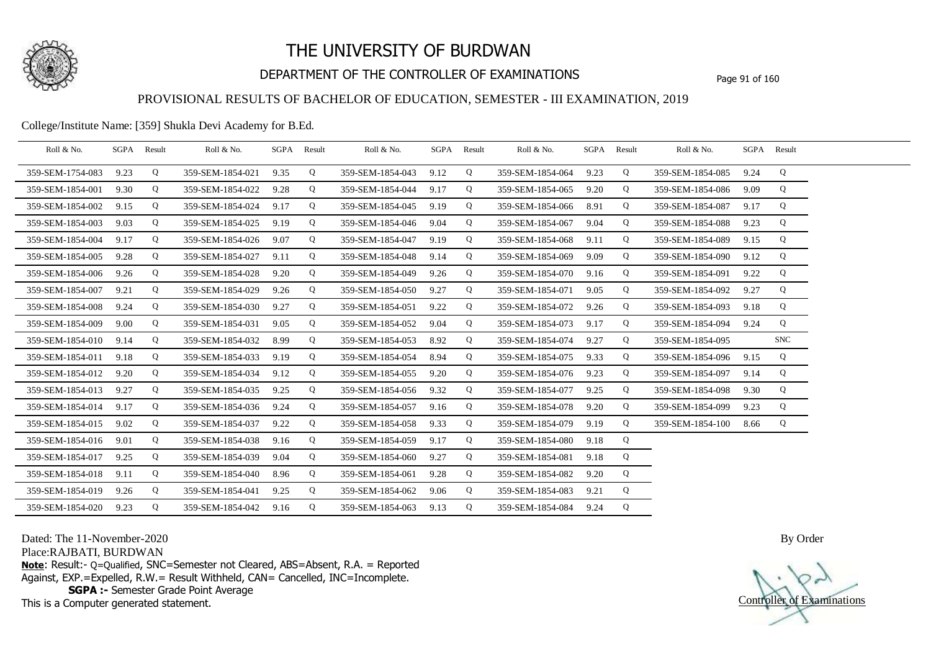

## DEPARTMENT OF THE CONTROLLER OF EXAMINATIONS Page 91 of 160

### PROVISIONAL RESULTS OF BACHELOR OF EDUCATION, SEMESTER - III EXAMINATION, 2019

### College/Institute Name: [359] Shukla Devi Academy for B.Ed.

| Roll & No.       | SGPA | Result | Roll & No.       |      | SGPA Result | Roll & No.       | SGPA | Result | Roll & No.       | SGPA | Result | Roll & No.       |      | SGPA Result |  |
|------------------|------|--------|------------------|------|-------------|------------------|------|--------|------------------|------|--------|------------------|------|-------------|--|
| 359-SEM-1754-083 | 9.23 | Q      | 359-SEM-1854-021 | 9.35 | Q           | 359-SEM-1854-043 | 9.12 | Q      | 359-SEM-1854-064 | 9.23 | Q      | 359-SEM-1854-085 | 9.24 | Q           |  |
| 359-SEM-1854-001 | 9.30 | Q      | 359-SEM-1854-022 | 9.28 | Q           | 359-SEM-1854-044 | 9.17 | Q      | 359-SEM-1854-065 | 9.20 | Q      | 359-SEM-1854-086 | 9.09 | Q           |  |
| 359-SEM-1854-002 | 9.15 | Q      | 359-SEM-1854-024 | 9.17 | Q           | 359-SEM-1854-045 | 9.19 | Q      | 359-SEM-1854-066 | 8.91 | Q      | 359-SEM-1854-087 | 9.17 | Q           |  |
| 359-SEM-1854-003 | 9.03 | Q      | 359-SEM-1854-025 | 9.19 | Q           | 359-SEM-1854-046 | 9.04 | Q      | 359-SEM-1854-067 | 9.04 | Q      | 359-SEM-1854-088 | 9.23 | Q           |  |
| 359-SEM-1854-004 | 9.17 | Q      | 359-SEM-1854-026 | 9.07 | Q           | 359-SEM-1854-047 | 9.19 | Q      | 359-SEM-1854-068 | 9.11 | Q      | 359-SEM-1854-089 | 9.15 | Q           |  |
| 359-SEM-1854-005 | 9.28 | Q      | 359-SEM-1854-027 | 9.11 | Q           | 359-SEM-1854-048 | 9.14 | Q      | 359-SEM-1854-069 | 9.09 | Q      | 359-SEM-1854-090 | 9.12 | Q           |  |
| 359-SEM-1854-006 | 9.26 | Q      | 359-SEM-1854-028 | 9.20 | Q           | 359-SEM-1854-049 | 9.26 | Q      | 359-SEM-1854-070 | 9.16 | Q      | 359-SEM-1854-091 | 9.22 | Q           |  |
| 359-SEM-1854-007 | 9.21 | Q      | 359-SEM-1854-029 | 9.26 | Q           | 359-SEM-1854-050 | 9.27 | Q      | 359-SEM-1854-071 | 9.05 | Q      | 359-SEM-1854-092 | 9.27 | Q           |  |
| 359-SEM-1854-008 | 9.24 | Q      | 359-SEM-1854-030 | 9.27 | Q           | 359-SEM-1854-051 | 9.22 | Q      | 359-SEM-1854-072 | 9.26 | Q      | 359-SEM-1854-093 | 9.18 | Q           |  |
| 359-SEM-1854-009 | 9.00 | Q      | 359-SEM-1854-031 | 9.05 | Q           | 359-SEM-1854-052 | 9.04 | Q      | 359-SEM-1854-073 | 9.17 | Q      | 359-SEM-1854-094 | 9.24 | Q           |  |
| 359-SEM-1854-010 | 9.14 | Q      | 359-SEM-1854-032 | 8.99 | Q           | 359-SEM-1854-053 | 8.92 | Q      | 359-SEM-1854-074 | 9.27 | Q      | 359-SEM-1854-095 |      | <b>SNC</b>  |  |
| 359-SEM-1854-011 | 9.18 | Q      | 359-SEM-1854-033 | 9.19 | Q           | 359-SEM-1854-054 | 8.94 | Q      | 359-SEM-1854-075 | 9.33 | Q      | 359-SEM-1854-096 | 9.15 | Q           |  |
| 359-SEM-1854-012 | 9.20 | Q      | 359-SEM-1854-034 | 9.12 | Q           | 359-SEM-1854-055 | 9.20 | Q      | 359-SEM-1854-076 | 9.23 | Q      | 359-SEM-1854-097 | 9.14 | Q           |  |
| 359-SEM-1854-013 | 9.27 | Q      | 359-SEM-1854-035 | 9.25 | Q           | 359-SEM-1854-056 | 9.32 | Q      | 359-SEM-1854-077 | 9.25 | Q      | 359-SEM-1854-098 | 9.30 | Q           |  |
| 359-SEM-1854-014 | 9.17 | Q      | 359-SEM-1854-036 | 9.24 | Q           | 359-SEM-1854-057 | 9.16 | Q      | 359-SEM-1854-078 | 9.20 | Q      | 359-SEM-1854-099 | 9.23 | Q           |  |
| 359-SEM-1854-015 | 9.02 | Q      | 359-SEM-1854-037 | 9.22 | Q           | 359-SEM-1854-058 | 9.33 | Q      | 359-SEM-1854-079 | 9.19 | Q      | 359-SEM-1854-100 | 8.66 | Q           |  |
| 359-SEM-1854-016 | 9.01 | Q      | 359-SEM-1854-038 | 9.16 | Q           | 359-SEM-1854-059 | 9.17 | Q      | 359-SEM-1854-080 | 9.18 | Q      |                  |      |             |  |
| 359-SEM-1854-017 | 9.25 | Q      | 359-SEM-1854-039 | 9.04 | Q           | 359-SEM-1854-060 | 9.27 | Q      | 359-SEM-1854-081 | 9.18 | Q      |                  |      |             |  |
| 359-SEM-1854-018 | 9.11 | Q      | 359-SEM-1854-040 | 8.96 | Q           | 359-SEM-1854-061 | 9.28 | Q      | 359-SEM-1854-082 | 9.20 | Q      |                  |      |             |  |
| 359-SEM-1854-019 | 9.26 | Q      | 359-SEM-1854-041 | 9.25 | Q           | 359-SEM-1854-062 | 9.06 | Q      | 359-SEM-1854-083 | 9.21 | Q      |                  |      |             |  |
| 359-SEM-1854-020 | 9.23 | Q      | 359-SEM-1854-042 | 9.16 | Q           | 359-SEM-1854-063 | 9.13 | Q      | 359-SEM-1854-084 | 9.24 | Q      |                  |      |             |  |

Dated: The 11-November-2020

Place:RAJBATI, BURDWAN

**Note**: Result:- Q=Qualified, SNC=Semester not Cleared, ABS=Absent, R.A. = Reported Against, EXP.=Expelled, R.W.= Result Withheld, CAN= Cancelled, INC=Incomplete. **SGPA :-** Semester Grade Point Average

This is a Computer generated statement.

Controller of Examinations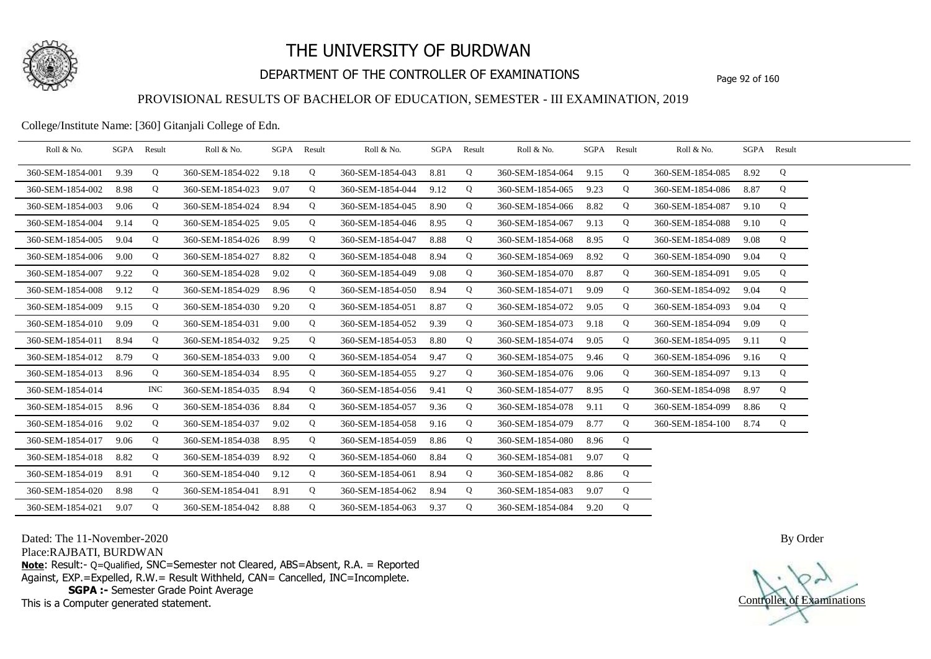

## DEPARTMENT OF THE CONTROLLER OF EXAMINATIONS Page 92 of 160

### PROVISIONAL RESULTS OF BACHELOR OF EDUCATION, SEMESTER - III EXAMINATION, 2019

College/Institute Name: [360] Gitanjali College of Edn.

| Roll & No.       | SGPA Result |            | Roll & No.       | SGPA | Result      | Roll & No.       |      | SGPA Result | Roll & No.       |      | SGPA Result | Roll & No.       | SGPA Result |   |  |
|------------------|-------------|------------|------------------|------|-------------|------------------|------|-------------|------------------|------|-------------|------------------|-------------|---|--|
| 360-SEM-1854-001 | 9.39        | Q          | 360-SEM-1854-022 | 9.18 | Q           | 360-SEM-1854-043 | 8.81 | Q           | 360-SEM-1854-064 | 9.15 | Q           | 360-SEM-1854-085 | 8.92        | Q |  |
| 360-SEM-1854-002 | 8.98        | Q          | 360-SEM-1854-023 | 9.07 | Q           | 360-SEM-1854-044 | 9.12 | Q           | 360-SEM-1854-065 | 9.23 | Q           | 360-SEM-1854-086 | 8.87        | Q |  |
| 360-SEM-1854-003 | 9.06        | Q          | 360-SEM-1854-024 | 8.94 | Q           | 360-SEM-1854-045 | 8.90 | Q           | 360-SEM-1854-066 | 8.82 | Q           | 360-SEM-1854-087 | 9.10        | Q |  |
| 360-SEM-1854-004 | 9.14        | Q          | 360-SEM-1854-025 | 9.05 | Q           | 360-SEM-1854-046 | 8.95 | Q           | 360-SEM-1854-067 | 9.13 | Q           | 360-SEM-1854-088 | 9.10        | Q |  |
| 360-SEM-1854-005 | 9.04        | Q          | 360-SEM-1854-026 | 8.99 | Q           | 360-SEM-1854-047 | 8.88 | Q           | 360-SEM-1854-068 | 8.95 | Q           | 360-SEM-1854-089 | 9.08        | Q |  |
| 360-SEM-1854-006 | 9.00        | Q          | 360-SEM-1854-027 | 8.82 | Q           | 360-SEM-1854-048 | 8.94 | Q           | 360-SEM-1854-069 | 8.92 | Q           | 360-SEM-1854-090 | 9.04        | Q |  |
| 360-SEM-1854-007 | 9.22        | Q          | 360-SEM-1854-028 | 9.02 | Q           | 360-SEM-1854-049 | 9.08 | Q           | 360-SEM-1854-070 | 8.87 | Q           | 360-SEM-1854-091 | 9.05        | Q |  |
| 360-SEM-1854-008 | 9.12        | Q          | 360-SEM-1854-029 | 8.96 | Q           | 360-SEM-1854-050 | 8.94 | Q           | 360-SEM-1854-071 | 9.09 | Q           | 360-SEM-1854-092 | 9.04        | Q |  |
| 360-SEM-1854-009 | 9.15        | Q          | 360-SEM-1854-030 | 9.20 | Q           | 360-SEM-1854-051 | 8.87 | Q           | 360-SEM-1854-072 | 9.05 | Q           | 360-SEM-1854-093 | 9.04        | Q |  |
| 360-SEM-1854-010 | 9.09        | Q          | 360-SEM-1854-031 | 9.00 | Q           | 360-SEM-1854-052 | 9.39 | Q           | 360-SEM-1854-073 | 9.18 | Q           | 360-SEM-1854-094 | 9.09        | Q |  |
| 360-SEM-1854-011 | 8.94        | Q          | 360-SEM-1854-032 | 9.25 | Q           | 360-SEM-1854-053 | 8.80 | Q           | 360-SEM-1854-074 | 9.05 | Q           | 360-SEM-1854-095 | 9.11        | Q |  |
| 360-SEM-1854-012 | 8.79        | Q          | 360-SEM-1854-033 | 9.00 | $\mathbf Q$ | 360-SEM-1854-054 | 9.47 | Q           | 360-SEM-1854-075 | 9.46 | Q           | 360-SEM-1854-096 | 9.16        | Q |  |
| 360-SEM-1854-013 | 8.96        | Q          | 360-SEM-1854-034 | 8.95 | Q           | 360-SEM-1854-055 | 9.27 | Q           | 360-SEM-1854-076 | 9.06 | Q           | 360-SEM-1854-097 | 9.13        | Q |  |
| 360-SEM-1854-014 |             | <b>INC</b> | 360-SEM-1854-035 | 8.94 | Q           | 360-SEM-1854-056 | 9.41 | Q           | 360-SEM-1854-077 | 8.95 | Q           | 360-SEM-1854-098 | 8.97        | Q |  |
| 360-SEM-1854-015 | 8.96        | Q          | 360-SEM-1854-036 | 8.84 | $\mathbf Q$ | 360-SEM-1854-057 | 9.36 | Q           | 360-SEM-1854-078 | 9.11 | $\mathbf Q$ | 360-SEM-1854-099 | 8.86        | Q |  |
| 360-SEM-1854-016 | 9.02        | Q          | 360-SEM-1854-037 | 9.02 | Q           | 360-SEM-1854-058 | 9.16 | Q           | 360-SEM-1854-079 | 8.77 | $\mathbf Q$ | 360-SEM-1854-100 | 8.74        | Q |  |
| 360-SEM-1854-017 | 9.06        | Q          | 360-SEM-1854-038 | 8.95 | Q           | 360-SEM-1854-059 | 8.86 | Q           | 360-SEM-1854-080 | 8.96 | Q           |                  |             |   |  |
| 360-SEM-1854-018 | 8.82        | Q          | 360-SEM-1854-039 | 8.92 | Q           | 360-SEM-1854-060 | 8.84 | Q           | 360-SEM-1854-081 | 9.07 | Q           |                  |             |   |  |
| 360-SEM-1854-019 | 8.91        | Q          | 360-SEM-1854-040 | 9.12 | Q           | 360-SEM-1854-061 | 8.94 | Q           | 360-SEM-1854-082 | 8.86 | Q           |                  |             |   |  |
| 360-SEM-1854-020 | 8.98        | Q          | 360-SEM-1854-041 | 8.91 | Q           | 360-SEM-1854-062 | 8.94 | Q           | 360-SEM-1854-083 | 9.07 | Q           |                  |             |   |  |
| 360-SEM-1854-021 | 9.07        | Q          | 360-SEM-1854-042 | 8.88 | Q           | 360-SEM-1854-063 | 9.37 | Q           | 360-SEM-1854-084 | 9.20 | Q           |                  |             |   |  |

Dated: The 11-November-2020

Place:RAJBATI, BURDWAN

**Note**: Result:- Q=Qualified, SNC=Semester not Cleared, ABS=Absent, R.A. = Reported Against, EXP.=Expelled, R.W.= Result Withheld, CAN= Cancelled, INC=Incomplete. **SGPA :-** Semester Grade Point Average

This is a Computer generated statement.

Controller of Examinations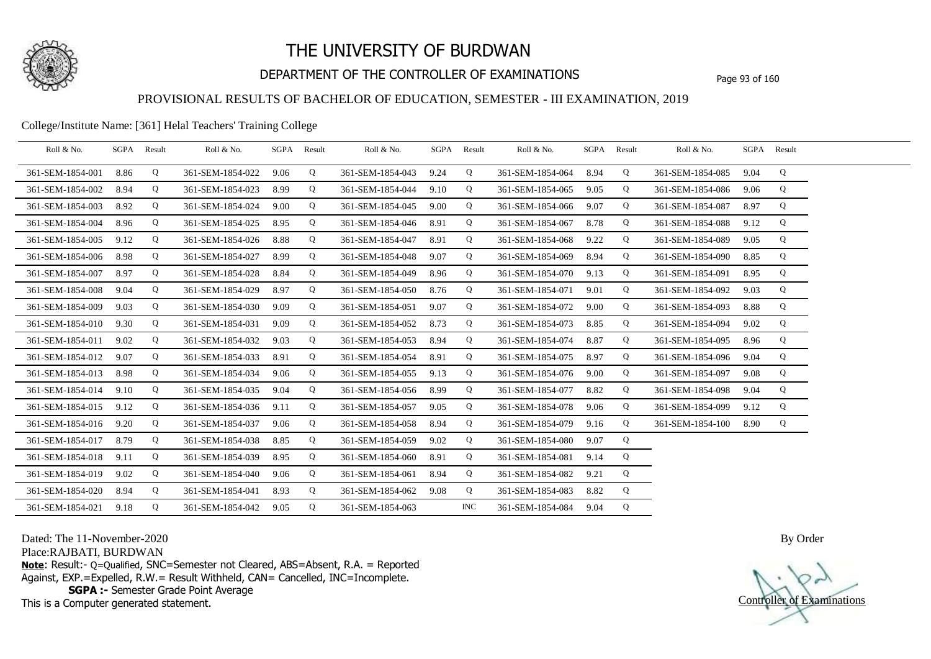

## DEPARTMENT OF THE CONTROLLER OF EXAMINATIONS Page 93 of 160

### PROVISIONAL RESULTS OF BACHELOR OF EDUCATION, SEMESTER - III EXAMINATION, 2019

### College/Institute Name: [361] Helal Teachers' Training College

| Roll & No.       | SGPA Result |   | Roll & No.       | SGPA Result |   | Roll & No.       | SGPA Result |            | Roll & No.       |      | SGPA Result | Roll & No.       |      | SGPA Result |  |
|------------------|-------------|---|------------------|-------------|---|------------------|-------------|------------|------------------|------|-------------|------------------|------|-------------|--|
| 361-SEM-1854-001 | 8.86        | Q | 361-SEM-1854-022 | 9.06        | Q | 361-SEM-1854-043 | 9.24        | Q          | 361-SEM-1854-064 | 8.94 | Q           | 361-SEM-1854-085 | 9.04 | Q           |  |
| 361-SEM-1854-002 | 8.94        | Q | 361-SEM-1854-023 | 8.99        | Q | 361-SEM-1854-044 | 9.10        | Q          | 361-SEM-1854-065 | 9.05 | Q           | 361-SEM-1854-086 | 9.06 | Q           |  |
| 361-SEM-1854-003 | 8.92        | Q | 361-SEM-1854-024 | 9.00        | Q | 361-SEM-1854-045 | 9.00        | Q          | 361-SEM-1854-066 | 9.07 | Q           | 361-SEM-1854-087 | 8.97 | Q           |  |
| 361-SEM-1854-004 | 8.96        | Q | 361-SEM-1854-025 | 8.95        | Q | 361-SEM-1854-046 | 8.91        | Q          | 361-SEM-1854-067 | 8.78 | Q           | 361-SEM-1854-088 | 9.12 | Q           |  |
| 361-SEM-1854-005 | 9.12        | Q | 361-SEM-1854-026 | 8.88        | Q | 361-SEM-1854-047 | 8.91        | Q          | 361-SEM-1854-068 | 9.22 | Q           | 361-SEM-1854-089 | 9.05 | Q           |  |
| 361-SEM-1854-006 | 8.98        | Q | 361-SEM-1854-027 | 8.99        | Q | 361-SEM-1854-048 | 9.07        | Q          | 361-SEM-1854-069 | 8.94 | Q           | 361-SEM-1854-090 | 8.85 | Q           |  |
| 361-SEM-1854-007 | 8.97        | Q | 361-SEM-1854-028 | 8.84        | Q | 361-SEM-1854-049 | 8.96        | Q          | 361-SEM-1854-070 | 9.13 | Q           | 361-SEM-1854-091 | 8.95 | Q           |  |
| 361-SEM-1854-008 | 9.04        | Q | 361-SEM-1854-029 | 8.97        | Q | 361-SEM-1854-050 | 8.76        | Q          | 361-SEM-1854-071 | 9.01 | Q           | 361-SEM-1854-092 | 9.03 | Q           |  |
| 361-SEM-1854-009 | 9.03        | Q | 361-SEM-1854-030 | 9.09        | Q | 361-SEM-1854-051 | 9.07        | Q          | 361-SEM-1854-072 | 9.00 | Q           | 361-SEM-1854-093 | 8.88 | Q           |  |
| 361-SEM-1854-010 | 9.30        | Q | 361-SEM-1854-031 | 9.09        | Q | 361-SEM-1854-052 | 8.73        | Q          | 361-SEM-1854-073 | 8.85 | Q           | 361-SEM-1854-094 | 9.02 | Q           |  |
| 361-SEM-1854-011 | 9.02        | Q | 361-SEM-1854-032 | 9.03        | Q | 361-SEM-1854-053 | 8.94        | Q          | 361-SEM-1854-074 | 8.87 | Q           | 361-SEM-1854-095 | 8.96 | Q           |  |
| 361-SEM-1854-012 | 9.07        | Q | 361-SEM-1854-033 | 8.91        | Q | 361-SEM-1854-054 | 8.91        | Q          | 361-SEM-1854-075 | 8.97 | Q           | 361-SEM-1854-096 | 9.04 | Q           |  |
| 361-SEM-1854-013 | 8.98        | Q | 361-SEM-1854-034 | 9.06        | Q | 361-SEM-1854-055 | 9.13        | Q          | 361-SEM-1854-076 | 9.00 | Q           | 361-SEM-1854-097 | 9.08 | Q           |  |
| 361-SEM-1854-014 | 9.10        | Q | 361-SEM-1854-035 | 9.04        | Q | 361-SEM-1854-056 | 8.99        | Q          | 361-SEM-1854-077 | 8.82 | Q           | 361-SEM-1854-098 | 9.04 | Q           |  |
| 361-SEM-1854-015 | 9.12        | Q | 361-SEM-1854-036 | 9.11        | Q | 361-SEM-1854-057 | 9.05        | Q          | 361-SEM-1854-078 | 9.06 | Q           | 361-SEM-1854-099 | 9.12 | Q           |  |
| 361-SEM-1854-016 | 9.20        | Q | 361-SEM-1854-037 | 9.06        | Q | 361-SEM-1854-058 | 8.94        | Q          | 361-SEM-1854-079 | 9.16 | Q           | 361-SEM-1854-100 | 8.90 | Q           |  |
| 361-SEM-1854-017 | 8.79        | Q | 361-SEM-1854-038 | 8.85        | Q | 361-SEM-1854-059 | 9.02        | Q          | 361-SEM-1854-080 | 9.07 | Q           |                  |      |             |  |
| 361-SEM-1854-018 | 9.11        | Q | 361-SEM-1854-039 | 8.95        | Q | 361-SEM-1854-060 | 8.91        | Q          | 361-SEM-1854-081 | 9.14 | Q           |                  |      |             |  |
| 361-SEM-1854-019 | 9.02        | Q | 361-SEM-1854-040 | 9.06        | Q | 361-SEM-1854-061 | 8.94        | Q          | 361-SEM-1854-082 | 9.21 | Q           |                  |      |             |  |
| 361-SEM-1854-020 | 8.94        | Q | 361-SEM-1854-041 | 8.93        | Q | 361-SEM-1854-062 | 9.08        | Q          | 361-SEM-1854-083 | 8.82 | Q           |                  |      |             |  |
| 361-SEM-1854-021 | 9.18        | Q | 361-SEM-1854-042 | 9.05        | Q | 361-SEM-1854-063 |             | <b>INC</b> | 361-SEM-1854-084 | 9.04 | Q           |                  |      |             |  |

Dated: The 11-November-2020

Place:RAJBATI, BURDWAN

**Note**: Result:- Q=Qualified, SNC=Semester not Cleared, ABS=Absent, R.A. = Reported Against, EXP.=Expelled, R.W.= Result Withheld, CAN= Cancelled, INC=Incomplete. **SGPA :-** Semester Grade Point Average

This is a Computer generated statement.

Controller of Examinations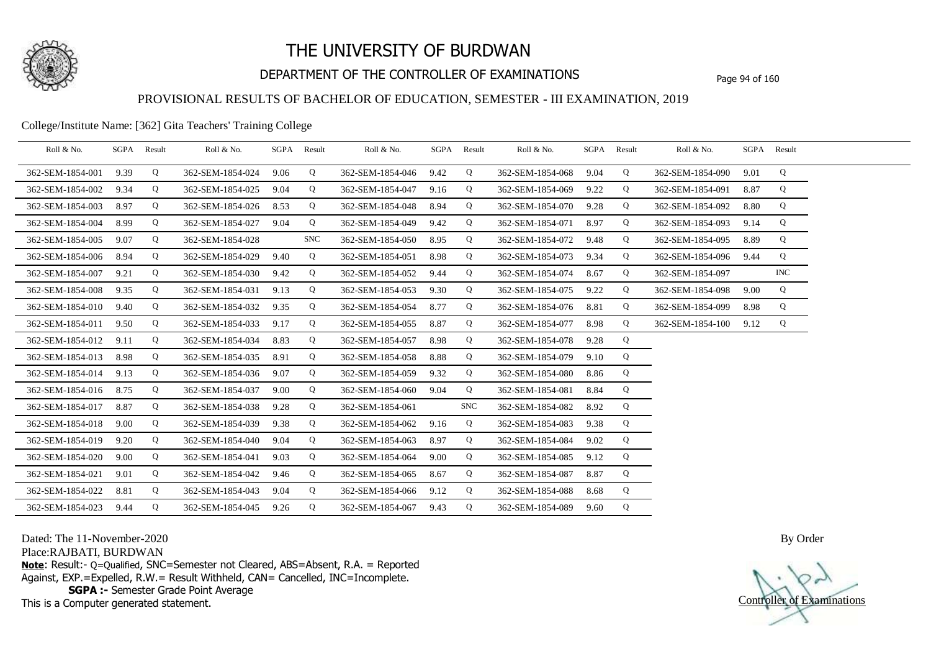

## DEPARTMENT OF THE CONTROLLER OF EXAMINATIONS Page 94 of 160

### PROVISIONAL RESULTS OF BACHELOR OF EDUCATION, SEMESTER - III EXAMINATION, 2019

#### College/Institute Name: [362] Gita Teachers' Training College

| Roll & No.       |      | SGPA Result | Roll & No.       |      | SGPA Result | Roll & No.       |      | SGPA Result | Roll & No.       |      | SGPA Result | Roll & No.       |      | SGPA Result |  |
|------------------|------|-------------|------------------|------|-------------|------------------|------|-------------|------------------|------|-------------|------------------|------|-------------|--|
| 362-SEM-1854-001 | 9.39 | Q           | 362-SEM-1854-024 | 9.06 | Q           | 362-SEM-1854-046 | 9.42 | Q           | 362-SEM-1854-068 | 9.04 | Q           | 362-SEM-1854-090 | 9.01 | Q           |  |
| 362-SEM-1854-002 | 9.34 | Q           | 362-SEM-1854-025 | 9.04 | Q           | 362-SEM-1854-047 | 9.16 | Q           | 362-SEM-1854-069 | 9.22 | Q           | 362-SEM-1854-091 | 8.87 | Q           |  |
| 362-SEM-1854-003 | 8.97 | Q           | 362-SEM-1854-026 | 8.53 | Q           | 362-SEM-1854-048 | 8.94 | Q           | 362-SEM-1854-070 | 9.28 | Q           | 362-SEM-1854-092 | 8.80 | Q           |  |
| 362-SEM-1854-004 | 8.99 | Q           | 362-SEM-1854-027 | 9.04 | Q           | 362-SEM-1854-049 | 9.42 | Q           | 362-SEM-1854-071 | 8.97 | Q           | 362-SEM-1854-093 | 9.14 | Q           |  |
| 362-SEM-1854-005 | 9.07 | Q           | 362-SEM-1854-028 |      | <b>SNC</b>  | 362-SEM-1854-050 | 8.95 | Q           | 362-SEM-1854-072 | 9.48 | Q           | 362-SEM-1854-095 | 8.89 | Q           |  |
| 362-SEM-1854-006 | 8.94 | Q           | 362-SEM-1854-029 | 9.40 | Q           | 362-SEM-1854-051 | 8.98 | Q           | 362-SEM-1854-073 | 9.34 | Q           | 362-SEM-1854-096 | 9.44 | Q           |  |
| 362-SEM-1854-007 | 9.21 | Q           | 362-SEM-1854-030 | 9.42 | Q           | 362-SEM-1854-052 | 9.44 | Q           | 362-SEM-1854-074 | 8.67 | Q           | 362-SEM-1854-097 |      | <b>INC</b>  |  |
| 362-SEM-1854-008 | 9.35 | Q           | 362-SEM-1854-031 | 9.13 | Q           | 362-SEM-1854-053 | 9.30 | Q           | 362-SEM-1854-075 | 9.22 | Q           | 362-SEM-1854-098 | 9.00 | Q           |  |
| 362-SEM-1854-010 | 9.40 | Q           | 362-SEM-1854-032 | 9.35 | Q           | 362-SEM-1854-054 | 8.77 | Q           | 362-SEM-1854-076 | 8.81 | Q           | 362-SEM-1854-099 | 8.98 | Q           |  |
| 362-SEM-1854-011 | 9.50 | Q           | 362-SEM-1854-033 | 9.17 | Q           | 362-SEM-1854-055 | 8.87 | Q           | 362-SEM-1854-077 | 8.98 | Q           | 362-SEM-1854-100 | 9.12 | Q           |  |
| 362-SEM-1854-012 | 9.11 | Q           | 362-SEM-1854-034 | 8.83 | Q           | 362-SEM-1854-057 | 8.98 | Q           | 362-SEM-1854-078 | 9.28 | Q           |                  |      |             |  |
| 362-SEM-1854-013 | 8.98 | Q           | 362-SEM-1854-035 | 8.91 | Q           | 362-SEM-1854-058 | 8.88 | Q           | 362-SEM-1854-079 | 9.10 | Q           |                  |      |             |  |
| 362-SEM-1854-014 | 9.13 | Q           | 362-SEM-1854-036 | 9.07 | Q           | 362-SEM-1854-059 | 9.32 | Q           | 362-SEM-1854-080 | 8.86 | Q           |                  |      |             |  |
| 362-SEM-1854-016 | 8.75 | Q           | 362-SEM-1854-037 | 9.00 | Q           | 362-SEM-1854-060 | 9.04 | Q           | 362-SEM-1854-081 | 8.84 | Q           |                  |      |             |  |
| 362-SEM-1854-017 | 8.87 | Q           | 362-SEM-1854-038 | 9.28 | Q           | 362-SEM-1854-061 |      | <b>SNC</b>  | 362-SEM-1854-082 | 8.92 | Q           |                  |      |             |  |
| 362-SEM-1854-018 | 9.00 | Q           | 362-SEM-1854-039 | 9.38 | Q           | 362-SEM-1854-062 | 9.16 | Q           | 362-SEM-1854-083 | 9.38 | Q           |                  |      |             |  |
| 362-SEM-1854-019 | 9.20 | Q           | 362-SEM-1854-040 | 9.04 | Q           | 362-SEM-1854-063 | 8.97 | Q           | 362-SEM-1854-084 | 9.02 | Q           |                  |      |             |  |
| 362-SEM-1854-020 | 9.00 | Q           | 362-SEM-1854-041 | 9.03 | Q           | 362-SEM-1854-064 | 9.00 | Q           | 362-SEM-1854-085 | 9.12 | Q           |                  |      |             |  |
| 362-SEM-1854-021 | 9.01 | Q           | 362-SEM-1854-042 | 9.46 | Q           | 362-SEM-1854-065 | 8.67 | Q           | 362-SEM-1854-087 | 8.87 | Q           |                  |      |             |  |
| 362-SEM-1854-022 | 8.81 | Q           | 362-SEM-1854-043 | 9.04 | Q           | 362-SEM-1854-066 | 9.12 | Q           | 362-SEM-1854-088 | 8.68 | Q           |                  |      |             |  |
| 362-SEM-1854-023 | 9.44 | Q           | 362-SEM-1854-045 | 9.26 | Q           | 362-SEM-1854-067 | 9.43 | Q           | 362-SEM-1854-089 | 9.60 | Q           |                  |      |             |  |

Dated: The 11-November-2020

Place:RAJBATI, BURDWAN

**Note**: Result:- Q=Qualified, SNC=Semester not Cleared, ABS=Absent, R.A. = Reported Against, EXP.=Expelled, R.W.= Result Withheld, CAN= Cancelled, INC=Incomplete. **SGPA :-** Semester Grade Point Average

This is a Computer generated statement.

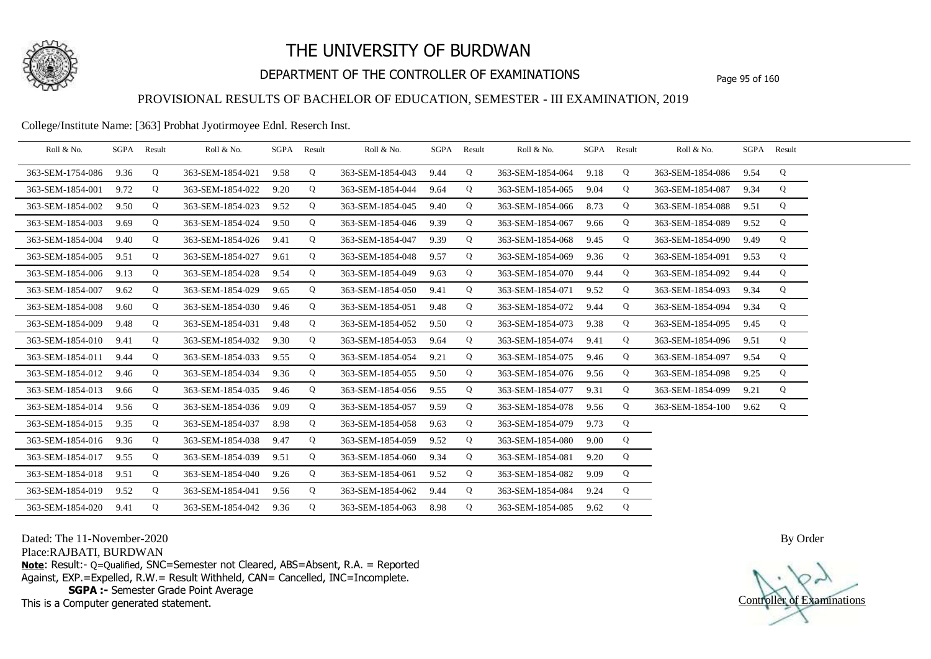

## DEPARTMENT OF THE CONTROLLER OF EXAMINATIONS Page 95 of 160

### PROVISIONAL RESULTS OF BACHELOR OF EDUCATION, SEMESTER - III EXAMINATION, 2019

College/Institute Name: [363] Probhat Jyotirmoyee Ednl. Reserch Inst.

| Roll & No.       |      | SGPA Result | Roll & No.       |      | SGPA Result | Roll & No.       | SGPA Result |   | Roll & No.       | SGPA Result |             | Roll & No.       | SGPA Result |   |  |
|------------------|------|-------------|------------------|------|-------------|------------------|-------------|---|------------------|-------------|-------------|------------------|-------------|---|--|
| 363-SEM-1754-086 | 9.36 | Q           | 363-SEM-1854-021 | 9.58 | Q           | 363-SEM-1854-043 | 9.44        | Q | 363-SEM-1854-064 | 9.18        | Q           | 363-SEM-1854-086 | 9.54        | Q |  |
| 363-SEM-1854-001 | 9.72 | Q           | 363-SEM-1854-022 | 9.20 | Q           | 363-SEM-1854-044 | 9.64        | Q | 363-SEM-1854-065 | 9.04        | Q           | 363-SEM-1854-087 | 9.34        | Q |  |
| 363-SEM-1854-002 | 9.50 | Q           | 363-SEM-1854-023 | 9.52 | Q           | 363-SEM-1854-045 | 9.40        | Q | 363-SEM-1854-066 | 8.73        | Q           | 363-SEM-1854-088 | 9.51        | Q |  |
| 363-SEM-1854-003 | 9.69 | Q           | 363-SEM-1854-024 | 9.50 | Q           | 363-SEM-1854-046 | 9.39        | Q | 363-SEM-1854-067 | 9.66        | Q           | 363-SEM-1854-089 | 9.52        | Q |  |
| 363-SEM-1854-004 | 9.40 | Q           | 363-SEM-1854-026 | 9.41 | Q           | 363-SEM-1854-047 | 9.39        | Q | 363-SEM-1854-068 | 9.45        | Q           | 363-SEM-1854-090 | 9.49        | Q |  |
| 363-SEM-1854-005 | 9.51 | Q           | 363-SEM-1854-027 | 9.61 | Q           | 363-SEM-1854-048 | 9.57        | Q | 363-SEM-1854-069 | 9.36        | Q           | 363-SEM-1854-091 | 9.53        | Q |  |
| 363-SEM-1854-006 | 9.13 | Q           | 363-SEM-1854-028 | 9.54 | Q           | 363-SEM-1854-049 | 9.63        | Q | 363-SEM-1854-070 | 9.44        | Q           | 363-SEM-1854-092 | 9.44        | Q |  |
| 363-SEM-1854-007 | 9.62 | Q           | 363-SEM-1854-029 | 9.65 | Q           | 363-SEM-1854-050 | 9.41        | Q | 363-SEM-1854-071 | 9.52        | Q           | 363-SEM-1854-093 | 9.34        | Q |  |
| 363-SEM-1854-008 | 9.60 | Q           | 363-SEM-1854-030 | 9.46 | Q           | 363-SEM-1854-051 | 9.48        | Q | 363-SEM-1854-072 | 9.44        | Q           | 363-SEM-1854-094 | 9.34        | Q |  |
| 363-SEM-1854-009 | 9.48 | Q           | 363-SEM-1854-031 | 9.48 | Q           | 363-SEM-1854-052 | 9.50        | Q | 363-SEM-1854-073 | 9.38        | Q           | 363-SEM-1854-095 | 9.45        | Q |  |
| 363-SEM-1854-010 | 9.41 | Q           | 363-SEM-1854-032 | 9.30 | Q           | 363-SEM-1854-053 | 9.64        | Q | 363-SEM-1854-074 | 9.41        | Q           | 363-SEM-1854-096 | 9.51        | Q |  |
| 363-SEM-1854-011 | 9.44 | Q           | 363-SEM-1854-033 | 9.55 | Q           | 363-SEM-1854-054 | 9.21        | Q | 363-SEM-1854-075 | 9.46        | Q           | 363-SEM-1854-097 | 9.54        | Q |  |
| 363-SEM-1854-012 | 9.46 | Q           | 363-SEM-1854-034 | 9.36 | Q           | 363-SEM-1854-055 | 9.50        | Q | 363-SEM-1854-076 | 9.56        | Q           | 363-SEM-1854-098 | 9.25        | Q |  |
| 363-SEM-1854-013 | 9.66 | Q           | 363-SEM-1854-035 | 9.46 | Q           | 363-SEM-1854-056 | 9.55        | Q | 363-SEM-1854-077 | 9.31        | Q           | 363-SEM-1854-099 | 9.21        | Q |  |
| 363-SEM-1854-014 | 9.56 | Q           | 363-SEM-1854-036 | 9.09 | Q           | 363-SEM-1854-057 | 9.59        | Q | 363-SEM-1854-078 | 9.56        | Q           | 363-SEM-1854-100 | 9.62        | Q |  |
| 363-SEM-1854-015 | 9.35 | Q           | 363-SEM-1854-037 | 8.98 | Q           | 363-SEM-1854-058 | 9.63        | Q | 363-SEM-1854-079 | 9.73        | Q           |                  |             |   |  |
| 363-SEM-1854-016 | 9.36 | Q           | 363-SEM-1854-038 | 9.47 | Q           | 363-SEM-1854-059 | 9.52        | Q | 363-SEM-1854-080 | 9.00        | Q           |                  |             |   |  |
| 363-SEM-1854-017 | 9.55 | Q           | 363-SEM-1854-039 | 9.51 | Q           | 363-SEM-1854-060 | 9.34        | Q | 363-SEM-1854-081 | 9.20        | Q           |                  |             |   |  |
| 363-SEM-1854-018 | 9.51 | Q           | 363-SEM-1854-040 | 9.26 | Q           | 363-SEM-1854-061 | 9.52        | Q | 363-SEM-1854-082 | 9.09        | Q           |                  |             |   |  |
| 363-SEM-1854-019 | 9.52 | Q           | 363-SEM-1854-041 | 9.56 | Q           | 363-SEM-1854-062 | 9.44        | Q | 363-SEM-1854-084 | 9.24        | Q           |                  |             |   |  |
| 363-SEM-1854-020 | 9.41 | Q           | 363-SEM-1854-042 | 9.36 | Q           | 363-SEM-1854-063 | 8.98        | Q | 363-SEM-1854-085 | 9.62        | $\mathbf Q$ |                  |             |   |  |

Dated: The 11-November-2020

Place:RAJBATI, BURDWAN

**Note**: Result:- Q=Qualified, SNC=Semester not Cleared, ABS=Absent, R.A. = Reported Against, EXP.=Expelled, R.W.= Result Withheld, CAN= Cancelled, INC=Incomplete. **SGPA :-** Semester Grade Point Average

This is a Computer generated statement.

Controller of Examinations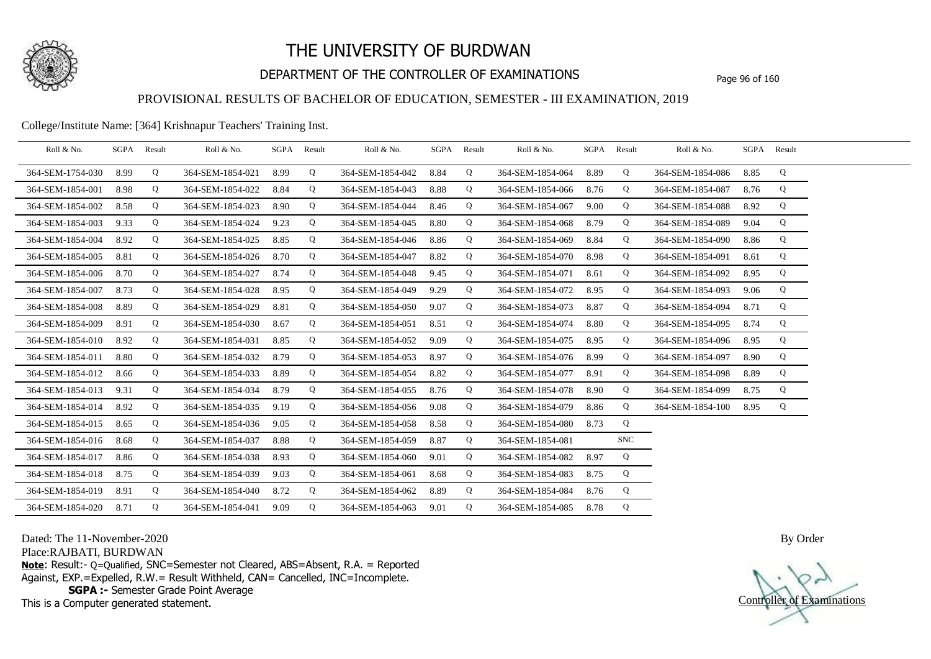

## DEPARTMENT OF THE CONTROLLER OF EXAMINATIONS Page 96 of 160

### PROVISIONAL RESULTS OF BACHELOR OF EDUCATION, SEMESTER - III EXAMINATION, 2019

College/Institute Name: [364] Krishnapur Teachers' Training Inst.

| Roll & No.       | SGPA Result |   | Roll & No.       |      | SGPA Result | Roll & No.       |      | SGPA Result | Roll & No.       |      | SGPA Result | Roll & No.       | SGPA Result |   |  |
|------------------|-------------|---|------------------|------|-------------|------------------|------|-------------|------------------|------|-------------|------------------|-------------|---|--|
| 364-SEM-1754-030 | 8.99        | Q | 364-SEM-1854-021 | 8.99 | Q           | 364-SEM-1854-042 | 8.84 | Q           | 364-SEM-1854-064 | 8.89 | Q           | 364-SEM-1854-086 | 8.85        | Q |  |
| 364-SEM-1854-001 | 8.98        | Q | 364-SEM-1854-022 | 8.84 | Q           | 364-SEM-1854-043 | 8.88 | Q           | 364-SEM-1854-066 | 8.76 | Q           | 364-SEM-1854-087 | 8.76        | Q |  |
| 364-SEM-1854-002 | 8.58        | Q | 364-SEM-1854-023 | 8.90 | Q           | 364-SEM-1854-044 | 8.46 | Q           | 364-SEM-1854-067 | 9.00 | Q           | 364-SEM-1854-088 | 8.92        | Q |  |
| 364-SEM-1854-003 | 9.33        | Q | 364-SEM-1854-024 | 9.23 | Q           | 364-SEM-1854-045 | 8.80 | Q           | 364-SEM-1854-068 | 8.79 | Q           | 364-SEM-1854-089 | 9.04        | Q |  |
| 364-SEM-1854-004 | 8.92        | Q | 364-SEM-1854-025 | 8.85 | Q           | 364-SEM-1854-046 | 8.86 | Q           | 364-SEM-1854-069 | 8.84 | Q           | 364-SEM-1854-090 | 8.86        | Q |  |
| 364-SEM-1854-005 | 8.81        | Q | 364-SEM-1854-026 | 8.70 | Q           | 364-SEM-1854-047 | 8.82 | Q           | 364-SEM-1854-070 | 8.98 | Q           | 364-SEM-1854-091 | 8.61        | Q |  |
| 364-SEM-1854-006 | 8.70        | Q | 364-SEM-1854-027 | 8.74 | Q           | 364-SEM-1854-048 | 9.45 | Q           | 364-SEM-1854-071 | 8.61 | Q           | 364-SEM-1854-092 | 8.95        | Q |  |
| 364-SEM-1854-007 | 8.73        | Q | 364-SEM-1854-028 | 8.95 | $\mathbf Q$ | 364-SEM-1854-049 | 9.29 | Q           | 364-SEM-1854-072 | 8.95 | $\mathbf Q$ | 364-SEM-1854-093 | 9.06        | Q |  |
| 364-SEM-1854-008 | 8.89        | Q | 364-SEM-1854-029 | 8.81 | Q           | 364-SEM-1854-050 | 9.07 | Q           | 364-SEM-1854-073 | 8.87 | Q           | 364-SEM-1854-094 | 8.71        | Q |  |
| 364-SEM-1854-009 | 8.91        | Q | 364-SEM-1854-030 | 8.67 | Q           | 364-SEM-1854-051 | 8.51 | Q           | 364-SEM-1854-074 | 8.80 | Q           | 364-SEM-1854-095 | 8.74        | Q |  |
| 364-SEM-1854-010 | 8.92        | Q | 364-SEM-1854-031 | 8.85 | Q           | 364-SEM-1854-052 | 9.09 | Q           | 364-SEM-1854-075 | 8.95 | Q           | 364-SEM-1854-096 | 8.95        | Q |  |
| 364-SEM-1854-011 | 8.80        | Q | 364-SEM-1854-032 | 8.79 | $\mathbf Q$ | 364-SEM-1854-053 | 8.97 | Q           | 364-SEM-1854-076 | 8.99 | Q           | 364-SEM-1854-097 | 8.90        | Q |  |
| 364-SEM-1854-012 | 8.66        | Q | 364-SEM-1854-033 | 8.89 | Q           | 364-SEM-1854-054 | 8.82 | Q           | 364-SEM-1854-077 | 8.91 | Q           | 364-SEM-1854-098 | 8.89        | Q |  |
| 364-SEM-1854-013 | 9.31        | Q | 364-SEM-1854-034 | 8.79 | Q           | 364-SEM-1854-055 | 8.76 | Q           | 364-SEM-1854-078 | 8.90 | Q           | 364-SEM-1854-099 | 8.75        | Q |  |
| 364-SEM-1854-014 | 8.92        | Q | 364-SEM-1854-035 | 9.19 | Q           | 364-SEM-1854-056 | 9.08 | Q           | 364-SEM-1854-079 | 8.86 | $\mathbf Q$ | 364-SEM-1854-100 | 8.95        | Q |  |
| 364-SEM-1854-015 | 8.65        | Q | 364-SEM-1854-036 | 9.05 | $\mathbf Q$ | 364-SEM-1854-058 | 8.58 | Q           | 364-SEM-1854-080 | 8.73 | Q           |                  |             |   |  |
| 364-SEM-1854-016 | 8.68        | Q | 364-SEM-1854-037 | 8.88 | Q           | 364-SEM-1854-059 | 8.87 | Q           | 364-SEM-1854-081 |      | <b>SNC</b>  |                  |             |   |  |
| 364-SEM-1854-017 | 8.86        | Q | 364-SEM-1854-038 | 8.93 | Q           | 364-SEM-1854-060 | 9.01 | Q           | 364-SEM-1854-082 | 8.97 | Q           |                  |             |   |  |
| 364-SEM-1854-018 | 8.75        | Q | 364-SEM-1854-039 | 9.03 | Q           | 364-SEM-1854-061 | 8.68 | Q           | 364-SEM-1854-083 | 8.75 | Q           |                  |             |   |  |
| 364-SEM-1854-019 | 8.91        | Q | 364-SEM-1854-040 | 8.72 | Q           | 364-SEM-1854-062 | 8.89 | Q           | 364-SEM-1854-084 | 8.76 | Q           |                  |             |   |  |
| 364-SEM-1854-020 | 8.71        | Q | 364-SEM-1854-041 | 9.09 | Q           | 364-SEM-1854-063 | 9.01 | Q           | 364-SEM-1854-085 | 8.78 | Q           |                  |             |   |  |

Dated: The 11-November-2020

Place:RAJBATI, BURDWAN

**Note**: Result:- Q=Qualified, SNC=Semester not Cleared, ABS=Absent, R.A. = Reported Against, EXP.=Expelled, R.W.= Result Withheld, CAN= Cancelled, INC=Incomplete. **SGPA :-** Semester Grade Point Average

This is a Computer generated statement.

Controller of Examinations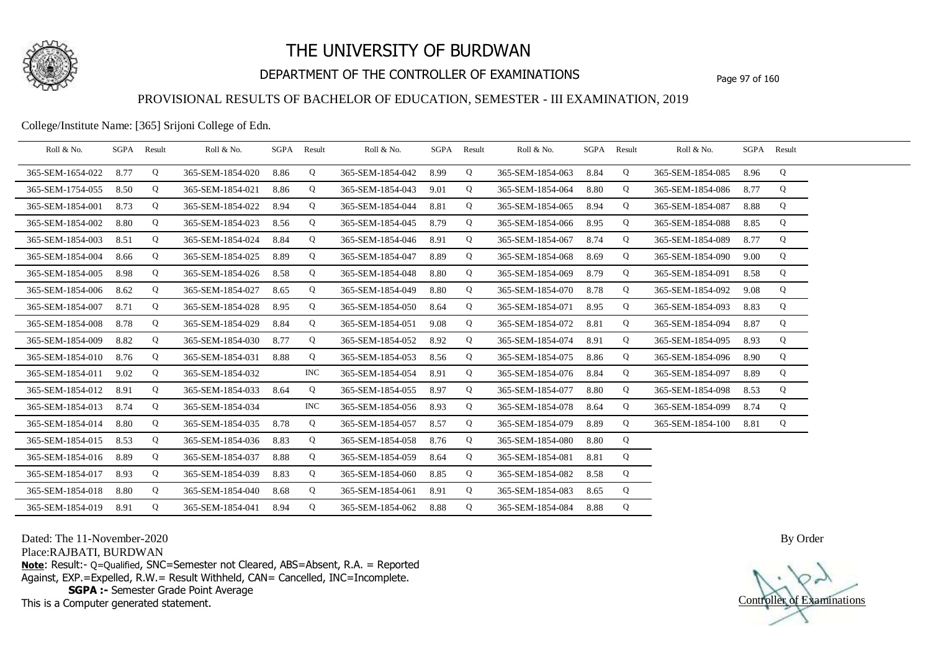

## DEPARTMENT OF THE CONTROLLER OF EXAMINATIONS Page 97 of 160

### PROVISIONAL RESULTS OF BACHELOR OF EDUCATION, SEMESTER - III EXAMINATION, 2019

College/Institute Name: [365] Srijoni College of Edn.

| Roll & No.       | SGPA | Result | Roll & No.       |      | SGPA Result | Roll & No.       |      | SGPA Result | Roll & No.       | SGPA Result |   | Roll & No.       | SGPA Result |   |  |
|------------------|------|--------|------------------|------|-------------|------------------|------|-------------|------------------|-------------|---|------------------|-------------|---|--|
| 365-SEM-1654-022 | 8.77 | Q      | 365-SEM-1854-020 | 8.86 | Q           | 365-SEM-1854-042 | 8.99 | Q           | 365-SEM-1854-063 | 8.84        | Q | 365-SEM-1854-085 | 8.96        | Q |  |
| 365-SEM-1754-055 | 8.50 | Q      | 365-SEM-1854-021 | 8.86 | Q           | 365-SEM-1854-043 | 9.01 | Q           | 365-SEM-1854-064 | 8.80        | Q | 365-SEM-1854-086 | 8.77        | Q |  |
| 365-SEM-1854-001 | 8.73 | Q      | 365-SEM-1854-022 | 8.94 | Q           | 365-SEM-1854-044 | 8.81 | Q           | 365-SEM-1854-065 | 8.94        | Q | 365-SEM-1854-087 | 8.88        | Q |  |
| 365-SEM-1854-002 | 8.80 | Q      | 365-SEM-1854-023 | 8.56 | Q           | 365-SEM-1854-045 | 8.79 | Q           | 365-SEM-1854-066 | 8.95        | Q | 365-SEM-1854-088 | 8.85        | Q |  |
| 365-SEM-1854-003 | 8.51 | Q      | 365-SEM-1854-024 | 8.84 | Q           | 365-SEM-1854-046 | 8.91 | Q           | 365-SEM-1854-067 | 8.74        | Q | 365-SEM-1854-089 | 8.77        | Q |  |
| 365-SEM-1854-004 | 8.66 | Q      | 365-SEM-1854-025 | 8.89 | Q           | 365-SEM-1854-047 | 8.89 | Q           | 365-SEM-1854-068 | 8.69        | Q | 365-SEM-1854-090 | 9.00        | Q |  |
| 365-SEM-1854-005 | 8.98 | Q      | 365-SEM-1854-026 | 8.58 | Q           | 365-SEM-1854-048 | 8.80 | Q           | 365-SEM-1854-069 | 8.79        | Q | 365-SEM-1854-091 | 8.58        | Q |  |
| 365-SEM-1854-006 | 8.62 | Q      | 365-SEM-1854-027 | 8.65 | Q           | 365-SEM-1854-049 | 8.80 | Q           | 365-SEM-1854-070 | 8.78        | Q | 365-SEM-1854-092 | 9.08        | Q |  |
| 365-SEM-1854-007 | 8.71 | Q      | 365-SEM-1854-028 | 8.95 | Q           | 365-SEM-1854-050 | 8.64 | Q           | 365-SEM-1854-071 | 8.95        | Q | 365-SEM-1854-093 | 8.83        | Q |  |
| 365-SEM-1854-008 | 8.78 | Q      | 365-SEM-1854-029 | 8.84 | Q           | 365-SEM-1854-051 | 9.08 | Q           | 365-SEM-1854-072 | 8.81        | Q | 365-SEM-1854-094 | 8.87        | Q |  |
| 365-SEM-1854-009 | 8.82 | Q      | 365-SEM-1854-030 | 8.77 | Q           | 365-SEM-1854-052 | 8.92 | Q           | 365-SEM-1854-074 | 8.91        | Q | 365-SEM-1854-095 | 8.93        | Q |  |
| 365-SEM-1854-010 | 8.76 | Q      | 365-SEM-1854-031 | 8.88 | Q           | 365-SEM-1854-053 | 8.56 | Q           | 365-SEM-1854-075 | 8.86        | Q | 365-SEM-1854-096 | 8.90        | Q |  |
| 365-SEM-1854-011 | 9.02 | Q      | 365-SEM-1854-032 |      | <b>INC</b>  | 365-SEM-1854-054 | 8.91 | Q           | 365-SEM-1854-076 | 8.84        | Q | 365-SEM-1854-097 | 8.89        | Q |  |
| 365-SEM-1854-012 | 8.91 | Q      | 365-SEM-1854-033 | 8.64 | Q           | 365-SEM-1854-055 | 8.97 | Q           | 365-SEM-1854-077 | 8.80        | Q | 365-SEM-1854-098 | 8.53        | Q |  |
| 365-SEM-1854-013 | 8.74 | Q      | 365-SEM-1854-034 |      | <b>INC</b>  | 365-SEM-1854-056 | 8.93 | Q           | 365-SEM-1854-078 | 8.64        | Q | 365-SEM-1854-099 | 8.74        | Q |  |
| 365-SEM-1854-014 | 8.80 | Q      | 365-SEM-1854-035 | 8.78 | Q           | 365-SEM-1854-057 | 8.57 | Q           | 365-SEM-1854-079 | 8.89        | Q | 365-SEM-1854-100 | 8.81        | Q |  |
| 365-SEM-1854-015 | 8.53 | Q      | 365-SEM-1854-036 | 8.83 | Q           | 365-SEM-1854-058 | 8.76 | Q           | 365-SEM-1854-080 | 8.80        | Q |                  |             |   |  |
| 365-SEM-1854-016 | 8.89 | Q      | 365-SEM-1854-037 | 8.88 | Q           | 365-SEM-1854-059 | 8.64 | Q           | 365-SEM-1854-081 | 8.81        | Q |                  |             |   |  |
| 365-SEM-1854-017 | 8.93 | Q      | 365-SEM-1854-039 | 8.83 | Q           | 365-SEM-1854-060 | 8.85 | Q           | 365-SEM-1854-082 | 8.58        | Q |                  |             |   |  |
| 365-SEM-1854-018 | 8.80 | Q      | 365-SEM-1854-040 | 8.68 | Q           | 365-SEM-1854-061 | 8.91 | Q           | 365-SEM-1854-083 | 8.65        | Q |                  |             |   |  |
| 365-SEM-1854-019 | 8.91 | Q      | 365-SEM-1854-041 | 8.94 | Q           | 365-SEM-1854-062 | 8.88 | Q           | 365-SEM-1854-084 | 8.88        | Q |                  |             |   |  |

Dated: The 11-November-2020

Place:RAJBATI, BURDWAN

**Note**: Result:- Q=Qualified, SNC=Semester not Cleared, ABS=Absent, R.A. = Reported Against, EXP.=Expelled, R.W.= Result Withheld, CAN= Cancelled, INC=Incomplete. **SGPA :-** Semester Grade Point Average

This is a Computer generated statement.

Controller of Examinations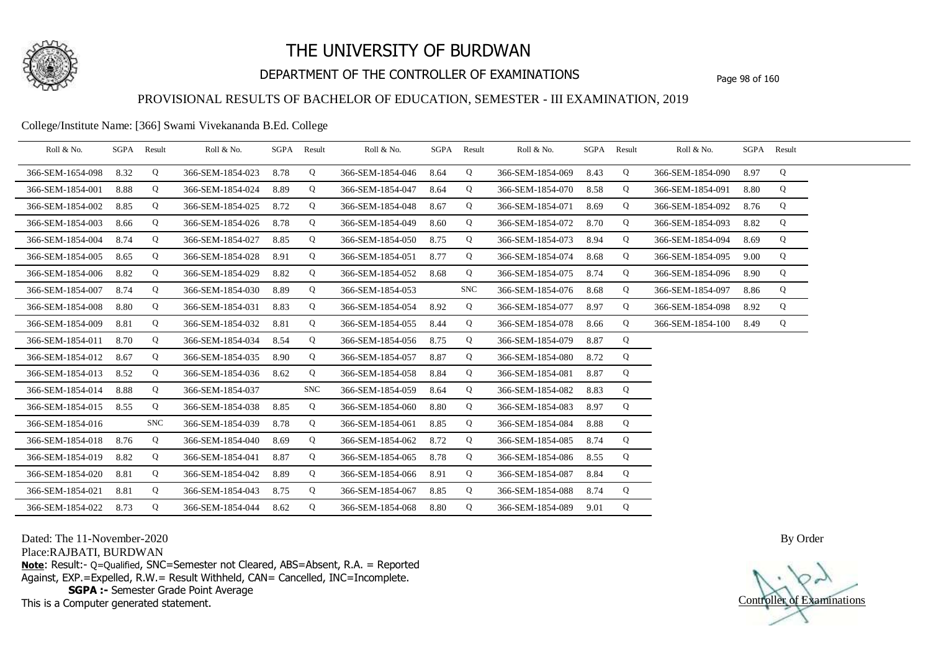

## DEPARTMENT OF THE CONTROLLER OF EXAMINATIONS Page 98 of 160

## PROVISIONAL RESULTS OF BACHELOR OF EDUCATION, SEMESTER - III EXAMINATION, 2019

#### College/Institute Name: [366] Swami Vivekananda B.Ed. College

| Roll & No.       |      | SGPA Result | Roll & No.       | SGPA Result |            | Roll & No.       |      | SGPA Result | Roll & No.       |      | SGPA Result | Roll & No.       |      | SGPA Result |  |
|------------------|------|-------------|------------------|-------------|------------|------------------|------|-------------|------------------|------|-------------|------------------|------|-------------|--|
| 366-SEM-1654-098 | 8.32 | Q           | 366-SEM-1854-023 | 8.78        | Q          | 366-SEM-1854-046 | 8.64 | Q           | 366-SEM-1854-069 | 8.43 | Q           | 366-SEM-1854-090 | 8.97 | Q           |  |
| 366-SEM-1854-001 | 8.88 | Q           | 366-SEM-1854-024 | 8.89        | Q          | 366-SEM-1854-047 | 8.64 | Q           | 366-SEM-1854-070 | 8.58 | Q           | 366-SEM-1854-091 | 8.80 | Q           |  |
| 366-SEM-1854-002 | 8.85 | Q           | 366-SEM-1854-025 | 8.72        | Q          | 366-SEM-1854-048 | 8.67 | Q           | 366-SEM-1854-071 | 8.69 | Q           | 366-SEM-1854-092 | 8.76 | Q           |  |
| 366-SEM-1854-003 | 8.66 | Q           | 366-SEM-1854-026 | 8.78        | Q          | 366-SEM-1854-049 | 8.60 | Q           | 366-SEM-1854-072 | 8.70 | Q           | 366-SEM-1854-093 | 8.82 | Q           |  |
| 366-SEM-1854-004 | 8.74 | Q           | 366-SEM-1854-027 | 8.85        | Q          | 366-SEM-1854-050 | 8.75 | Q           | 366-SEM-1854-073 | 8.94 | Q           | 366-SEM-1854-094 | 8.69 | Q           |  |
| 366-SEM-1854-005 | 8.65 | Q           | 366-SEM-1854-028 | 8.91        | Q          | 366-SEM-1854-051 | 8.77 | Q           | 366-SEM-1854-074 | 8.68 | Q           | 366-SEM-1854-095 | 9.00 | Q           |  |
| 366-SEM-1854-006 | 8.82 | Q           | 366-SEM-1854-029 | 8.82        | Q          | 366-SEM-1854-052 | 8.68 | Q           | 366-SEM-1854-075 | 8.74 | Q           | 366-SEM-1854-096 | 8.90 | Q           |  |
| 366-SEM-1854-007 | 8.74 | Q           | 366-SEM-1854-030 | 8.89        | Q          | 366-SEM-1854-053 |      | <b>SNC</b>  | 366-SEM-1854-076 | 8.68 | Q           | 366-SEM-1854-097 | 8.86 | Q           |  |
| 366-SEM-1854-008 | 8.80 | Q           | 366-SEM-1854-031 | 8.83        | Q          | 366-SEM-1854-054 | 8.92 | Q           | 366-SEM-1854-077 | 8.97 | Q           | 366-SEM-1854-098 | 8.92 | Q           |  |
| 366-SEM-1854-009 | 8.81 | Q           | 366-SEM-1854-032 | 8.81        | Q          | 366-SEM-1854-055 | 8.44 | Q           | 366-SEM-1854-078 | 8.66 | Q           | 366-SEM-1854-100 | 8.49 | Q           |  |
| 366-SEM-1854-011 | 8.70 | Q           | 366-SEM-1854-034 | 8.54        | Q          | 366-SEM-1854-056 | 8.75 | Q           | 366-SEM-1854-079 | 8.87 | Q           |                  |      |             |  |
| 366-SEM-1854-012 | 8.67 | Q           | 366-SEM-1854-035 | 8.90        | Q          | 366-SEM-1854-057 | 8.87 | Q           | 366-SEM-1854-080 | 8.72 | Q           |                  |      |             |  |
| 366-SEM-1854-013 | 8.52 | Q           | 366-SEM-1854-036 | 8.62        | Q          | 366-SEM-1854-058 | 8.84 | Q           | 366-SEM-1854-081 | 8.87 | Q           |                  |      |             |  |
| 366-SEM-1854-014 | 8.88 | Q           | 366-SEM-1854-037 |             | <b>SNC</b> | 366-SEM-1854-059 | 8.64 | Q           | 366-SEM-1854-082 | 8.83 | Q           |                  |      |             |  |
| 366-SEM-1854-015 | 8.55 | Q           | 366-SEM-1854-038 | 8.85        | Q          | 366-SEM-1854-060 | 8.80 | Q           | 366-SEM-1854-083 | 8.97 | Q           |                  |      |             |  |
| 366-SEM-1854-016 |      | <b>SNC</b>  | 366-SEM-1854-039 | 8.78        | Q          | 366-SEM-1854-061 | 8.85 | $\mathbf Q$ | 366-SEM-1854-084 | 8.88 | Q           |                  |      |             |  |
| 366-SEM-1854-018 | 8.76 | Q           | 366-SEM-1854-040 | 8.69        | Q          | 366-SEM-1854-062 | 8.72 | Q           | 366-SEM-1854-085 | 8.74 | Q           |                  |      |             |  |
| 366-SEM-1854-019 | 8.82 | Q           | 366-SEM-1854-041 | 8.87        | Q          | 366-SEM-1854-065 | 8.78 | Q           | 366-SEM-1854-086 | 8.55 | Q           |                  |      |             |  |
| 366-SEM-1854-020 | 8.81 | Q           | 366-SEM-1854-042 | 8.89        | Q          | 366-SEM-1854-066 | 8.91 | Q           | 366-SEM-1854-087 | 8.84 | Q           |                  |      |             |  |
| 366-SEM-1854-021 | 8.81 | Q           | 366-SEM-1854-043 | 8.75        | Q          | 366-SEM-1854-067 | 8.85 | Q           | 366-SEM-1854-088 | 8.74 | Q           |                  |      |             |  |
| 366-SEM-1854-022 | 8.73 | Q           | 366-SEM-1854-044 | 8.62        | Q          | 366-SEM-1854-068 | 8.80 | Q           | 366-SEM-1854-089 | 9.01 | Q           |                  |      |             |  |

Dated: The 11-November-2020

Place:RAJBATI, BURDWAN

**Note**: Result:- Q=Qualified, SNC=Semester not Cleared, ABS=Absent, R.A. = Reported Against, EXP.=Expelled, R.W.= Result Withheld, CAN= Cancelled, INC=Incomplete. **SGPA :-** Semester Grade Point Average

This is a Computer generated statement.

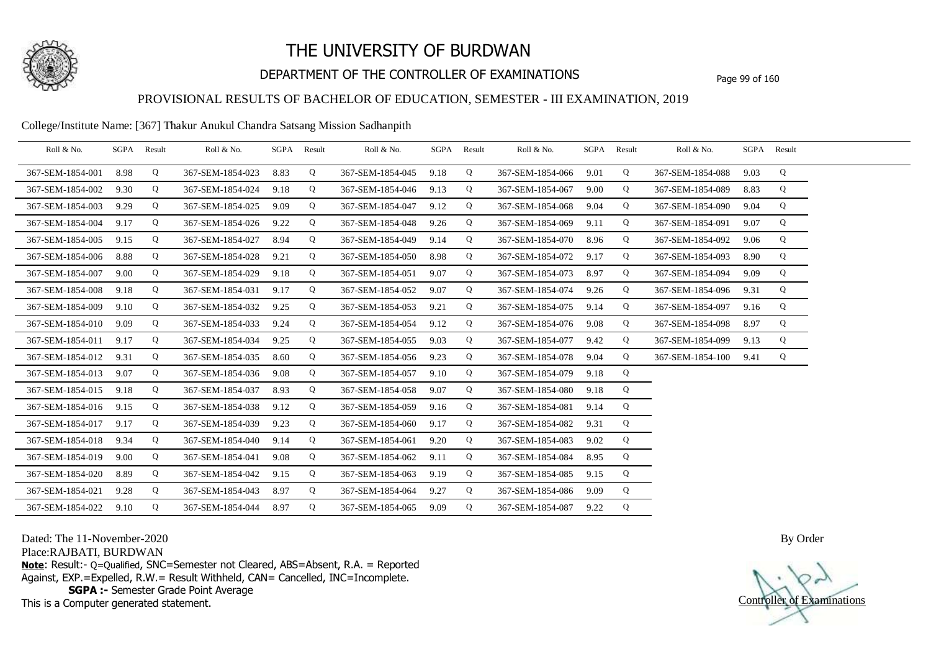

## DEPARTMENT OF THE CONTROLLER OF EXAMINATIONS Page 99 of 160

## PROVISIONAL RESULTS OF BACHELOR OF EDUCATION, SEMESTER - III EXAMINATION, 2019

College/Institute Name: [367] Thakur Anukul Chandra Satsang Mission Sadhanpith

| Roll & No.       |      | SGPA Result | Roll & No.       |      | SGPA Result | Roll & No.            | SGPA | Result | Roll & No.       |      | SGPA Result | Roll & No.       |      | SGPA Result |  |
|------------------|------|-------------|------------------|------|-------------|-----------------------|------|--------|------------------|------|-------------|------------------|------|-------------|--|
| 367-SEM-1854-001 | 8.98 | Q           | 367-SEM-1854-023 | 8.83 | Q           | 367-SEM-1854-045 9.18 |      | Q      | 367-SEM-1854-066 | 9.01 | Q           | 367-SEM-1854-088 | 9.03 | Q           |  |
| 367-SEM-1854-002 | 9.30 | Q           | 367-SEM-1854-024 | 9.18 | Q           | 367-SEM-1854-046      | 9.13 | Q      | 367-SEM-1854-067 | 9.00 | Q           | 367-SEM-1854-089 | 8.83 | Q           |  |
| 367-SEM-1854-003 | 9.29 | Q           | 367-SEM-1854-025 | 9.09 | Q           | 367-SEM-1854-047      | 9.12 | Q      | 367-SEM-1854-068 | 9.04 | Q           | 367-SEM-1854-090 | 9.04 | Q           |  |
| 367-SEM-1854-004 | 9.17 | Q           | 367-SEM-1854-026 | 9.22 | Q           | 367-SEM-1854-048      | 9.26 | Q      | 367-SEM-1854-069 | 9.11 | Q           | 367-SEM-1854-091 | 9.07 | Q           |  |
| 367-SEM-1854-005 | 9.15 | Q           | 367-SEM-1854-027 | 8.94 | Q           | 367-SEM-1854-049      | 9.14 | Q      | 367-SEM-1854-070 | 8.96 | Q           | 367-SEM-1854-092 | 9.06 | Q           |  |
| 367-SEM-1854-006 | 8.88 | Q           | 367-SEM-1854-028 | 9.21 | Q           | 367-SEM-1854-050      | 8.98 | Q      | 367-SEM-1854-072 | 9.17 | Q           | 367-SEM-1854-093 | 8.90 | Q           |  |
| 367-SEM-1854-007 | 9.00 | Q           | 367-SEM-1854-029 | 9.18 | Q           | 367-SEM-1854-051      | 9.07 | Q      | 367-SEM-1854-073 | 8.97 | Q           | 367-SEM-1854-094 | 9.09 | Q           |  |
| 367-SEM-1854-008 | 9.18 | Q           | 367-SEM-1854-031 | 9.17 | Q           | 367-SEM-1854-052      | 9.07 | Q      | 367-SEM-1854-074 | 9.26 | Q           | 367-SEM-1854-096 | 9.31 | Q           |  |
| 367-SEM-1854-009 | 9.10 | Q           | 367-SEM-1854-032 | 9.25 | Q           | 367-SEM-1854-053      | 9.21 | Q      | 367-SEM-1854-075 | 9.14 | Q           | 367-SEM-1854-097 | 9.16 | Q           |  |
| 367-SEM-1854-010 | 9.09 | Q           | 367-SEM-1854-033 | 9.24 | Q           | 367-SEM-1854-054      | 9.12 | Q      | 367-SEM-1854-076 | 9.08 | Q           | 367-SEM-1854-098 | 8.97 | Q           |  |
| 367-SEM-1854-011 | 9.17 | Q           | 367-SEM-1854-034 | 9.25 | Q           | 367-SEM-1854-055      | 9.03 | Q      | 367-SEM-1854-077 | 9.42 | Q           | 367-SEM-1854-099 | 9.13 | Q           |  |
| 367-SEM-1854-012 | 9.31 | Q           | 367-SEM-1854-035 | 8.60 | Q           | 367-SEM-1854-056      | 9.23 | Q      | 367-SEM-1854-078 | 9.04 | Q           | 367-SEM-1854-100 | 9.41 | Q           |  |
| 367-SEM-1854-013 | 9.07 | Q           | 367-SEM-1854-036 | 9.08 | Q           | 367-SEM-1854-057      | 9.10 | Q      | 367-SEM-1854-079 | 9.18 | Q           |                  |      |             |  |
| 367-SEM-1854-015 | 9.18 | Q           | 367-SEM-1854-037 | 8.93 | Q           | 367-SEM-1854-058      | 9.07 | Q      | 367-SEM-1854-080 | 9.18 | Q           |                  |      |             |  |
| 367-SEM-1854-016 | 9.15 | Q           | 367-SEM-1854-038 | 9.12 | Q           | 367-SEM-1854-059      | 9.16 | Q      | 367-SEM-1854-081 | 9.14 | Q           |                  |      |             |  |
| 367-SEM-1854-017 | 9.17 | Q           | 367-SEM-1854-039 | 9.23 | Q           | 367-SEM-1854-060      | 9.17 | Q      | 367-SEM-1854-082 | 9.31 | Q           |                  |      |             |  |
| 367-SEM-1854-018 | 9.34 | Q           | 367-SEM-1854-040 | 9.14 | Q           | 367-SEM-1854-061      | 9.20 | Q      | 367-SEM-1854-083 | 9.02 | Q           |                  |      |             |  |
| 367-SEM-1854-019 | 9.00 | Q           | 367-SEM-1854-041 | 9.08 | Q           | 367-SEM-1854-062      | 9.11 | Q      | 367-SEM-1854-084 | 8.95 | Q           |                  |      |             |  |
| 367-SEM-1854-020 | 8.89 | Q           | 367-SEM-1854-042 | 9.15 | Q           | 367-SEM-1854-063      | 9.19 | Q      | 367-SEM-1854-085 | 9.15 | Q           |                  |      |             |  |
| 367-SEM-1854-021 | 9.28 | Q           | 367-SEM-1854-043 | 8.97 | Q           | 367-SEM-1854-064      | 9.27 | Q      | 367-SEM-1854-086 | 9.09 | Q           |                  |      |             |  |
| 367-SEM-1854-022 | 9.10 | Q           | 367-SEM-1854-044 | 8.97 | Q           | 367-SEM-1854-065      | 9.09 | Q      | 367-SEM-1854-087 | 9.22 | Q           |                  |      |             |  |

Dated: The 11-November-2020

Place:RAJBATI, BURDWAN

**Note**: Result:- Q=Qualified, SNC=Semester not Cleared, ABS=Absent, R.A. = Reported Against, EXP.=Expelled, R.W.= Result Withheld, CAN= Cancelled, INC=Incomplete. **SGPA :-** Semester Grade Point Average

This is a Computer generated statement.

Controller of Examinations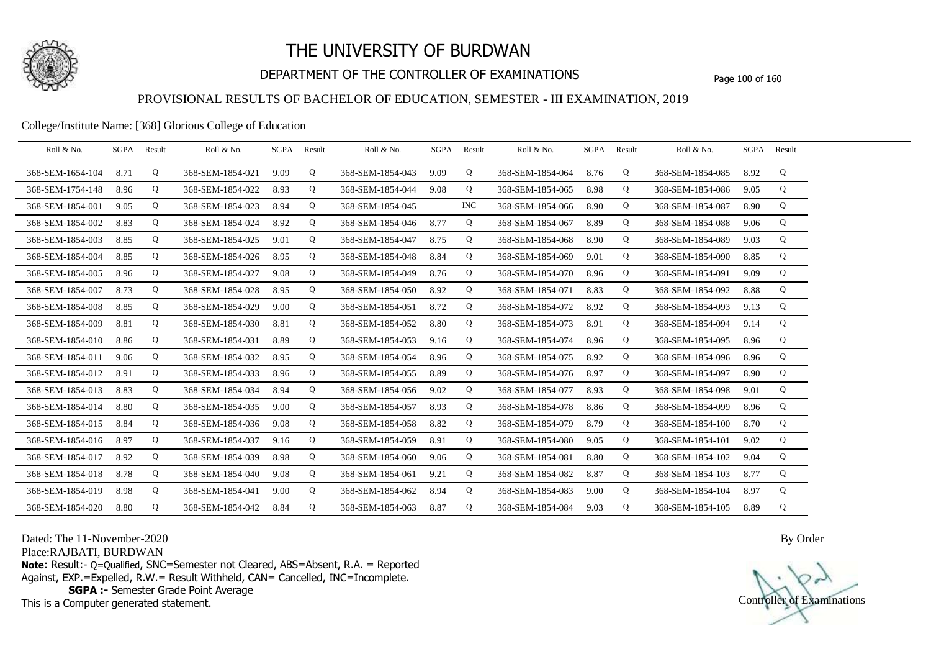

## DEPARTMENT OF THE CONTROLLER OF EXAMINATIONS Page 100 of 160

### PROVISIONAL RESULTS OF BACHELOR OF EDUCATION, SEMESTER - III EXAMINATION, 2019

#### College/Institute Name: [368] Glorious College of Education

| Roll & No.       | SGPA | Result | Roll & No.       |      | SGPA Result | Roll & No.       |      | SGPA Result | Roll & No.       | SGPA | Result | Roll & No.       |      | SGPA Result |  |
|------------------|------|--------|------------------|------|-------------|------------------|------|-------------|------------------|------|--------|------------------|------|-------------|--|
| 368-SEM-1654-104 | 8.71 | Q      | 368-SEM-1854-021 | 9.09 | Q           | 368-SEM-1854-043 | 9.09 | Q           | 368-SEM-1854-064 | 8.76 | Q      | 368-SEM-1854-085 | 8.92 | Q           |  |
| 368-SEM-1754-148 | 8.96 | Q      | 368-SEM-1854-022 | 8.93 | Q           | 368-SEM-1854-044 | 9.08 | Q           | 368-SEM-1854-065 | 8.98 | Q      | 368-SEM-1854-086 | 9.05 | Q           |  |
| 368-SEM-1854-001 | 9.05 | Q      | 368-SEM-1854-023 | 8.94 | Q           | 368-SEM-1854-045 |      | <b>INC</b>  | 368-SEM-1854-066 | 8.90 | Q      | 368-SEM-1854-087 | 8.90 | Q           |  |
| 368-SEM-1854-002 | 8.83 | Q      | 368-SEM-1854-024 | 8.92 | Q           | 368-SEM-1854-046 | 8.77 | Q           | 368-SEM-1854-067 | 8.89 | Q      | 368-SEM-1854-088 | 9.06 | Q           |  |
| 368-SEM-1854-003 | 8.85 | Q      | 368-SEM-1854-025 | 9.01 | Q           | 368-SEM-1854-047 | 8.75 | Q           | 368-SEM-1854-068 | 8.90 | Q      | 368-SEM-1854-089 | 9.03 | Q           |  |
| 368-SEM-1854-004 | 8.85 | Q      | 368-SEM-1854-026 | 8.95 | Q           | 368-SEM-1854-048 | 8.84 | Q           | 368-SEM-1854-069 | 9.01 | Q      | 368-SEM-1854-090 | 8.85 | Q           |  |
| 368-SEM-1854-005 | 8.96 | Q      | 368-SEM-1854-027 | 9.08 | Q           | 368-SEM-1854-049 | 8.76 | Q           | 368-SEM-1854-070 | 8.96 | Q      | 368-SEM-1854-091 | 9.09 | Q           |  |
| 368-SEM-1854-007 | 8.73 | Q      | 368-SEM-1854-028 | 8.95 | Q           | 368-SEM-1854-050 | 8.92 | Q           | 368-SEM-1854-071 | 8.83 | Q      | 368-SEM-1854-092 | 8.88 | Q           |  |
| 368-SEM-1854-008 | 8.85 | Q      | 368-SEM-1854-029 | 9.00 | Q           | 368-SEM-1854-051 | 8.72 | Q           | 368-SEM-1854-072 | 8.92 | Q      | 368-SEM-1854-093 | 9.13 | Q           |  |
| 368-SEM-1854-009 | 8.81 | Q      | 368-SEM-1854-030 | 8.81 | Q           | 368-SEM-1854-052 | 8.80 | Q           | 368-SEM-1854-073 | 8.91 | Q      | 368-SEM-1854-094 | 9.14 | Q           |  |
| 368-SEM-1854-010 | 8.86 | Q      | 368-SEM-1854-031 | 8.89 | Q           | 368-SEM-1854-053 | 9.16 | Q           | 368-SEM-1854-074 | 8.96 | Q      | 368-SEM-1854-095 | 8.96 | Q           |  |
| 368-SEM-1854-011 | 9.06 | Q      | 368-SEM-1854-032 | 8.95 | Q           | 368-SEM-1854-054 | 8.96 | Q           | 368-SEM-1854-075 | 8.92 | Q      | 368-SEM-1854-096 | 8.96 | Q           |  |
| 368-SEM-1854-012 | 8.91 | Q      | 368-SEM-1854-033 | 8.96 | Q           | 368-SEM-1854-055 | 8.89 | Q           | 368-SEM-1854-076 | 8.97 | Q      | 368-SEM-1854-097 | 8.90 | Q           |  |
| 368-SEM-1854-013 | 8.83 | Q      | 368-SEM-1854-034 | 8.94 | Q           | 368-SEM-1854-056 | 9.02 | Q           | 368-SEM-1854-077 | 8.93 | Q      | 368-SEM-1854-098 | 9.01 | Q           |  |
| 368-SEM-1854-014 | 8.80 | Q      | 368-SEM-1854-035 | 9.00 | Q           | 368-SEM-1854-057 | 8.93 | Q           | 368-SEM-1854-078 | 8.86 | Q      | 368-SEM-1854-099 | 8.96 | Q           |  |
| 368-SEM-1854-015 | 8.84 | Q      | 368-SEM-1854-036 | 9.08 | Q           | 368-SEM-1854-058 | 8.82 | Q           | 368-SEM-1854-079 | 8.79 | Q      | 368-SEM-1854-100 | 8.70 | Q           |  |
| 368-SEM-1854-016 | 8.97 | Q      | 368-SEM-1854-037 | 9.16 | Q           | 368-SEM-1854-059 | 8.91 | Q           | 368-SEM-1854-080 | 9.05 | Q      | 368-SEM-1854-101 | 9.02 | Q           |  |
| 368-SEM-1854-017 | 8.92 | Q      | 368-SEM-1854-039 | 8.98 | Q           | 368-SEM-1854-060 | 9.06 | Q           | 368-SEM-1854-081 | 8.80 | Q      | 368-SEM-1854-102 | 9.04 | Q           |  |
| 368-SEM-1854-018 | 8.78 | Q      | 368-SEM-1854-040 | 9.08 | Q           | 368-SEM-1854-061 | 9.21 | Q           | 368-SEM-1854-082 | 8.87 | Q      | 368-SEM-1854-103 | 8.77 | Q           |  |
| 368-SEM-1854-019 | 8.98 | Q      | 368-SEM-1854-041 | 9.00 | Q           | 368-SEM-1854-062 | 8.94 | Q           | 368-SEM-1854-083 | 9.00 | Q      | 368-SEM-1854-104 | 8.97 | Q           |  |
| 368-SEM-1854-020 | 8.80 | Q      | 368-SEM-1854-042 | 8.84 | Q           | 368-SEM-1854-063 | 8.87 | Q           | 368-SEM-1854-084 | 9.03 | Q      | 368-SEM-1854-105 | 8.89 | Q           |  |

Dated: The 11-November-2020

Place:RAJBATI, BURDWAN

**Note**: Result:- Q=Qualified, SNC=Semester not Cleared, ABS=Absent, R.A. = Reported Against, EXP.=Expelled, R.W.= Result Withheld, CAN= Cancelled, INC=Incomplete. **SGPA :-** Semester Grade Point Average

This is a Computer generated statement.

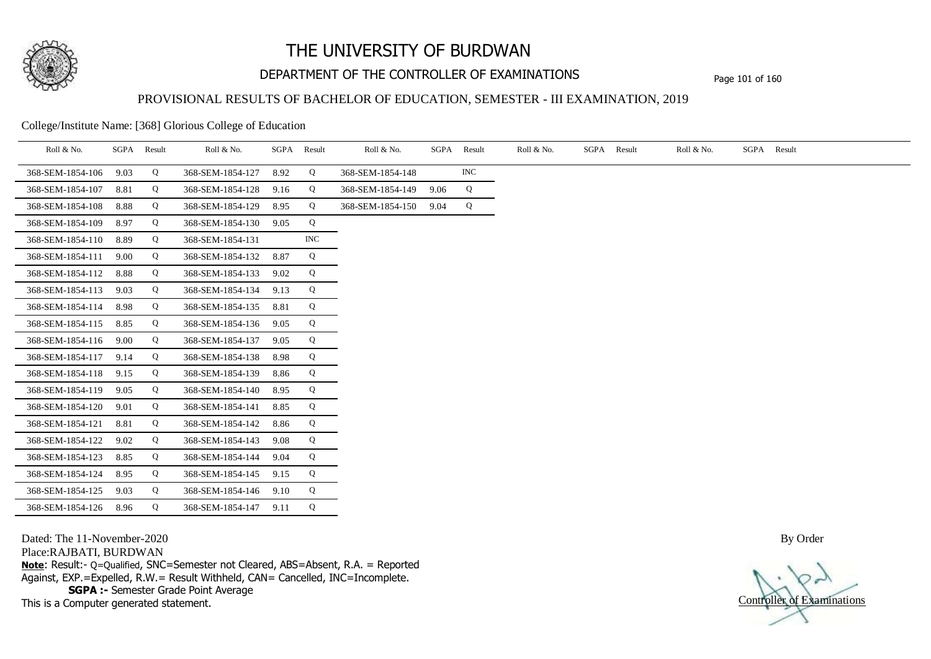

## DEPARTMENT OF THE CONTROLLER OF EXAMINATIONS Page 101 of 160

### PROVISIONAL RESULTS OF BACHELOR OF EDUCATION, SEMESTER - III EXAMINATION, 2019

College/Institute Name: [368] Glorious College of Education

| Roll & No.       | SGPA | Result | Roll & No.       | SGPA | Result     | Roll & No.       |      | SGPA Result | Roll & No. | SGPA | Result | Roll & No. | SGPA Result |
|------------------|------|--------|------------------|------|------------|------------------|------|-------------|------------|------|--------|------------|-------------|
| 368-SEM-1854-106 | 9.03 | Q      | 368-SEM-1854-127 | 8.92 | Q          | 368-SEM-1854-148 |      | INC         |            |      |        |            |             |
| 368-SEM-1854-107 | 8.81 | Q      | 368-SEM-1854-128 | 9.16 | Q          | 368-SEM-1854-149 | 9.06 | Q           |            |      |        |            |             |
| 368-SEM-1854-108 | 8.88 | Q      | 368-SEM-1854-129 | 8.95 | Q          | 368-SEM-1854-150 | 9.04 | Q           |            |      |        |            |             |
| 368-SEM-1854-109 | 8.97 | Q      | 368-SEM-1854-130 | 9.05 | Q          |                  |      |             |            |      |        |            |             |
| 368-SEM-1854-110 | 8.89 | Q      | 368-SEM-1854-131 |      | <b>INC</b> |                  |      |             |            |      |        |            |             |
| 368-SEM-1854-111 | 9.00 | Q      | 368-SEM-1854-132 | 8.87 | Q          |                  |      |             |            |      |        |            |             |
| 368-SEM-1854-112 | 8.88 | Q      | 368-SEM-1854-133 | 9.02 | Q          |                  |      |             |            |      |        |            |             |
| 368-SEM-1854-113 | 9.03 | Q      | 368-SEM-1854-134 | 9.13 | Q          |                  |      |             |            |      |        |            |             |
| 368-SEM-1854-114 | 8.98 | Q      | 368-SEM-1854-135 | 8.81 | Q          |                  |      |             |            |      |        |            |             |
| 368-SEM-1854-115 | 8.85 | Q      | 368-SEM-1854-136 | 9.05 | Q          |                  |      |             |            |      |        |            |             |
| 368-SEM-1854-116 | 9.00 | Q      | 368-SEM-1854-137 | 9.05 | Q          |                  |      |             |            |      |        |            |             |
| 368-SEM-1854-117 | 9.14 | Q      | 368-SEM-1854-138 | 8.98 | Q          |                  |      |             |            |      |        |            |             |
| 368-SEM-1854-118 | 9.15 | Q      | 368-SEM-1854-139 | 8.86 | Q          |                  |      |             |            |      |        |            |             |
| 368-SEM-1854-119 | 9.05 | Q      | 368-SEM-1854-140 | 8.95 | Q          |                  |      |             |            |      |        |            |             |
| 368-SEM-1854-120 | 9.01 | Q      | 368-SEM-1854-141 | 8.85 | Q          |                  |      |             |            |      |        |            |             |
| 368-SEM-1854-121 | 8.81 | Q      | 368-SEM-1854-142 | 8.86 | Q          |                  |      |             |            |      |        |            |             |
| 368-SEM-1854-122 | 9.02 | Q      | 368-SEM-1854-143 | 9.08 | Q          |                  |      |             |            |      |        |            |             |
| 368-SEM-1854-123 | 8.85 | Q      | 368-SEM-1854-144 | 9.04 | Q          |                  |      |             |            |      |        |            |             |
| 368-SEM-1854-124 | 8.95 | Q      | 368-SEM-1854-145 | 9.15 | Q          |                  |      |             |            |      |        |            |             |
| 368-SEM-1854-125 | 9.03 | Q      | 368-SEM-1854-146 | 9.10 | Q          |                  |      |             |            |      |        |            |             |
| 368-SEM-1854-126 | 8.96 | Q      | 368-SEM-1854-147 | 9.11 | Q          |                  |      |             |            |      |        |            |             |

Dated: The 11-November-2020

Place:RAJBATI, BURDWAN

**Note**: Result:- Q=Qualified, SNC=Semester not Cleared, ABS=Absent, R.A. = Reported Against, EXP.=Expelled, R.W.= Result Withheld, CAN= Cancelled, INC=Incomplete. **SGPA :-** Semester Grade Point Average

This is a Computer generated statement.

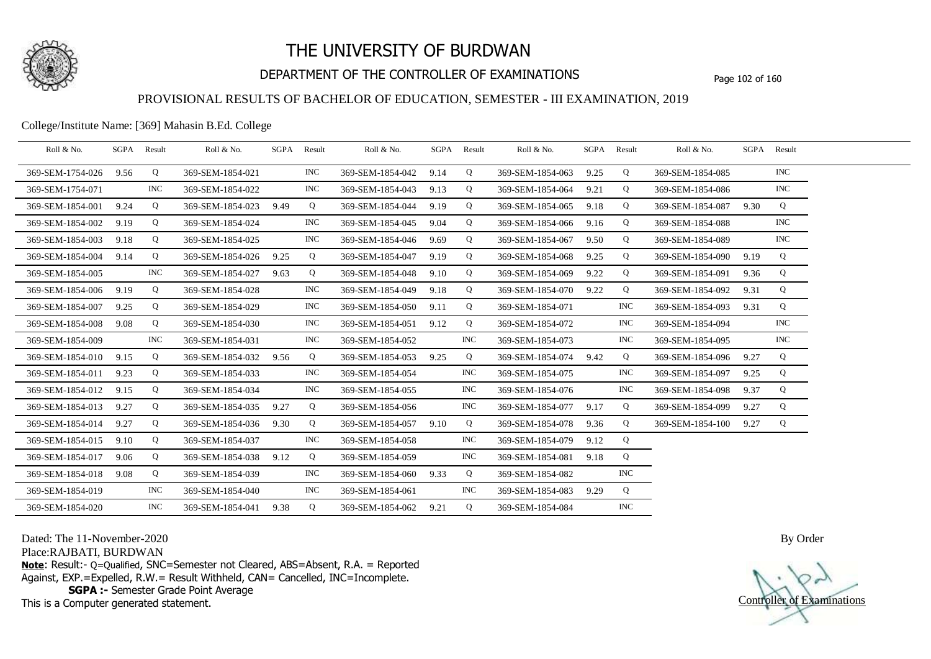

## DEPARTMENT OF THE CONTROLLER OF EXAMINATIONS Page 102 of 160

### PROVISIONAL RESULTS OF BACHELOR OF EDUCATION, SEMESTER - III EXAMINATION, 2019

College/Institute Name: [369] Mahasin B.Ed. College

| Roll & No.       |      | SGPA Result | Roll & No.       | SGPA | Result     | Roll & No.       | SGPA | Result     | Roll & No.       | SGPA | Result     | Roll & No.       |      | SGPA Result |  |
|------------------|------|-------------|------------------|------|------------|------------------|------|------------|------------------|------|------------|------------------|------|-------------|--|
| 369-SEM-1754-026 | 9.56 | Q           | 369-SEM-1854-021 |      | <b>INC</b> | 369-SEM-1854-042 | 9.14 | Q          | 369-SEM-1854-063 | 9.25 | Q          | 369-SEM-1854-085 |      | <b>INC</b>  |  |
| 369-SEM-1754-071 |      | <b>INC</b>  | 369-SEM-1854-022 |      | <b>INC</b> | 369-SEM-1854-043 | 9.13 | Q          | 369-SEM-1854-064 | 9.21 | Q          | 369-SEM-1854-086 |      | <b>INC</b>  |  |
| 369-SEM-1854-001 | 9.24 | Q           | 369-SEM-1854-023 | 9.49 | Q          | 369-SEM-1854-044 | 9.19 | Q          | 369-SEM-1854-065 | 9.18 | Q          | 369-SEM-1854-087 | 9.30 | Q           |  |
| 369-SEM-1854-002 | 9.19 | Q           | 369-SEM-1854-024 |      | <b>INC</b> | 369-SEM-1854-045 | 9.04 | Q          | 369-SEM-1854-066 | 9.16 | Q          | 369-SEM-1854-088 |      | <b>INC</b>  |  |
| 369-SEM-1854-003 | 9.18 | Q           | 369-SEM-1854-025 |      | <b>INC</b> | 369-SEM-1854-046 | 9.69 | Q          | 369-SEM-1854-067 | 9.50 | Q          | 369-SEM-1854-089 |      | <b>INC</b>  |  |
| 369-SEM-1854-004 | 9.14 | Q           | 369-SEM-1854-026 | 9.25 | Q          | 369-SEM-1854-047 | 9.19 | Q          | 369-SEM-1854-068 | 9.25 | Q          | 369-SEM-1854-090 | 9.19 | Q           |  |
| 369-SEM-1854-005 |      | <b>INC</b>  | 369-SEM-1854-027 | 9.63 | Q          | 369-SEM-1854-048 | 9.10 | Q          | 369-SEM-1854-069 | 9.22 | Q          | 369-SEM-1854-091 | 9.36 | Q           |  |
| 369-SEM-1854-006 | 9.19 | Q           | 369-SEM-1854-028 |      | <b>INC</b> | 369-SEM-1854-049 | 9.18 | Q          | 369-SEM-1854-070 | 9.22 | Q          | 369-SEM-1854-092 | 9.31 | Q           |  |
| 369-SEM-1854-007 | 9.25 | Q           | 369-SEM-1854-029 |      | <b>INC</b> | 369-SEM-1854-050 | 9.11 | Q          | 369-SEM-1854-071 |      | <b>INC</b> | 369-SEM-1854-093 | 9.31 | Q           |  |
| 369-SEM-1854-008 | 9.08 | Q           | 369-SEM-1854-030 |      | <b>INC</b> | 369-SEM-1854-051 | 9.12 | Q          | 369-SEM-1854-072 |      | <b>INC</b> | 369-SEM-1854-094 |      | <b>INC</b>  |  |
| 369-SEM-1854-009 |      | <b>INC</b>  | 369-SEM-1854-031 |      | <b>INC</b> | 369-SEM-1854-052 |      | <b>INC</b> | 369-SEM-1854-073 |      | <b>INC</b> | 369-SEM-1854-095 |      | <b>INC</b>  |  |
| 369-SEM-1854-010 | 9.15 | Q           | 369-SEM-1854-032 | 9.56 | Q          | 369-SEM-1854-053 | 9.25 | Q          | 369-SEM-1854-074 | 9.42 | Q          | 369-SEM-1854-096 | 9.27 | Q           |  |
| 369-SEM-1854-011 | 9.23 | Q           | 369-SEM-1854-033 |      | <b>INC</b> | 369-SEM-1854-054 |      | <b>INC</b> | 369-SEM-1854-075 |      | <b>INC</b> | 369-SEM-1854-097 | 9.25 | Q           |  |
| 369-SEM-1854-012 | 9.15 | Q           | 369-SEM-1854-034 |      | <b>INC</b> | 369-SEM-1854-055 |      | <b>INC</b> | 369-SEM-1854-076 |      | <b>INC</b> | 369-SEM-1854-098 | 9.37 | Q           |  |
| 369-SEM-1854-013 | 9.27 | Q           | 369-SEM-1854-035 | 9.27 | Q          | 369-SEM-1854-056 |      | <b>INC</b> | 369-SEM-1854-077 | 9.17 | Q          | 369-SEM-1854-099 | 9.27 | Q           |  |
| 369-SEM-1854-014 | 9.27 | Q           | 369-SEM-1854-036 | 9.30 | Q          | 369-SEM-1854-057 | 9.10 | Q          | 369-SEM-1854-078 | 9.36 | Q          | 369-SEM-1854-100 | 9.27 | Q           |  |
| 369-SEM-1854-015 | 9.10 | Q           | 369-SEM-1854-037 |      | <b>INC</b> | 369-SEM-1854-058 |      | <b>INC</b> | 369-SEM-1854-079 | 9.12 | Q          |                  |      |             |  |
| 369-SEM-1854-017 | 9.06 | Q           | 369-SEM-1854-038 | 9.12 | Q          | 369-SEM-1854-059 |      | <b>INC</b> | 369-SEM-1854-081 | 9.18 | Q          |                  |      |             |  |
| 369-SEM-1854-018 | 9.08 | Q           | 369-SEM-1854-039 |      | <b>INC</b> | 369-SEM-1854-060 | 9.33 | Q          | 369-SEM-1854-082 |      | <b>INC</b> |                  |      |             |  |
| 369-SEM-1854-019 |      | <b>INC</b>  | 369-SEM-1854-040 |      | <b>INC</b> | 369-SEM-1854-061 |      | <b>INC</b> | 369-SEM-1854-083 | 9.29 | Q          |                  |      |             |  |
| 369-SEM-1854-020 |      | <b>INC</b>  | 369-SEM-1854-041 | 9.38 | Q          | 369-SEM-1854-062 | 9.21 | Q          | 369-SEM-1854-084 |      | <b>INC</b> |                  |      |             |  |

Dated: The 11-November-2020

Place:RAJBATI, BURDWAN

**Note**: Result:- Q=Qualified, SNC=Semester not Cleared, ABS=Absent, R.A. = Reported Against, EXP.=Expelled, R.W.= Result Withheld, CAN= Cancelled, INC=Incomplete. **SGPA :-** Semester Grade Point Average

This is a Computer generated statement.

Controller of Examinations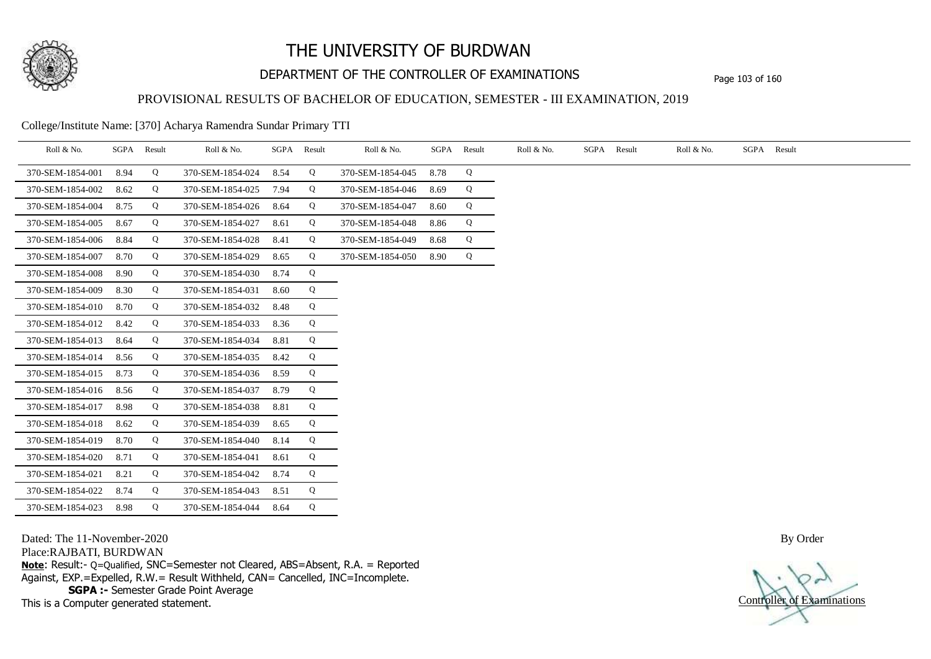

## DEPARTMENT OF THE CONTROLLER OF EXAMINATIONS Page 103 of 160

### PROVISIONAL RESULTS OF BACHELOR OF EDUCATION, SEMESTER - III EXAMINATION, 2019

College/Institute Name: [370] Acharya Ramendra Sundar Primary TTI

| Roll & No.       |      | SGPA Result | Roll & No.       |      | SGPA Result | Roll & No.       | SGPA | Result | Roll & No. | SGPA Result | Roll & No. | SGPA Result |
|------------------|------|-------------|------------------|------|-------------|------------------|------|--------|------------|-------------|------------|-------------|
| 370-SEM-1854-001 | 8.94 | Q           | 370-SEM-1854-024 | 8.54 | Q           | 370-SEM-1854-045 | 8.78 | Q      |            |             |            |             |
| 370-SEM-1854-002 | 8.62 | Q           | 370-SEM-1854-025 | 7.94 | Q           | 370-SEM-1854-046 | 8.69 | Q      |            |             |            |             |
| 370-SEM-1854-004 | 8.75 | Q           | 370-SEM-1854-026 | 8.64 | Q           | 370-SEM-1854-047 | 8.60 | Q      |            |             |            |             |
| 370-SEM-1854-005 | 8.67 | Q           | 370-SEM-1854-027 | 8.61 | Q           | 370-SEM-1854-048 | 8.86 | Q      |            |             |            |             |
| 370-SEM-1854-006 | 8.84 | Q           | 370-SEM-1854-028 | 8.41 | Q           | 370-SEM-1854-049 | 8.68 | Q      |            |             |            |             |
| 370-SEM-1854-007 | 8.70 | Q           | 370-SEM-1854-029 | 8.65 | Q           | 370-SEM-1854-050 | 8.90 | Q      |            |             |            |             |
| 370-SEM-1854-008 | 8.90 | Q           | 370-SEM-1854-030 | 8.74 | Q           |                  |      |        |            |             |            |             |
| 370-SEM-1854-009 | 8.30 | Q           | 370-SEM-1854-031 | 8.60 | Q           |                  |      |        |            |             |            |             |
| 370-SEM-1854-010 | 8.70 | Q           | 370-SEM-1854-032 | 8.48 | Q           |                  |      |        |            |             |            |             |
| 370-SEM-1854-012 | 8.42 | Q           | 370-SEM-1854-033 | 8.36 | Q           |                  |      |        |            |             |            |             |
| 370-SEM-1854-013 | 8.64 | Q           | 370-SEM-1854-034 | 8.81 | Q           |                  |      |        |            |             |            |             |
| 370-SEM-1854-014 | 8.56 | Q           | 370-SEM-1854-035 | 8.42 | Q           |                  |      |        |            |             |            |             |
| 370-SEM-1854-015 | 8.73 | Q           | 370-SEM-1854-036 | 8.59 | Q           |                  |      |        |            |             |            |             |
| 370-SEM-1854-016 | 8.56 | Q           | 370-SEM-1854-037 | 8.79 | Q           |                  |      |        |            |             |            |             |
| 370-SEM-1854-017 | 8.98 | Q           | 370-SEM-1854-038 | 8.81 | Q           |                  |      |        |            |             |            |             |
| 370-SEM-1854-018 | 8.62 | Q           | 370-SEM-1854-039 | 8.65 | Q           |                  |      |        |            |             |            |             |
| 370-SEM-1854-019 | 8.70 | Q           | 370-SEM-1854-040 | 8.14 | Q           |                  |      |        |            |             |            |             |
| 370-SEM-1854-020 | 8.71 | Q           | 370-SEM-1854-041 | 8.61 | Q           |                  |      |        |            |             |            |             |
| 370-SEM-1854-021 | 8.21 | Q           | 370-SEM-1854-042 | 8.74 | Q           |                  |      |        |            |             |            |             |
| 370-SEM-1854-022 | 8.74 | Q           | 370-SEM-1854-043 | 8.51 | Q           |                  |      |        |            |             |            |             |
| 370-SEM-1854-023 | 8.98 | Q           | 370-SEM-1854-044 | 8.64 | Q           |                  |      |        |            |             |            |             |

Dated: The 11-November-2020

Place:RAJBATI, BURDWAN

**Note**: Result:- Q=Qualified, SNC=Semester not Cleared, ABS=Absent, R.A. = Reported Against, EXP.=Expelled, R.W.= Result Withheld, CAN= Cancelled, INC=Incomplete. **SGPA :-** Semester Grade Point Average

This is a Computer generated statement.

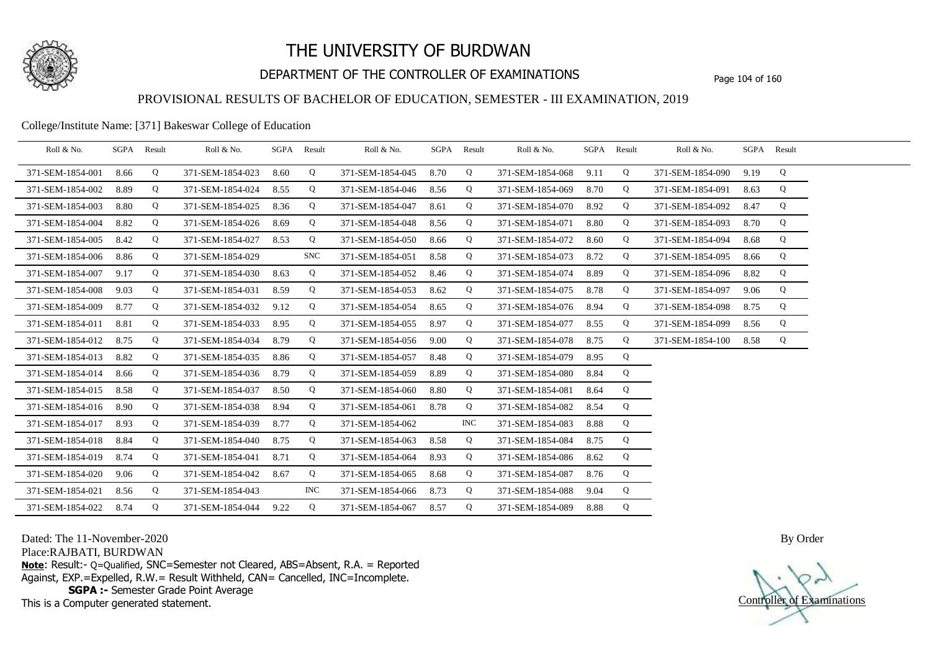

## DEPARTMENT OF THE CONTROLLER OF EXAMINATIONS Page 104 of 160

### PROVISIONAL RESULTS OF BACHELOR OF EDUCATION, SEMESTER - III EXAMINATION, 2019

### College/Institute Name: [371] Bakeswar College of Education

| Roll & No.       |      | SGPA Result | Roll & No.       |      | SGPA Result | Roll & No.       |      | SGPA Result | Roll & No.       |      | SGPA Result | Roll & No.       |      | SGPA Result |  |
|------------------|------|-------------|------------------|------|-------------|------------------|------|-------------|------------------|------|-------------|------------------|------|-------------|--|
| 371-SEM-1854-001 | 8.66 | Q           | 371-SEM-1854-023 | 8.60 | Q           | 371-SEM-1854-045 | 8.70 | Q           | 371-SEM-1854-068 | 9.11 | Q           | 371-SEM-1854-090 | 9.19 | Q           |  |
| 371-SEM-1854-002 | 8.89 | Q           | 371-SEM-1854-024 | 8.55 | Q           | 371-SEM-1854-046 | 8.56 | Q           | 371-SEM-1854-069 | 8.70 | Q           | 371-SEM-1854-091 | 8.63 | Q           |  |
| 371-SEM-1854-003 | 8.80 | Q           | 371-SEM-1854-025 | 8.36 | Q           | 371-SEM-1854-047 | 8.61 | Q           | 371-SEM-1854-070 | 8.92 | Q           | 371-SEM-1854-092 | 8.47 | Q           |  |
| 371-SEM-1854-004 | 8.82 | Q           | 371-SEM-1854-026 | 8.69 | Q           | 371-SEM-1854-048 | 8.56 | Q           | 371-SEM-1854-071 | 8.80 | Q           | 371-SEM-1854-093 | 8.70 | Q           |  |
| 371-SEM-1854-005 | 8.42 | Q           | 371-SEM-1854-027 | 8.53 | Q           | 371-SEM-1854-050 | 8.66 | Q           | 371-SEM-1854-072 | 8.60 | Q           | 371-SEM-1854-094 | 8.68 | Q           |  |
| 371-SEM-1854-006 | 8.86 | Q           | 371-SEM-1854-029 |      | <b>SNC</b>  | 371-SEM-1854-051 | 8.58 | Q           | 371-SEM-1854-073 | 8.72 | Q           | 371-SEM-1854-095 | 8.66 | Q           |  |
| 371-SEM-1854-007 | 9.17 | Q           | 371-SEM-1854-030 | 8.63 | Q           | 371-SEM-1854-052 | 8.46 | Q           | 371-SEM-1854-074 | 8.89 | Q           | 371-SEM-1854-096 | 8.82 | Q           |  |
| 371-SEM-1854-008 | 9.03 | Q           | 371-SEM-1854-031 | 8.59 | Q           | 371-SEM-1854-053 | 8.62 | Q           | 371-SEM-1854-075 | 8.78 | Q           | 371-SEM-1854-097 | 9.06 | Q           |  |
| 371-SEM-1854-009 | 8.77 | Q           | 371-SEM-1854-032 | 9.12 | Q           | 371-SEM-1854-054 | 8.65 | Q           | 371-SEM-1854-076 | 8.94 | Q           | 371-SEM-1854-098 | 8.75 | Q           |  |
| 371-SEM-1854-011 | 8.81 | Q           | 371-SEM-1854-033 | 8.95 | Q           | 371-SEM-1854-055 | 8.97 | Q           | 371-SEM-1854-077 | 8.55 | Q           | 371-SEM-1854-099 | 8.56 | Q           |  |
| 371-SEM-1854-012 | 8.75 | Q           | 371-SEM-1854-034 | 8.79 | Q           | 371-SEM-1854-056 | 9.00 | Q           | 371-SEM-1854-078 | 8.75 | Q           | 371-SEM-1854-100 | 8.58 | Q           |  |
| 371-SEM-1854-013 | 8.82 | Q           | 371-SEM-1854-035 | 8.86 | Q           | 371-SEM-1854-057 | 8.48 | Q           | 371-SEM-1854-079 | 8.95 | Q           |                  |      |             |  |
| 371-SEM-1854-014 | 8.66 | Q           | 371-SEM-1854-036 | 8.79 | Q           | 371-SEM-1854-059 | 8.89 | Q           | 371-SEM-1854-080 | 8.84 | Q           |                  |      |             |  |
| 371-SEM-1854-015 | 8.58 | Q           | 371-SEM-1854-037 | 8.50 | Q           | 371-SEM-1854-060 | 8.80 | Q           | 371-SEM-1854-081 | 8.64 | Q           |                  |      |             |  |
| 371-SEM-1854-016 | 8.90 | Q           | 371-SEM-1854-038 | 8.94 | Q           | 371-SEM-1854-061 | 8.78 | Q           | 371-SEM-1854-082 | 8.54 | Q           |                  |      |             |  |
| 371-SEM-1854-017 | 8.93 | Q           | 371-SEM-1854-039 | 8.77 | Q           | 371-SEM-1854-062 |      | INC         | 371-SEM-1854-083 | 8.88 | Q           |                  |      |             |  |
| 371-SEM-1854-018 | 8.84 | Q           | 371-SEM-1854-040 | 8.75 | Q           | 371-SEM-1854-063 | 8.58 | Q           | 371-SEM-1854-084 | 8.75 | Q           |                  |      |             |  |
| 371-SEM-1854-019 | 8.74 | Q           | 371-SEM-1854-041 | 8.71 | Q           | 371-SEM-1854-064 | 8.93 | Q           | 371-SEM-1854-086 | 8.62 | Q           |                  |      |             |  |
| 371-SEM-1854-020 | 9.06 | Q           | 371-SEM-1854-042 | 8.67 | Q           | 371-SEM-1854-065 | 8.68 | Q           | 371-SEM-1854-087 | 8.76 | Q           |                  |      |             |  |
| 371-SEM-1854-021 | 8.56 | Q           | 371-SEM-1854-043 |      | <b>INC</b>  | 371-SEM-1854-066 | 8.73 | Q           | 371-SEM-1854-088 | 9.04 | Q           |                  |      |             |  |
| 371-SEM-1854-022 | 8.74 | Q           | 371-SEM-1854-044 | 9.22 | Q           | 371-SEM-1854-067 | 8.57 | Q           | 371-SEM-1854-089 | 8.88 | Q           |                  |      |             |  |

Dated: The 11-November-2020

Place:RAJBATI, BURDWAN

**Note**: Result:- Q=Qualified, SNC=Semester not Cleared, ABS=Absent, R.A. = Reported Against, EXP.=Expelled, R.W.= Result Withheld, CAN= Cancelled, INC=Incomplete. **SGPA :-** Semester Grade Point Average

This is a Computer generated statement.

Controller of Examinations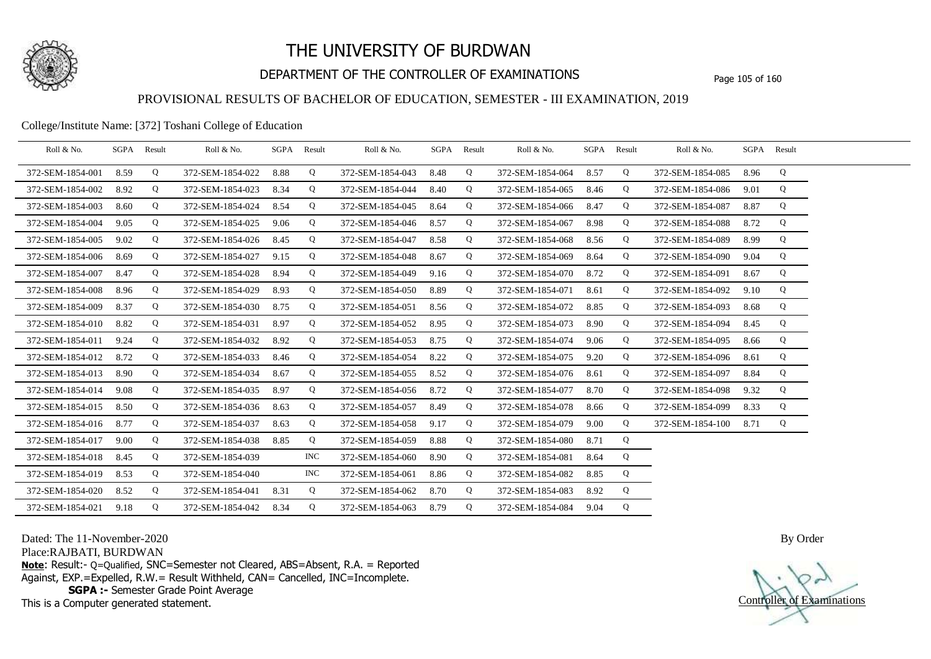

## DEPARTMENT OF THE CONTROLLER OF EXAMINATIONS Page 105 of 160

### PROVISIONAL RESULTS OF BACHELOR OF EDUCATION, SEMESTER - III EXAMINATION, 2019

College/Institute Name: [372] Toshani College of Education

| Roll & No.       | SGPA Result |   | Roll & No.       |      | SGPA Result | Roll & No.       | SGPA Result |   | Roll & No.            | SGPA Result |   | Roll & No.       |      | SGPA Result |  |
|------------------|-------------|---|------------------|------|-------------|------------------|-------------|---|-----------------------|-------------|---|------------------|------|-------------|--|
| 372-SEM-1854-001 | 8.59        | Q | 372-SEM-1854-022 | 8.88 | Q           | 372-SEM-1854-043 | 8.48        | Q | 372-SEM-1854-064      | 8.57        | Q | 372-SEM-1854-085 | 8.96 | Q           |  |
| 372-SEM-1854-002 | 8.92        | Q | 372-SEM-1854-023 | 8.34 | Q           | 372-SEM-1854-044 | 8.40        | Q | 372-SEM-1854-065      | 8.46        | Q | 372-SEM-1854-086 | 9.01 | Q           |  |
| 372-SEM-1854-003 | 8.60        | Q | 372-SEM-1854-024 | 8.54 | Q           | 372-SEM-1854-045 | 8.64        | Q | 372-SEM-1854-066      | 8.47        | Q | 372-SEM-1854-087 | 8.87 | Q           |  |
| 372-SEM-1854-004 | 9.05        | Q | 372-SEM-1854-025 | 9.06 | Q           | 372-SEM-1854-046 | 8.57        | Q | 372-SEM-1854-067      | 8.98        | Q | 372-SEM-1854-088 | 8.72 | Q           |  |
| 372-SEM-1854-005 | 9.02        | Q | 372-SEM-1854-026 | 8.45 | Q           | 372-SEM-1854-047 | 8.58        | Q | 372-SEM-1854-068      | 8.56        | Q | 372-SEM-1854-089 | 8.99 | Q           |  |
| 372-SEM-1854-006 | 8.69        | Q | 372-SEM-1854-027 | 9.15 | Q           | 372-SEM-1854-048 | 8.67        | Q | 372-SEM-1854-069      | 8.64        | Q | 372-SEM-1854-090 | 9.04 | Q           |  |
| 372-SEM-1854-007 | 8.47        | Q | 372-SEM-1854-028 | 8.94 | Q           | 372-SEM-1854-049 | 9.16        | Q | 372-SEM-1854-070      | 8.72        | Q | 372-SEM-1854-091 | 8.67 | Q           |  |
| 372-SEM-1854-008 | 8.96        | Q | 372-SEM-1854-029 | 8.93 | Q           | 372-SEM-1854-050 | 8.89        | Q | 372-SEM-1854-071      | 8.61        | Q | 372-SEM-1854-092 | 9.10 | Q           |  |
| 372-SEM-1854-009 | 8.37        | Q | 372-SEM-1854-030 | 8.75 | Q           | 372-SEM-1854-051 | 8.56        | Q | 372-SEM-1854-072      | 8.85        | Q | 372-SEM-1854-093 | 8.68 | Q           |  |
| 372-SEM-1854-010 | 8.82        | Q | 372-SEM-1854-031 | 8.97 | Q           | 372-SEM-1854-052 | 8.95        | Q | 372-SEM-1854-073      | 8.90        | Q | 372-SEM-1854-094 | 8.45 | Q           |  |
| 372-SEM-1854-011 | 9.24        | Q | 372-SEM-1854-032 | 8.92 | Q           | 372-SEM-1854-053 | 8.75        | Q | 372-SEM-1854-074      | 9.06        | Q | 372-SEM-1854-095 | 8.66 | Q           |  |
| 372-SEM-1854-012 | 8.72        | Q | 372-SEM-1854-033 | 8.46 | Q           | 372-SEM-1854-054 | 8.22        | Q | 372-SEM-1854-075      | 9.20        | Q | 372-SEM-1854-096 | 8.61 | Q           |  |
| 372-SEM-1854-013 | 8.90        | Q | 372-SEM-1854-034 | 8.67 | Q           | 372-SEM-1854-055 | 8.52        | Q | 372-SEM-1854-076      | 8.61        | Q | 372-SEM-1854-097 | 8.84 | Q           |  |
| 372-SEM-1854-014 | 9.08        | Q | 372-SEM-1854-035 | 8.97 | Q           | 372-SEM-1854-056 | 8.72        | Q | 372-SEM-1854-077      | 8.70        | Q | 372-SEM-1854-098 | 9.32 | Q           |  |
| 372-SEM-1854-015 | 8.50        | Q | 372-SEM-1854-036 | 8.63 | $\mathbf Q$ | 372-SEM-1854-057 | 8.49        | Q | 372-SEM-1854-078      | 8.66        | Q | 372-SEM-1854-099 | 8.33 | Q           |  |
| 372-SEM-1854-016 | 8.77        | Q | 372-SEM-1854-037 | 8.63 | Q           | 372-SEM-1854-058 | 9.17        | Q | 372-SEM-1854-079      | 9.00        | Q | 372-SEM-1854-100 | 8.71 | Q           |  |
| 372-SEM-1854-017 | 9.00        | Q | 372-SEM-1854-038 | 8.85 | Q           | 372-SEM-1854-059 | 8.88        | Q | 372-SEM-1854-080      | 8.71        | Q |                  |      |             |  |
| 372-SEM-1854-018 | 8.45        | Q | 372-SEM-1854-039 |      | <b>INC</b>  | 372-SEM-1854-060 | 8.90        | Q | 372-SEM-1854-081      | 8.64        | Q |                  |      |             |  |
| 372-SEM-1854-019 | 8.53        | Q | 372-SEM-1854-040 |      | INC.        | 372-SEM-1854-061 | 8.86        | Q | 372-SEM-1854-082      | 8.85        | Q |                  |      |             |  |
| 372-SEM-1854-020 | 8.52        | Q | 372-SEM-1854-041 | 8.31 | Q           | 372-SEM-1854-062 | 8.70        | Q | 372-SEM-1854-083      | 8.92        | Q |                  |      |             |  |
| 372-SEM-1854-021 | 9.18        | Q | 372-SEM-1854-042 | 8.34 | Q           | 372-SEM-1854-063 | 8.79        | Q | 372-SEM-1854-084 9.04 |             | Q |                  |      |             |  |

Dated: The 11-November-2020

Place:RAJBATI, BURDWAN

**Note**: Result:- Q=Qualified, SNC=Semester not Cleared, ABS=Absent, R.A. = Reported Against, EXP.=Expelled, R.W.= Result Withheld, CAN= Cancelled, INC=Incomplete. **SGPA :-** Semester Grade Point Average

This is a Computer generated statement.

Controller of Examinations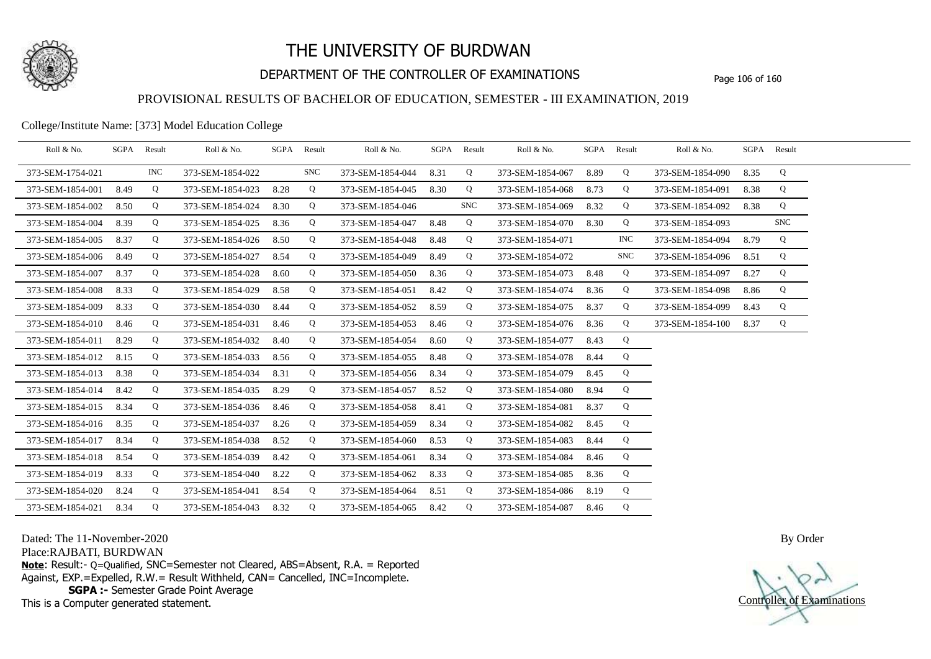

## DEPARTMENT OF THE CONTROLLER OF EXAMINATIONS Page 106 of 160

### PROVISIONAL RESULTS OF BACHELOR OF EDUCATION, SEMESTER - III EXAMINATION, 2019

College/Institute Name: [373] Model Education College

| Roll & No.       |      | SGPA Result | Roll & No.       | SGPA Result |            | Roll & No.       |      | SGPA Result | Roll & No.       |      | SGPA Result | Roll & No.       |      | SGPA Result |  |
|------------------|------|-------------|------------------|-------------|------------|------------------|------|-------------|------------------|------|-------------|------------------|------|-------------|--|
| 373-SEM-1754-021 |      | <b>INC</b>  | 373-SEM-1854-022 |             | <b>SNC</b> | 373-SEM-1854-044 | 8.31 | Q           | 373-SEM-1854-067 | 8.89 | Q           | 373-SEM-1854-090 | 8.35 | Q           |  |
| 373-SEM-1854-001 | 8.49 | Q           | 373-SEM-1854-023 | 8.28        | Q          | 373-SEM-1854-045 | 8.30 | Q           | 373-SEM-1854-068 | 8.73 | Q           | 373-SEM-1854-091 | 8.38 | Q           |  |
| 373-SEM-1854-002 | 8.50 | Q           | 373-SEM-1854-024 | 8.30        | Q          | 373-SEM-1854-046 |      | <b>SNC</b>  | 373-SEM-1854-069 | 8.32 | Q           | 373-SEM-1854-092 | 8.38 | Q           |  |
| 373-SEM-1854-004 | 8.39 | Q           | 373-SEM-1854-025 | 8.36        | Q          | 373-SEM-1854-047 | 8.48 | Q           | 373-SEM-1854-070 | 8.30 | Q           | 373-SEM-1854-093 |      | <b>SNC</b>  |  |
| 373-SEM-1854-005 | 8.37 | Q           | 373-SEM-1854-026 | 8.50        | Q          | 373-SEM-1854-048 | 8.48 | Q           | 373-SEM-1854-071 |      | <b>INC</b>  | 373-SEM-1854-094 | 8.79 | Q           |  |
| 373-SEM-1854-006 | 8.49 | Q           | 373-SEM-1854-027 | 8.54        | Q          | 373-SEM-1854-049 | 8.49 | Q           | 373-SEM-1854-072 |      | <b>SNC</b>  | 373-SEM-1854-096 | 8.51 | Q           |  |
| 373-SEM-1854-007 | 8.37 | Q           | 373-SEM-1854-028 | 8.60        | Q          | 373-SEM-1854-050 | 8.36 | Q           | 373-SEM-1854-073 | 8.48 | Q           | 373-SEM-1854-097 | 8.27 | Q           |  |
| 373-SEM-1854-008 | 8.33 | Q           | 373-SEM-1854-029 | 8.58        | Q          | 373-SEM-1854-051 | 8.42 | Q           | 373-SEM-1854-074 | 8.36 | Q           | 373-SEM-1854-098 | 8.86 | Q           |  |
| 373-SEM-1854-009 | 8.33 | Q           | 373-SEM-1854-030 | 8.44        | Q          | 373-SEM-1854-052 | 8.59 | Q           | 373-SEM-1854-075 | 8.37 | Q           | 373-SEM-1854-099 | 8.43 | Q           |  |
| 373-SEM-1854-010 | 8.46 | Q           | 373-SEM-1854-031 | 8.46        | Q          | 373-SEM-1854-053 | 8.46 | Q           | 373-SEM-1854-076 | 8.36 | Q           | 373-SEM-1854-100 | 8.37 | Q           |  |
| 373-SEM-1854-011 | 8.29 | Q           | 373-SEM-1854-032 | 8.40        | Q          | 373-SEM-1854-054 | 8.60 | Q           | 373-SEM-1854-077 | 8.43 | Q           |                  |      |             |  |
| 373-SEM-1854-012 | 8.15 | Q           | 373-SEM-1854-033 | 8.56        | Q          | 373-SEM-1854-055 | 8.48 | Q           | 373-SEM-1854-078 | 8.44 | Q           |                  |      |             |  |
| 373-SEM-1854-013 | 8.38 | Q           | 373-SEM-1854-034 | 8.31        | Q          | 373-SEM-1854-056 | 8.34 | Q           | 373-SEM-1854-079 | 8.45 | Q           |                  |      |             |  |
| 373-SEM-1854-014 | 8.42 | Q           | 373-SEM-1854-035 | 8.29        | Q          | 373-SEM-1854-057 | 8.52 | Q           | 373-SEM-1854-080 | 8.94 | Q           |                  |      |             |  |
| 373-SEM-1854-015 | 8.34 | Q           | 373-SEM-1854-036 | 8.46        | Q          | 373-SEM-1854-058 | 8.41 | Q           | 373-SEM-1854-081 | 8.37 | Q           |                  |      |             |  |
| 373-SEM-1854-016 | 8.35 | Q           | 373-SEM-1854-037 | 8.26        | Q          | 373-SEM-1854-059 | 8.34 | Q           | 373-SEM-1854-082 | 8.45 | Q           |                  |      |             |  |
| 373-SEM-1854-017 | 8.34 | Q           | 373-SEM-1854-038 | 8.52        | Q          | 373-SEM-1854-060 | 8.53 | Q           | 373-SEM-1854-083 | 8.44 | Q           |                  |      |             |  |
| 373-SEM-1854-018 | 8.54 | Q           | 373-SEM-1854-039 | 8.42        | Q          | 373-SEM-1854-061 | 8.34 | Q           | 373-SEM-1854-084 | 8.46 | Q           |                  |      |             |  |
| 373-SEM-1854-019 | 8.33 | Q           | 373-SEM-1854-040 | 8.22        | Q          | 373-SEM-1854-062 | 8.33 | Q           | 373-SEM-1854-085 | 8.36 | Q           |                  |      |             |  |
| 373-SEM-1854-020 | 8.24 | Q           | 373-SEM-1854-041 | 8.54        | Q          | 373-SEM-1854-064 | 8.51 | Q           | 373-SEM-1854-086 | 8.19 | Q           |                  |      |             |  |
| 373-SEM-1854-021 | 8.34 | Q           | 373-SEM-1854-043 | 8.32        | Q          | 373-SEM-1854-065 | 8.42 | Q           | 373-SEM-1854-087 | 8.46 | Q           |                  |      |             |  |

Dated: The 11-November-2020

Place:RAJBATI, BURDWAN

**Note**: Result:- Q=Qualified, SNC=Semester not Cleared, ABS=Absent, R.A. = Reported Against, EXP.=Expelled, R.W.= Result Withheld, CAN= Cancelled, INC=Incomplete. **SGPA :-** Semester Grade Point Average

This is a Computer generated statement.

Controller of Examinations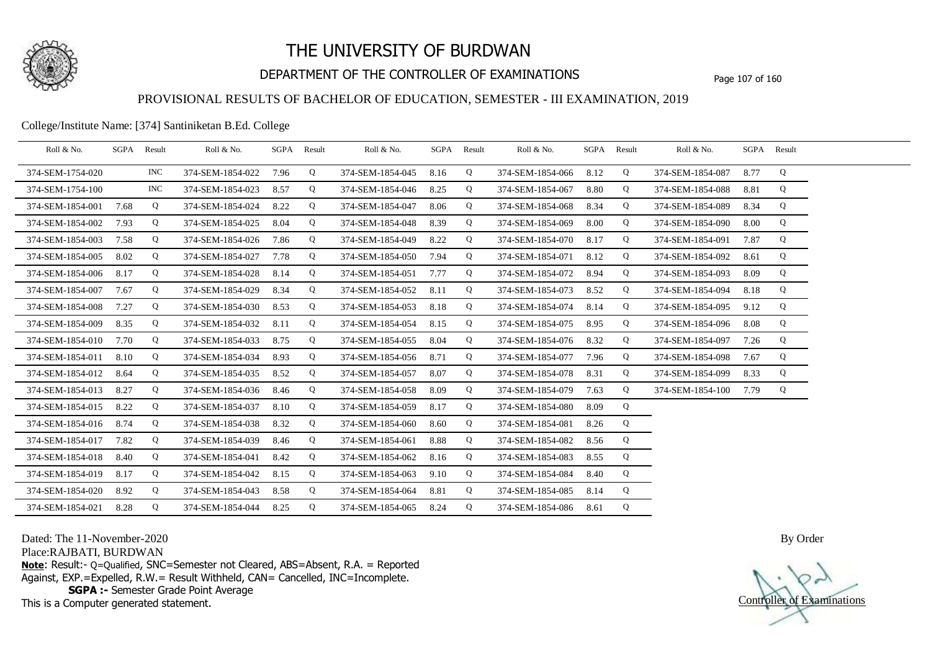

## DEPARTMENT OF THE CONTROLLER OF EXAMINATIONS Page 107 of 160

## PROVISIONAL RESULTS OF BACHELOR OF EDUCATION, SEMESTER - III EXAMINATION, 2019

#### College/Institute Name: [374] Santiniketan B.Ed. College

| Roll & No.       | SGPA | Result     | Roll & No.       |      | SGPA Result | Roll & No.       | SGPA | Result | Roll & No.       |      | SGPA Result | Roll & No.       |      | SGPA Result |  |
|------------------|------|------------|------------------|------|-------------|------------------|------|--------|------------------|------|-------------|------------------|------|-------------|--|
| 374-SEM-1754-020 |      | <b>INC</b> | 374-SEM-1854-022 | 7.96 | Q           | 374-SEM-1854-045 | 8.16 | Q      | 374-SEM-1854-066 | 8.12 | Q           | 374-SEM-1854-087 | 8.77 | Q           |  |
| 374-SEM-1754-100 |      | INC.       | 374-SEM-1854-023 | 8.57 | Q           | 374-SEM-1854-046 | 8.25 | Q      | 374-SEM-1854-067 | 8.80 | Q           | 374-SEM-1854-088 | 8.81 | Q           |  |
| 374-SEM-1854-001 | 7.68 | Q          | 374-SEM-1854-024 | 8.22 | Q           | 374-SEM-1854-047 | 8.06 | Q      | 374-SEM-1854-068 | 8.34 | Q           | 374-SEM-1854-089 | 8.34 | Q           |  |
| 374-SEM-1854-002 | 7.93 | Q          | 374-SEM-1854-025 | 8.04 | Q           | 374-SEM-1854-048 | 8.39 | Q      | 374-SEM-1854-069 | 8.00 | Q           | 374-SEM-1854-090 | 8.00 | Q           |  |
| 374-SEM-1854-003 | 7.58 | Q          | 374-SEM-1854-026 | 7.86 | Q           | 374-SEM-1854-049 | 8.22 | Q      | 374-SEM-1854-070 | 8.17 | Q           | 374-SEM-1854-091 | 7.87 | Q           |  |
| 374-SEM-1854-005 | 8.02 | Q          | 374-SEM-1854-027 | 7.78 | Q           | 374-SEM-1854-050 | 7.94 | Q      | 374-SEM-1854-071 | 8.12 | Q           | 374-SEM-1854-092 | 8.61 | Q           |  |
| 374-SEM-1854-006 | 8.17 | Q          | 374-SEM-1854-028 | 8.14 | Q           | 374-SEM-1854-051 | 7.77 | Q      | 374-SEM-1854-072 | 8.94 | Q           | 374-SEM-1854-093 | 8.09 | Q           |  |
| 374-SEM-1854-007 | 7.67 | Q          | 374-SEM-1854-029 | 8.34 | Q           | 374-SEM-1854-052 | 8.11 | Q      | 374-SEM-1854-073 | 8.52 | Q           | 374-SEM-1854-094 | 8.18 | Q           |  |
| 374-SEM-1854-008 | 7.27 | Q          | 374-SEM-1854-030 | 8.53 | Q           | 374-SEM-1854-053 | 8.18 | Q      | 374-SEM-1854-074 | 8.14 | Q           | 374-SEM-1854-095 | 9.12 | Q           |  |
| 374-SEM-1854-009 | 8.35 | Q          | 374-SEM-1854-032 | 8.11 | Q           | 374-SEM-1854-054 | 8.15 | Q      | 374-SEM-1854-075 | 8.95 | Q           | 374-SEM-1854-096 | 8.08 | Q           |  |
| 374-SEM-1854-010 | 7.70 | Q          | 374-SEM-1854-033 | 8.75 | Q           | 374-SEM-1854-055 | 8.04 | Q      | 374-SEM-1854-076 | 8.32 | Q           | 374-SEM-1854-097 | 7.26 | Q           |  |
| 374-SEM-1854-011 | 8.10 | Q          | 374-SEM-1854-034 | 8.93 | Q           | 374-SEM-1854-056 | 8.71 | Q      | 374-SEM-1854-077 | 7.96 | Q           | 374-SEM-1854-098 | 7.67 | Q           |  |
| 374-SEM-1854-012 | 8.64 | Q          | 374-SEM-1854-035 | 8.52 | Q           | 374-SEM-1854-057 | 8.07 | Q      | 374-SEM-1854-078 | 8.31 | Q           | 374-SEM-1854-099 | 8.33 | Q           |  |
| 374-SEM-1854-013 | 8.27 | Q          | 374-SEM-1854-036 | 8.46 | Q           | 374-SEM-1854-058 | 8.09 | Q      | 374-SEM-1854-079 | 7.63 | Q           | 374-SEM-1854-100 | 7.79 | Q           |  |
| 374-SEM-1854-015 | 8.22 | Q          | 374-SEM-1854-037 | 8.10 | Q           | 374-SEM-1854-059 | 8.17 | Q      | 374-SEM-1854-080 | 8.09 | Q           |                  |      |             |  |
| 374-SEM-1854-016 | 8.74 | Q          | 374-SEM-1854-038 | 8.32 | Q           | 374-SEM-1854-060 | 8.60 | Q      | 374-SEM-1854-081 | 8.26 | Q           |                  |      |             |  |
| 374-SEM-1854-017 | 7.82 | Q          | 374-SEM-1854-039 | 8.46 | Q           | 374-SEM-1854-061 | 8.88 | Q      | 374-SEM-1854-082 | 8.56 | Q           |                  |      |             |  |
| 374-SEM-1854-018 | 8.40 | Q          | 374-SEM-1854-041 | 8.42 | Q           | 374-SEM-1854-062 | 8.16 | Q      | 374-SEM-1854-083 | 8.55 | Q           |                  |      |             |  |
| 374-SEM-1854-019 | 8.17 | Q          | 374-SEM-1854-042 | 8.15 | Q           | 374-SEM-1854-063 | 9.10 | Q      | 374-SEM-1854-084 | 8.40 | Q           |                  |      |             |  |
| 374-SEM-1854-020 | 8.92 | Q          | 374-SEM-1854-043 | 8.58 | Q           | 374-SEM-1854-064 | 8.81 | Q      | 374-SEM-1854-085 | 8.14 | Q           |                  |      |             |  |
| 374-SEM-1854-021 | 8.28 | Q          | 374-SEM-1854-044 | 8.25 | Q           | 374-SEM-1854-065 | 8.24 | Q      | 374-SEM-1854-086 | 8.61 | Q           |                  |      |             |  |

Dated: The 11-November-2020

Place:RAJBATI, BURDWAN

**Note**: Result:- Q=Qualified, SNC=Semester not Cleared, ABS=Absent, R.A. = Reported Against, EXP.=Expelled, R.W.= Result Withheld, CAN= Cancelled, INC=Incomplete. **SGPA :-** Semester Grade Point Average

This is a Computer generated statement.

Controller of Examinations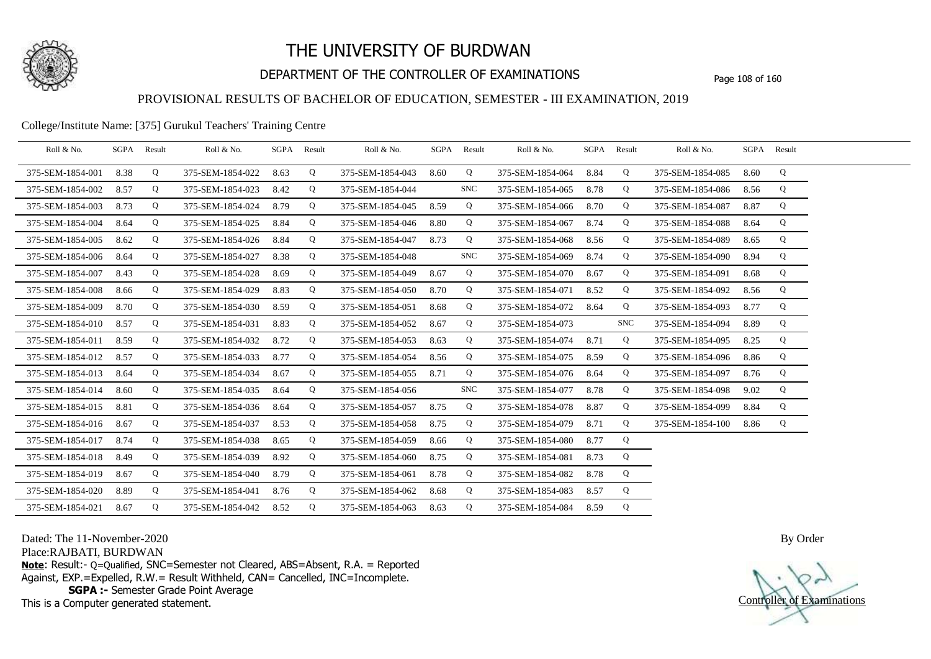

## DEPARTMENT OF THE CONTROLLER OF EXAMINATIONS Page 108 of 160

### PROVISIONAL RESULTS OF BACHELOR OF EDUCATION, SEMESTER - III EXAMINATION, 2019

#### College/Institute Name: [375] Gurukul Teachers' Training Centre

| Roll & No.       | SGPA | Result | Roll & No.       |      | SGPA Result | Roll & No.       |      | SGPA Result | Roll & No.       | SGPA Result |            | Roll & No.       |      | SGPA Result |  |
|------------------|------|--------|------------------|------|-------------|------------------|------|-------------|------------------|-------------|------------|------------------|------|-------------|--|
| 375-SEM-1854-001 | 8.38 | Q      | 375-SEM-1854-022 | 8.63 | Q           | 375-SEM-1854-043 | 8.60 | Q           | 375-SEM-1854-064 | 8.84        | Q          | 375-SEM-1854-085 | 8.60 | Q           |  |
| 375-SEM-1854-002 | 8.57 | Q      | 375-SEM-1854-023 | 8.42 | Q           | 375-SEM-1854-044 |      | <b>SNC</b>  | 375-SEM-1854-065 | 8.78        | Q          | 375-SEM-1854-086 | 8.56 | Q           |  |
| 375-SEM-1854-003 | 8.73 | Q      | 375-SEM-1854-024 | 8.79 | Q           | 375-SEM-1854-045 | 8.59 | Q           | 375-SEM-1854-066 | 8.70        | Q          | 375-SEM-1854-087 | 8.87 | Q           |  |
| 375-SEM-1854-004 | 8.64 | Q      | 375-SEM-1854-025 | 8.84 | Q           | 375-SEM-1854-046 | 8.80 | Q           | 375-SEM-1854-067 | 8.74        | Q          | 375-SEM-1854-088 | 8.64 | Q           |  |
| 375-SEM-1854-005 | 8.62 | Q      | 375-SEM-1854-026 | 8.84 | Q           | 375-SEM-1854-047 | 8.73 | Q           | 375-SEM-1854-068 | 8.56        | Q          | 375-SEM-1854-089 | 8.65 | Q           |  |
| 375-SEM-1854-006 | 8.64 | Q      | 375-SEM-1854-027 | 8.38 | Q           | 375-SEM-1854-048 |      | <b>SNC</b>  | 375-SEM-1854-069 | 8.74        | Q          | 375-SEM-1854-090 | 8.94 | Q           |  |
| 375-SEM-1854-007 | 8.43 | Q      | 375-SEM-1854-028 | 8.69 | Q           | 375-SEM-1854-049 | 8.67 | Q           | 375-SEM-1854-070 | 8.67        | Q          | 375-SEM-1854-091 | 8.68 | Q           |  |
| 375-SEM-1854-008 | 8.66 | Q      | 375-SEM-1854-029 | 8.83 | Q           | 375-SEM-1854-050 | 8.70 | Q           | 375-SEM-1854-071 | 8.52        | Q          | 375-SEM-1854-092 | 8.56 | Q           |  |
| 375-SEM-1854-009 | 8.70 | Q      | 375-SEM-1854-030 | 8.59 | Q           | 375-SEM-1854-051 | 8.68 | Q           | 375-SEM-1854-072 | 8.64        | Q          | 375-SEM-1854-093 | 8.77 | Q           |  |
| 375-SEM-1854-010 | 8.57 | Q      | 375-SEM-1854-031 | 8.83 | Q           | 375-SEM-1854-052 | 8.67 | Q           | 375-SEM-1854-073 |             | <b>SNC</b> | 375-SEM-1854-094 | 8.89 | Q           |  |
| 375-SEM-1854-011 | 8.59 | Q      | 375-SEM-1854-032 | 8.72 | Q           | 375-SEM-1854-053 | 8.63 | Q           | 375-SEM-1854-074 | 8.71        | Q          | 375-SEM-1854-095 | 8.25 | Q           |  |
| 375-SEM-1854-012 | 8.57 | Q      | 375-SEM-1854-033 | 8.77 | Q           | 375-SEM-1854-054 | 8.56 | Q           | 375-SEM-1854-075 | 8.59        | Q          | 375-SEM-1854-096 | 8.86 | Q           |  |
| 375-SEM-1854-013 | 8.64 | Q      | 375-SEM-1854-034 | 8.67 | Q           | 375-SEM-1854-055 | 8.71 | Q           | 375-SEM-1854-076 | 8.64        | Q          | 375-SEM-1854-097 | 8.76 | Q           |  |
| 375-SEM-1854-014 | 8.60 | Q      | 375-SEM-1854-035 | 8.64 | Q           | 375-SEM-1854-056 |      | <b>SNC</b>  | 375-SEM-1854-077 | 8.78        | Q          | 375-SEM-1854-098 | 9.02 | Q           |  |
| 375-SEM-1854-015 | 8.81 | Q      | 375-SEM-1854-036 | 8.64 | Q           | 375-SEM-1854-057 | 8.75 | Q           | 375-SEM-1854-078 | 8.87        | Q          | 375-SEM-1854-099 | 8.84 | Q           |  |
| 375-SEM-1854-016 | 8.67 | Q      | 375-SEM-1854-037 | 8.53 | Q           | 375-SEM-1854-058 | 8.75 | Q           | 375-SEM-1854-079 | 8.71        | Q          | 375-SEM-1854-100 | 8.86 | Q           |  |
| 375-SEM-1854-017 | 8.74 | Q      | 375-SEM-1854-038 | 8.65 | Q           | 375-SEM-1854-059 | 8.66 | Q           | 375-SEM-1854-080 | 8.77        | Q          |                  |      |             |  |
| 375-SEM-1854-018 | 8.49 | Q      | 375-SEM-1854-039 | 8.92 | Q           | 375-SEM-1854-060 | 8.75 | Q           | 375-SEM-1854-081 | 8.73        | Q          |                  |      |             |  |
| 375-SEM-1854-019 | 8.67 | Q      | 375-SEM-1854-040 | 8.79 | Q           | 375-SEM-1854-061 | 8.78 | Q           | 375-SEM-1854-082 | 8.78        | Q          |                  |      |             |  |
| 375-SEM-1854-020 | 8.89 | Q      | 375-SEM-1854-041 | 8.76 | Q           | 375-SEM-1854-062 | 8.68 | Q           | 375-SEM-1854-083 | 8.57        | Q          |                  |      |             |  |
| 375-SEM-1854-021 | 8.67 | Q      | 375-SEM-1854-042 | 8.52 | Q           | 375-SEM-1854-063 | 8.63 | Q           | 375-SEM-1854-084 | 8.59        | Q          |                  |      |             |  |

Dated: The 11-November-2020

Place:RAJBATI, BURDWAN

**Note**: Result:- Q=Qualified, SNC=Semester not Cleared, ABS=Absent, R.A. = Reported Against, EXP.=Expelled, R.W.= Result Withheld, CAN= Cancelled, INC=Incomplete. **SGPA :-** Semester Grade Point Average

This is a Computer generated statement.

Controller of Examinations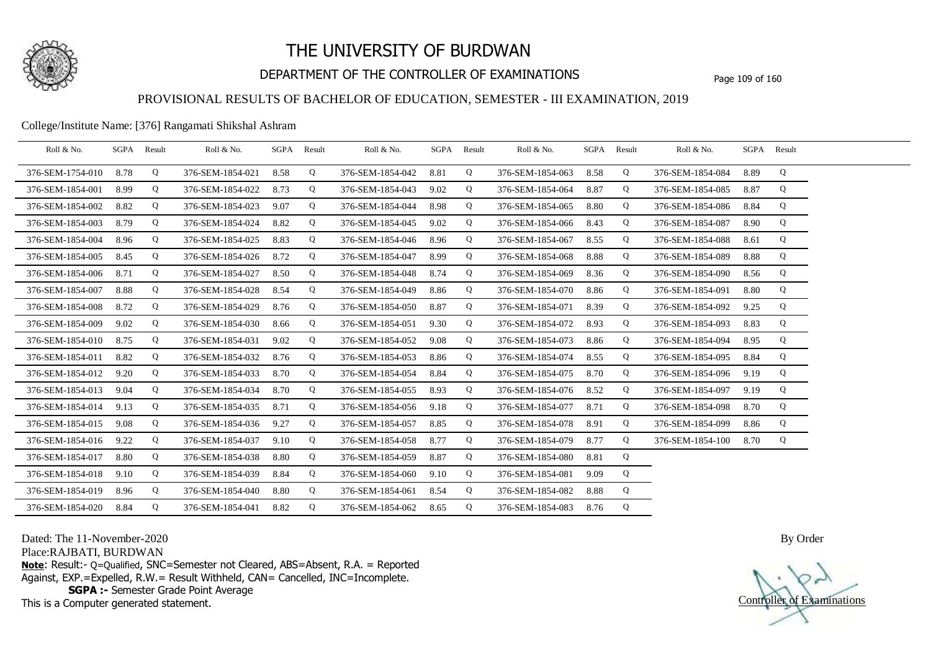

## DEPARTMENT OF THE CONTROLLER OF EXAMINATIONS Page 109 of 160

### PROVISIONAL RESULTS OF BACHELOR OF EDUCATION, SEMESTER - III EXAMINATION, 2019

### College/Institute Name: [376] Rangamati Shikshal Ashram

| Roll & No.       | SGPA | Result | Roll & No.       |      | SGPA Result | Roll & No.       | SGPA Result |   | Roll & No.       | SGPA | Result | Roll & No.       |      | SGPA Result |  |
|------------------|------|--------|------------------|------|-------------|------------------|-------------|---|------------------|------|--------|------------------|------|-------------|--|
| 376-SEM-1754-010 | 8.78 | Q      | 376-SEM-1854-021 | 8.58 | Q           | 376-SEM-1854-042 | 8.81        | Q | 376-SEM-1854-063 | 8.58 | Q      | 376-SEM-1854-084 | 8.89 | Q           |  |
| 376-SEM-1854-001 | 8.99 | Q      | 376-SEM-1854-022 | 8.73 | Q           | 376-SEM-1854-043 | 9.02        | Q | 376-SEM-1854-064 | 8.87 | Q      | 376-SEM-1854-085 | 8.87 | Q           |  |
| 376-SEM-1854-002 | 8.82 | Q      | 376-SEM-1854-023 | 9.07 | Q           | 376-SEM-1854-044 | 8.98        | Q | 376-SEM-1854-065 | 8.80 | Q      | 376-SEM-1854-086 | 8.84 | Q           |  |
| 376-SEM-1854-003 | 8.79 | Q      | 376-SEM-1854-024 | 8.82 | Q           | 376-SEM-1854-045 | 9.02        | Q | 376-SEM-1854-066 | 8.43 | Q      | 376-SEM-1854-087 | 8.90 | Q           |  |
| 376-SEM-1854-004 | 8.96 | Q      | 376-SEM-1854-025 | 8.83 | Q           | 376-SEM-1854-046 | 8.96        | Q | 376-SEM-1854-067 | 8.55 | Q      | 376-SEM-1854-088 | 8.61 | Q           |  |
| 376-SEM-1854-005 | 8.45 | Q      | 376-SEM-1854-026 | 8.72 | Q           | 376-SEM-1854-047 | 8.99        | Q | 376-SEM-1854-068 | 8.88 | Q      | 376-SEM-1854-089 | 8.88 | Q           |  |
| 376-SEM-1854-006 | 8.71 | Q      | 376-SEM-1854-027 | 8.50 | Q           | 376-SEM-1854-048 | 8.74        | Q | 376-SEM-1854-069 | 8.36 | Q      | 376-SEM-1854-090 | 8.56 | Q           |  |
| 376-SEM-1854-007 | 8.88 | Q      | 376-SEM-1854-028 | 8.54 | Q           | 376-SEM-1854-049 | 8.86        | Q | 376-SEM-1854-070 | 8.86 | Q      | 376-SEM-1854-091 | 8.80 | Q           |  |
| 376-SEM-1854-008 | 8.72 | Q      | 376-SEM-1854-029 | 8.76 | Q           | 376-SEM-1854-050 | 8.87        | Q | 376-SEM-1854-071 | 8.39 | Q      | 376-SEM-1854-092 | 9.25 | Q           |  |
| 376-SEM-1854-009 | 9.02 | Q      | 376-SEM-1854-030 | 8.66 | Q           | 376-SEM-1854-051 | 9.30        | Q | 376-SEM-1854-072 | 8.93 | Q      | 376-SEM-1854-093 | 8.83 | Q           |  |
| 376-SEM-1854-010 | 8.75 | Q      | 376-SEM-1854-031 | 9.02 | Q           | 376-SEM-1854-052 | 9.08        | Q | 376-SEM-1854-073 | 8.86 | Q      | 376-SEM-1854-094 | 8.95 | Q           |  |
| 376-SEM-1854-011 | 8.82 | Q      | 376-SEM-1854-032 | 8.76 | Q           | 376-SEM-1854-053 | 8.86        | Q | 376-SEM-1854-074 | 8.55 | Q      | 376-SEM-1854-095 | 8.84 | Q           |  |
| 376-SEM-1854-012 | 9.20 | Q      | 376-SEM-1854-033 | 8.70 | Q           | 376-SEM-1854-054 | 8.84        | Q | 376-SEM-1854-075 | 8.70 | Q      | 376-SEM-1854-096 | 9.19 | Q           |  |
| 376-SEM-1854-013 | 9.04 | Q      | 376-SEM-1854-034 | 8.70 | Q           | 376-SEM-1854-055 | 8.93        | Q | 376-SEM-1854-076 | 8.52 | Q      | 376-SEM-1854-097 | 9.19 | Q           |  |
| 376-SEM-1854-014 | 9.13 | Q      | 376-SEM-1854-035 | 8.71 | Q           | 376-SEM-1854-056 | 9.18        | Q | 376-SEM-1854-077 | 8.71 | Q      | 376-SEM-1854-098 | 8.70 | Q           |  |
| 376-SEM-1854-015 | 9.08 | Q      | 376-SEM-1854-036 | 9.27 | Q           | 376-SEM-1854-057 | 8.85        | Q | 376-SEM-1854-078 | 8.91 | Q      | 376-SEM-1854-099 | 8.86 | Q           |  |
| 376-SEM-1854-016 | 9.22 | Q      | 376-SEM-1854-037 | 9.10 | Q           | 376-SEM-1854-058 | 8.77        | Q | 376-SEM-1854-079 | 8.77 | Q      | 376-SEM-1854-100 | 8.70 | Q           |  |
| 376-SEM-1854-017 | 8.80 | Q      | 376-SEM-1854-038 | 8.80 | Q           | 376-SEM-1854-059 | 8.87        | Q | 376-SEM-1854-080 | 8.81 | Q      |                  |      |             |  |
| 376-SEM-1854-018 | 9.10 | Q      | 376-SEM-1854-039 | 8.84 | Q           | 376-SEM-1854-060 | 9.10        | Q | 376-SEM-1854-081 | 9.09 | Q      |                  |      |             |  |
| 376-SEM-1854-019 | 8.96 | Q      | 376-SEM-1854-040 | 8.80 | Q           | 376-SEM-1854-061 | 8.54        | Q | 376-SEM-1854-082 | 8.88 | Q      |                  |      |             |  |
| 376-SEM-1854-020 | 8.84 | Q      | 376-SEM-1854-041 | 8.82 | Q           | 376-SEM-1854-062 | 8.65        | Q | 376-SEM-1854-083 | 8.76 | Q      |                  |      |             |  |

Dated: The 11-November-2020

Place:RAJBATI, BURDWAN

**Note**: Result:- Q=Qualified, SNC=Semester not Cleared, ABS=Absent, R.A. = Reported Against, EXP.=Expelled, R.W.= Result Withheld, CAN= Cancelled, INC=Incomplete. **SGPA :-** Semester Grade Point Average

This is a Computer generated statement.

Controller of Examinations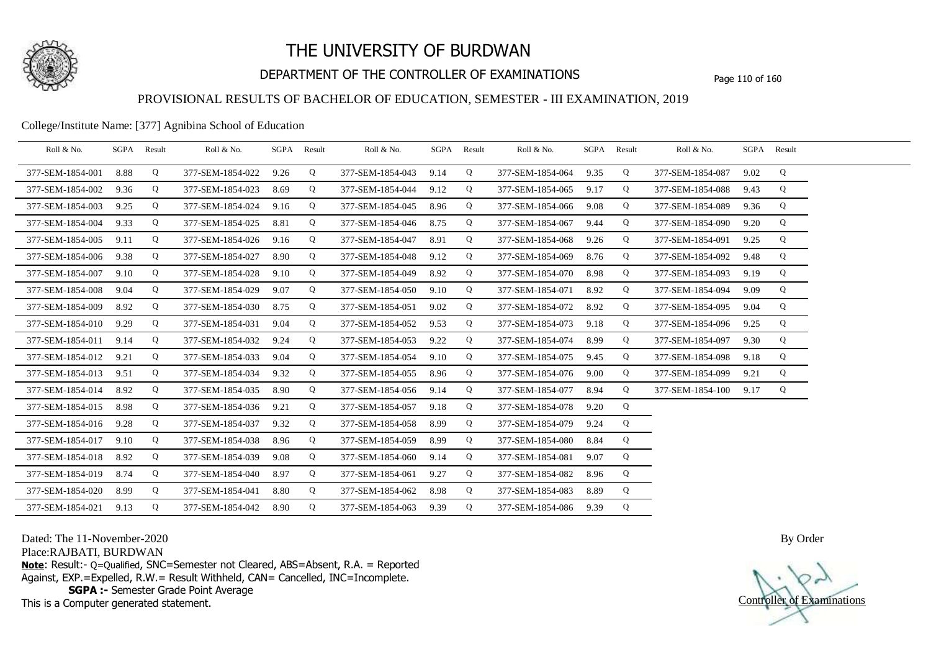

## DEPARTMENT OF THE CONTROLLER OF EXAMINATIONS Page 110 of 160

### PROVISIONAL RESULTS OF BACHELOR OF EDUCATION, SEMESTER - III EXAMINATION, 2019

#### College/Institute Name: [377] Agnibina School of Education

| Roll & No.       | SGPA Result |             | Roll & No.       |      | SGPA Result | Roll & No.       |      | SGPA Result | Roll & No.       |      | SGPA Result | Roll & No.       |      | SGPA Result |  |
|------------------|-------------|-------------|------------------|------|-------------|------------------|------|-------------|------------------|------|-------------|------------------|------|-------------|--|
| 377-SEM-1854-001 | 8.88        | Q           | 377-SEM-1854-022 | 9.26 | Q           | 377-SEM-1854-043 | 9.14 | Q           | 377-SEM-1854-064 | 9.35 | Q           | 377-SEM-1854-087 | 9.02 | Q           |  |
| 377-SEM-1854-002 | 9.36        | Q           | 377-SEM-1854-023 | 8.69 | Q           | 377-SEM-1854-044 | 9.12 | Q           | 377-SEM-1854-065 | 9.17 | Q           | 377-SEM-1854-088 | 9.43 | Q           |  |
| 377-SEM-1854-003 | 9.25        | Q           | 377-SEM-1854-024 | 9.16 | Q           | 377-SEM-1854-045 | 8.96 | Q           | 377-SEM-1854-066 | 9.08 | Q           | 377-SEM-1854-089 | 9.36 | Q           |  |
| 377-SEM-1854-004 | 9.33        | Q           | 377-SEM-1854-025 | 8.81 | Q           | 377-SEM-1854-046 | 8.75 | Q           | 377-SEM-1854-067 | 9.44 | Q           | 377-SEM-1854-090 | 9.20 | Q           |  |
| 377-SEM-1854-005 | 9.11        | Q           | 377-SEM-1854-026 | 9.16 | Q           | 377-SEM-1854-047 | 8.91 | Q           | 377-SEM-1854-068 | 9.26 | Q           | 377-SEM-1854-091 | 9.25 | Q           |  |
| 377-SEM-1854-006 | 9.38        | Q           | 377-SEM-1854-027 | 8.90 | Q           | 377-SEM-1854-048 | 9.12 | Q           | 377-SEM-1854-069 | 8.76 | Q           | 377-SEM-1854-092 | 9.48 | Q           |  |
| 377-SEM-1854-007 | 9.10        | Q           | 377-SEM-1854-028 | 9.10 | Q           | 377-SEM-1854-049 | 8.92 | Q           | 377-SEM-1854-070 | 8.98 | Q           | 377-SEM-1854-093 | 9.19 | Q           |  |
| 377-SEM-1854-008 | 9.04        | Q           | 377-SEM-1854-029 | 9.07 | Q           | 377-SEM-1854-050 | 9.10 | Q           | 377-SEM-1854-071 | 8.92 | Q           | 377-SEM-1854-094 | 9.09 | Q           |  |
| 377-SEM-1854-009 | 8.92        | $\mathbf Q$ | 377-SEM-1854-030 | 8.75 | Q           | 377-SEM-1854-051 | 9.02 | Q           | 377-SEM-1854-072 | 8.92 | Q           | 377-SEM-1854-095 | 9.04 | Q           |  |
| 377-SEM-1854-010 | 9.29        | Q           | 377-SEM-1854-031 | 9.04 | Q           | 377-SEM-1854-052 | 9.53 | Q           | 377-SEM-1854-073 | 9.18 | Q           | 377-SEM-1854-096 | 9.25 | Q           |  |
| 377-SEM-1854-011 | 9.14        | Q           | 377-SEM-1854-032 | 9.24 | Q           | 377-SEM-1854-053 | 9.22 | Q           | 377-SEM-1854-074 | 8.99 | Q           | 377-SEM-1854-097 | 9.30 | Q           |  |
| 377-SEM-1854-012 | 9.21        | $\mathbf Q$ | 377-SEM-1854-033 | 9.04 | Q           | 377-SEM-1854-054 | 9.10 | Q           | 377-SEM-1854-075 | 9.45 | Q           | 377-SEM-1854-098 | 9.18 | Q           |  |
| 377-SEM-1854-013 | 9.51        | Q           | 377-SEM-1854-034 | 9.32 | Q           | 377-SEM-1854-055 | 8.96 | Q           | 377-SEM-1854-076 | 9.00 | Q           | 377-SEM-1854-099 | 9.21 | Q           |  |
| 377-SEM-1854-014 | 8.92        | Q           | 377-SEM-1854-035 | 8.90 | Q           | 377-SEM-1854-056 | 9.14 | Q           | 377-SEM-1854-077 | 8.94 | Q           | 377-SEM-1854-100 | 9.17 | Q           |  |
| 377-SEM-1854-015 | 8.98        | Q           | 377-SEM-1854-036 | 9.21 | Q           | 377-SEM-1854-057 | 9.18 | Q           | 377-SEM-1854-078 | 9.20 | Q           |                  |      |             |  |
| 377-SEM-1854-016 | 9.28        | Q           | 377-SEM-1854-037 | 9.32 | Q           | 377-SEM-1854-058 | 8.99 | Q           | 377-SEM-1854-079 | 9.24 | Q           |                  |      |             |  |
| 377-SEM-1854-017 | 9.10        | Q           | 377-SEM-1854-038 | 8.96 | Q           | 377-SEM-1854-059 | 8.99 | Q           | 377-SEM-1854-080 | 8.84 | Q           |                  |      |             |  |
| 377-SEM-1854-018 | 8.92        | Q           | 377-SEM-1854-039 | 9.08 | Q           | 377-SEM-1854-060 | 9.14 | Q           | 377-SEM-1854-081 | 9.07 | Q           |                  |      |             |  |
| 377-SEM-1854-019 | 8.74        | Q           | 377-SEM-1854-040 | 8.97 | Q           | 377-SEM-1854-061 | 9.27 | Q           | 377-SEM-1854-082 | 8.96 | Q           |                  |      |             |  |
| 377-SEM-1854-020 | 8.99        | Q           | 377-SEM-1854-041 | 8.80 | Q           | 377-SEM-1854-062 | 8.98 | Q           | 377-SEM-1854-083 | 8.89 | Q           |                  |      |             |  |
| 377-SEM-1854-021 | 9.13        | Q           | 377-SEM-1854-042 | 8.90 | Q           | 377-SEM-1854-063 | 9.39 | Q           | 377-SEM-1854-086 | 9.39 | Q           |                  |      |             |  |

Dated: The 11-November-2020

Place:RAJBATI, BURDWAN

**Note**: Result:- Q=Qualified, SNC=Semester not Cleared, ABS=Absent, R.A. = Reported Against, EXP.=Expelled, R.W.= Result Withheld, CAN= Cancelled, INC=Incomplete. **SGPA :-** Semester Grade Point Average

This is a Computer generated statement.

Controller of Examinations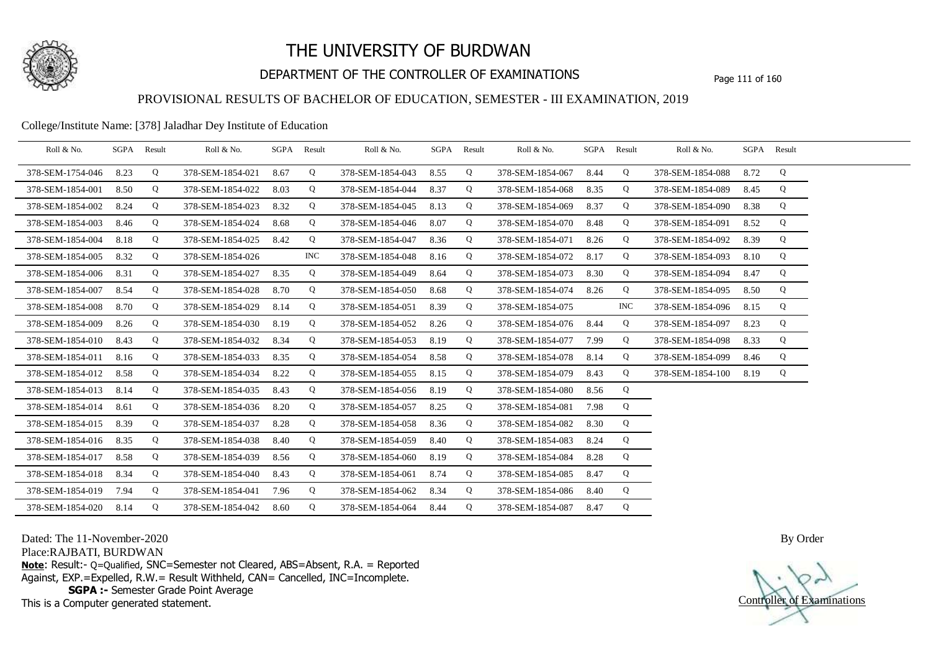

## DEPARTMENT OF THE CONTROLLER OF EXAMINATIONS Page 111 of 160

## PROVISIONAL RESULTS OF BACHELOR OF EDUCATION, SEMESTER - III EXAMINATION, 2019

### College/Institute Name: [378] Jaladhar Dey Institute of Education

| Roll & No.       |      | SGPA Result | Roll & No.       | SGPA Result |            | Roll & No.       |      | SGPA Result | Roll & No.       |      | SGPA Result | Roll & No.       |      | SGPA Result |  |
|------------------|------|-------------|------------------|-------------|------------|------------------|------|-------------|------------------|------|-------------|------------------|------|-------------|--|
| 378-SEM-1754-046 | 8.23 | Q           | 378-SEM-1854-021 | 8.67        | Q          | 378-SEM-1854-043 | 8.55 | Q           | 378-SEM-1854-067 | 8.44 | Q           | 378-SEM-1854-088 | 8.72 | Q           |  |
| 378-SEM-1854-001 | 8.50 | Q           | 378-SEM-1854-022 | 8.03        | Q          | 378-SEM-1854-044 | 8.37 | Q           | 378-SEM-1854-068 | 8.35 | Q           | 378-SEM-1854-089 | 8.45 | Q           |  |
| 378-SEM-1854-002 | 8.24 | Q           | 378-SEM-1854-023 | 8.32        | Q          | 378-SEM-1854-045 | 8.13 | Q           | 378-SEM-1854-069 | 8.37 | Q           | 378-SEM-1854-090 | 8.38 | Q           |  |
| 378-SEM-1854-003 | 8.46 | Q           | 378-SEM-1854-024 | 8.68        | Q          | 378-SEM-1854-046 | 8.07 | Q           | 378-SEM-1854-070 | 8.48 | Q           | 378-SEM-1854-091 | 8.52 | Q           |  |
| 378-SEM-1854-004 | 8.18 | Q           | 378-SEM-1854-025 | 8.42        | Q          | 378-SEM-1854-047 | 8.36 | Q           | 378-SEM-1854-071 | 8.26 | Q           | 378-SEM-1854-092 | 8.39 | Q           |  |
| 378-SEM-1854-005 | 8.32 | Q           | 378-SEM-1854-026 |             | <b>INC</b> | 378-SEM-1854-048 | 8.16 | Q           | 378-SEM-1854-072 | 8.17 | Q           | 378-SEM-1854-093 | 8.10 | Q           |  |
| 378-SEM-1854-006 | 8.31 | Q           | 378-SEM-1854-027 | 8.35        | Q          | 378-SEM-1854-049 | 8.64 | Q           | 378-SEM-1854-073 | 8.30 | Q           | 378-SEM-1854-094 | 8.47 | Q           |  |
| 378-SEM-1854-007 | 8.54 | Q           | 378-SEM-1854-028 | 8.70        | Q          | 378-SEM-1854-050 | 8.68 | Q           | 378-SEM-1854-074 | 8.26 | Q           | 378-SEM-1854-095 | 8.50 | Q           |  |
| 378-SEM-1854-008 | 8.70 | Q           | 378-SEM-1854-029 | 8.14        | Q          | 378-SEM-1854-051 | 8.39 | Q           | 378-SEM-1854-075 |      | <b>INC</b>  | 378-SEM-1854-096 | 8.15 | Q           |  |
| 378-SEM-1854-009 | 8.26 | Q           | 378-SEM-1854-030 | 8.19        | Q          | 378-SEM-1854-052 | 8.26 | Q           | 378-SEM-1854-076 | 8.44 | Q           | 378-SEM-1854-097 | 8.23 | Q           |  |
| 378-SEM-1854-010 | 8.43 | Q           | 378-SEM-1854-032 | 8.34        | Q          | 378-SEM-1854-053 | 8.19 | Q           | 378-SEM-1854-077 | 7.99 | Q           | 378-SEM-1854-098 | 8.33 | Q           |  |
| 378-SEM-1854-011 | 8.16 | Q           | 378-SEM-1854-033 | 8.35        | Q          | 378-SEM-1854-054 | 8.58 | Q           | 378-SEM-1854-078 | 8.14 | Q           | 378-SEM-1854-099 | 8.46 | Q           |  |
| 378-SEM-1854-012 | 8.58 | Q           | 378-SEM-1854-034 | 8.22        | Q          | 378-SEM-1854-055 | 8.15 | Q           | 378-SEM-1854-079 | 8.43 | Q           | 378-SEM-1854-100 | 8.19 | Q           |  |
| 378-SEM-1854-013 | 8.14 | Q           | 378-SEM-1854-035 | 8.43        | Q          | 378-SEM-1854-056 | 8.19 | Q           | 378-SEM-1854-080 | 8.56 | Q           |                  |      |             |  |
| 378-SEM-1854-014 | 8.61 | Q           | 378-SEM-1854-036 | 8.20        | Q          | 378-SEM-1854-057 | 8.25 | Q           | 378-SEM-1854-081 | 7.98 | Q           |                  |      |             |  |
| 378-SEM-1854-015 | 8.39 | Q           | 378-SEM-1854-037 | 8.28        | Q          | 378-SEM-1854-058 | 8.36 | Q           | 378-SEM-1854-082 | 8.30 | Q           |                  |      |             |  |
| 378-SEM-1854-016 | 8.35 | Q           | 378-SEM-1854-038 | 8.40        | Q          | 378-SEM-1854-059 | 8.40 | Q           | 378-SEM-1854-083 | 8.24 | Q           |                  |      |             |  |
| 378-SEM-1854-017 | 8.58 | Q           | 378-SEM-1854-039 | 8.56        | Q          | 378-SEM-1854-060 | 8.19 | Q           | 378-SEM-1854-084 | 8.28 | Q           |                  |      |             |  |
| 378-SEM-1854-018 | 8.34 | Q           | 378-SEM-1854-040 | 8.43        | Q          | 378-SEM-1854-061 | 8.74 | Q           | 378-SEM-1854-085 | 8.47 | Q           |                  |      |             |  |
| 378-SEM-1854-019 | 7.94 | Q           | 378-SEM-1854-041 | 7.96        | Q          | 378-SEM-1854-062 | 8.34 | Q           | 378-SEM-1854-086 | 8.40 | Q           |                  |      |             |  |
| 378-SEM-1854-020 | 8.14 | Q           | 378-SEM-1854-042 | 8.60        | Q          | 378-SEM-1854-064 | 8.44 | Q           | 378-SEM-1854-087 | 8.47 | Q           |                  |      |             |  |

Dated: The 11-November-2020

Place:RAJBATI, BURDWAN

**Note**: Result:- Q=Qualified, SNC=Semester not Cleared, ABS=Absent, R.A. = Reported Against, EXP.=Expelled, R.W.= Result Withheld, CAN= Cancelled, INC=Incomplete. **SGPA :-** Semester Grade Point Average

This is a Computer generated statement.

Controller of Examinations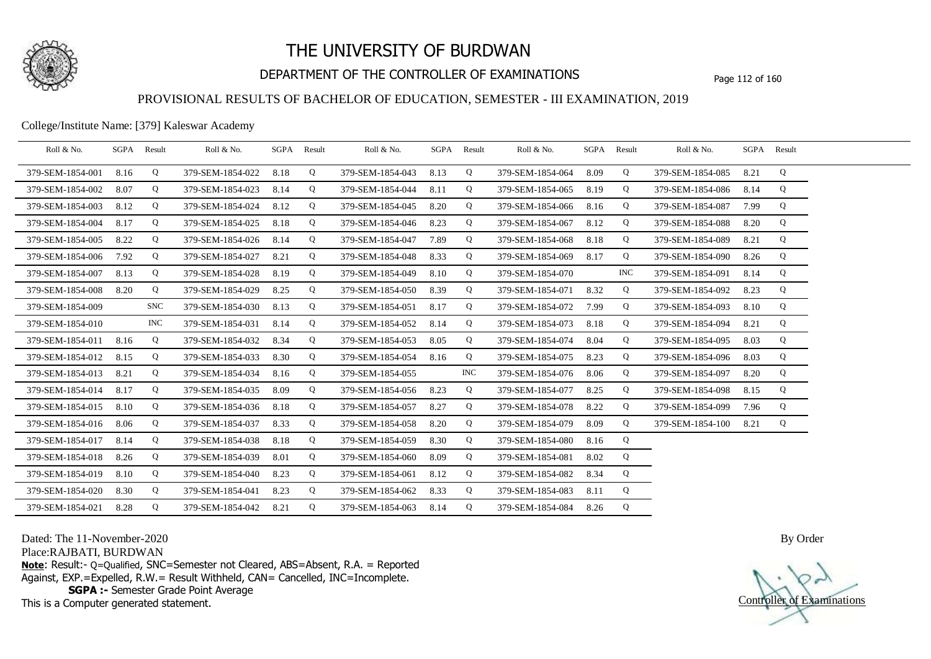

## DEPARTMENT OF THE CONTROLLER OF EXAMINATIONS Page 112 of 160

### PROVISIONAL RESULTS OF BACHELOR OF EDUCATION, SEMESTER - III EXAMINATION, 2019

College/Institute Name: [379] Kaleswar Academy

| Roll & No.       | SGPA | Result     | Roll & No.       |      | SGPA Result | Roll & No.       |      | SGPA Result | Roll & No.            |      | SGPA Result | Roll & No.       |      | SGPA Result |  |
|------------------|------|------------|------------------|------|-------------|------------------|------|-------------|-----------------------|------|-------------|------------------|------|-------------|--|
| 379-SEM-1854-001 | 8.16 | Q          | 379-SEM-1854-022 | 8.18 | Q           | 379-SEM-1854-043 | 8.13 | Q           | 379-SEM-1854-064      | 8.09 | Q           | 379-SEM-1854-085 | 8.21 | Q           |  |
| 379-SEM-1854-002 | 8.07 | Q          | 379-SEM-1854-023 | 8.14 | Q           | 379-SEM-1854-044 | 8.11 | Q           | 379-SEM-1854-065      | 8.19 | Q           | 379-SEM-1854-086 | 8.14 | Q           |  |
| 379-SEM-1854-003 | 8.12 | Q          | 379-SEM-1854-024 | 8.12 | Q           | 379-SEM-1854-045 | 8.20 | Q           | 379-SEM-1854-066      | 8.16 | Q           | 379-SEM-1854-087 | 7.99 | Q           |  |
| 379-SEM-1854-004 | 8.17 | Q          | 379-SEM-1854-025 | 8.18 | Q           | 379-SEM-1854-046 | 8.23 | Q           | 379-SEM-1854-067      | 8.12 | Q           | 379-SEM-1854-088 | 8.20 | Q           |  |
| 379-SEM-1854-005 | 8.22 | Q          | 379-SEM-1854-026 | 8.14 | Q           | 379-SEM-1854-047 | 7.89 | Q           | 379-SEM-1854-068      | 8.18 | Q           | 379-SEM-1854-089 | 8.21 | Q           |  |
| 379-SEM-1854-006 | 7.92 | Q          | 379-SEM-1854-027 | 8.21 | Q           | 379-SEM-1854-048 | 8.33 | Q           | 379-SEM-1854-069 8.17 |      | Q           | 379-SEM-1854-090 | 8.26 | Q           |  |
| 379-SEM-1854-007 | 8.13 | Q          | 379-SEM-1854-028 | 8.19 | Q           | 379-SEM-1854-049 | 8.10 | Q           | 379-SEM-1854-070      |      | <b>INC</b>  | 379-SEM-1854-091 | 8.14 | Q           |  |
| 379-SEM-1854-008 | 8.20 | Q          | 379-SEM-1854-029 | 8.25 | Q           | 379-SEM-1854-050 | 8.39 | Q           | 379-SEM-1854-071 8.32 |      | Q           | 379-SEM-1854-092 | 8.23 | Q           |  |
| 379-SEM-1854-009 |      | <b>SNC</b> | 379-SEM-1854-030 | 8.13 | Q           | 379-SEM-1854-051 | 8.17 | Q           | 379-SEM-1854-072      | 7.99 | Q           | 379-SEM-1854-093 | 8.10 | Q           |  |
| 379-SEM-1854-010 |      | INC.       | 379-SEM-1854-031 | 8.14 | Q           | 379-SEM-1854-052 | 8.14 | Q           | 379-SEM-1854-073      | 8.18 | Q           | 379-SEM-1854-094 | 8.21 | Q           |  |
| 379-SEM-1854-011 | 8.16 | Q          | 379-SEM-1854-032 | 8.34 | Q           | 379-SEM-1854-053 | 8.05 | Q           | 379-SEM-1854-074      | 8.04 | Q           | 379-SEM-1854-095 | 8.03 | Q           |  |
| 379-SEM-1854-012 | 8.15 | Q          | 379-SEM-1854-033 | 8.30 | Q           | 379-SEM-1854-054 | 8.16 | Q           | 379-SEM-1854-075      | 8.23 | Q           | 379-SEM-1854-096 | 8.03 | Q           |  |
| 379-SEM-1854-013 | 8.21 | Q          | 379-SEM-1854-034 | 8.16 | Q           | 379-SEM-1854-055 |      | <b>INC</b>  | 379-SEM-1854-076      | 8.06 | Q           | 379-SEM-1854-097 | 8.20 | Q           |  |
| 379-SEM-1854-014 | 8.17 | Q          | 379-SEM-1854-035 | 8.09 | Q           | 379-SEM-1854-056 | 8.23 | Q           | 379-SEM-1854-077      | 8.25 | Q           | 379-SEM-1854-098 | 8.15 | Q           |  |
| 379-SEM-1854-015 | 8.10 | Q          | 379-SEM-1854-036 | 8.18 | Q           | 379-SEM-1854-057 | 8.27 | Q           | 379-SEM-1854-078      | 8.22 | Q           | 379-SEM-1854-099 | 7.96 | Q           |  |
| 379-SEM-1854-016 | 8.06 | Q          | 379-SEM-1854-037 | 8.33 | Q           | 379-SEM-1854-058 | 8.20 | Q           | 379-SEM-1854-079      | 8.09 | $\mathbf Q$ | 379-SEM-1854-100 | 8.21 | Q           |  |
| 379-SEM-1854-017 | 8.14 | Q          | 379-SEM-1854-038 | 8.18 | Q           | 379-SEM-1854-059 | 8.30 | Q           | 379-SEM-1854-080      | 8.16 | Q           |                  |      |             |  |
| 379-SEM-1854-018 | 8.26 | Q          | 379-SEM-1854-039 | 8.01 | Q           | 379-SEM-1854-060 | 8.09 | Q           | 379-SEM-1854-081      | 8.02 | Q           |                  |      |             |  |
| 379-SEM-1854-019 | 8.10 | Q          | 379-SEM-1854-040 | 8.23 | Q           | 379-SEM-1854-061 | 8.12 | Q           | 379-SEM-1854-082      | 8.34 | Q           |                  |      |             |  |
| 379-SEM-1854-020 | 8.30 | Q          | 379-SEM-1854-041 | 8.23 | Q           | 379-SEM-1854-062 | 8.33 | Q           | 379-SEM-1854-083      | 8.11 | Q           |                  |      |             |  |
| 379-SEM-1854-021 | 8.28 | Q          | 379-SEM-1854-042 | 8.21 | Q           | 379-SEM-1854-063 | 8.14 | Q           | 379-SEM-1854-084 8.26 |      | Q           |                  |      |             |  |

Dated: The 11-November-2020

Place:RAJBATI, BURDWAN

**Note**: Result:- Q=Qualified, SNC=Semester not Cleared, ABS=Absent, R.A. = Reported Against, EXP.=Expelled, R.W.= Result Withheld, CAN= Cancelled, INC=Incomplete. **SGPA :-** Semester Grade Point Average

This is a Computer generated statement.

Controller of Examinations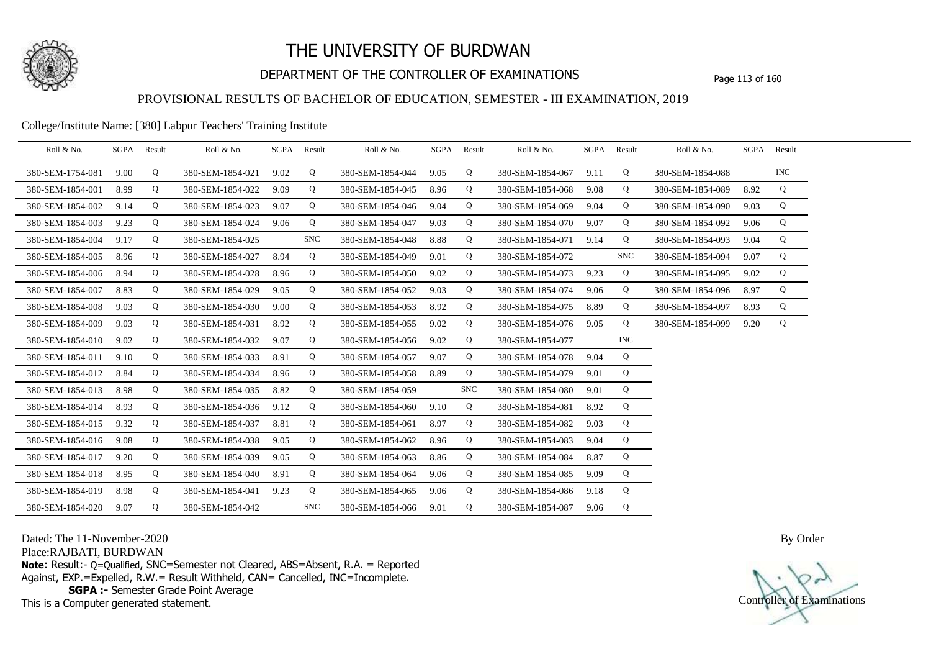

## DEPARTMENT OF THE CONTROLLER OF EXAMINATIONS Page 113 of 160

## PROVISIONAL RESULTS OF BACHELOR OF EDUCATION, SEMESTER - III EXAMINATION, 2019

#### College/Institute Name: [380] Labpur Teachers' Training Institute

| Roll & No.       |      | SGPA Result | Roll & No.       |      | SGPA Result | Roll & No.       |      | SGPA Result | Roll & No.       |      | SGPA Result | Roll & No.       |      | SGPA Result |  |
|------------------|------|-------------|------------------|------|-------------|------------------|------|-------------|------------------|------|-------------|------------------|------|-------------|--|
| 380-SEM-1754-081 | 9.00 | Q           | 380-SEM-1854-021 | 9.02 | Q           | 380-SEM-1854-044 | 9.05 | Q           | 380-SEM-1854-067 | 9.11 | Q           | 380-SEM-1854-088 |      | $\rm{INC}$  |  |
| 380-SEM-1854-001 | 8.99 | Q           | 380-SEM-1854-022 | 9.09 | Q           | 380-SEM-1854-045 | 8.96 | Q           | 380-SEM-1854-068 | 9.08 | Q           | 380-SEM-1854-089 | 8.92 | Q           |  |
| 380-SEM-1854-002 | 9.14 | Q           | 380-SEM-1854-023 | 9.07 | Q           | 380-SEM-1854-046 | 9.04 | Q           | 380-SEM-1854-069 | 9.04 | Q           | 380-SEM-1854-090 | 9.03 | Q           |  |
| 380-SEM-1854-003 | 9.23 | Q           | 380-SEM-1854-024 | 9.06 | Q           | 380-SEM-1854-047 | 9.03 | Q           | 380-SEM-1854-070 | 9.07 | Q           | 380-SEM-1854-092 | 9.06 | Q           |  |
| 380-SEM-1854-004 | 9.17 | Q           | 380-SEM-1854-025 |      | <b>SNC</b>  | 380-SEM-1854-048 | 8.88 | Q           | 380-SEM-1854-071 | 9.14 | Q           | 380-SEM-1854-093 | 9.04 | Q           |  |
| 380-SEM-1854-005 | 8.96 | Q           | 380-SEM-1854-027 | 8.94 | Q           | 380-SEM-1854-049 | 9.01 | Q           | 380-SEM-1854-072 |      | <b>SNC</b>  | 380-SEM-1854-094 | 9.07 | Q           |  |
| 380-SEM-1854-006 | 8.94 | Q           | 380-SEM-1854-028 | 8.96 | Q           | 380-SEM-1854-050 | 9.02 | Q           | 380-SEM-1854-073 | 9.23 | Q           | 380-SEM-1854-095 | 9.02 | Q           |  |
| 380-SEM-1854-007 | 8.83 | Q           | 380-SEM-1854-029 | 9.05 | Q           | 380-SEM-1854-052 | 9.03 | Q           | 380-SEM-1854-074 | 9.06 | Q           | 380-SEM-1854-096 | 8.97 | Q           |  |
| 380-SEM-1854-008 | 9.03 | Q           | 380-SEM-1854-030 | 9.00 | Q           | 380-SEM-1854-053 | 8.92 | Q           | 380-SEM-1854-075 | 8.89 | Q           | 380-SEM-1854-097 | 8.93 | Q           |  |
| 380-SEM-1854-009 | 9.03 | Q           | 380-SEM-1854-031 | 8.92 | Q           | 380-SEM-1854-055 | 9.02 | Q           | 380-SEM-1854-076 | 9.05 | Q           | 380-SEM-1854-099 | 9.20 | Q           |  |
| 380-SEM-1854-010 | 9.02 | Q           | 380-SEM-1854-032 | 9.07 | Q           | 380-SEM-1854-056 | 9.02 | Q           | 380-SEM-1854-077 |      | <b>INC</b>  |                  |      |             |  |
| 380-SEM-1854-011 | 9.10 | Q           | 380-SEM-1854-033 | 8.91 | Q           | 380-SEM-1854-057 | 9.07 | Q           | 380-SEM-1854-078 | 9.04 | Q           |                  |      |             |  |
| 380-SEM-1854-012 | 8.84 | Q           | 380-SEM-1854-034 | 8.96 | Q           | 380-SEM-1854-058 | 8.89 | Q           | 380-SEM-1854-079 | 9.01 | Q           |                  |      |             |  |
| 380-SEM-1854-013 | 8.98 | Q           | 380-SEM-1854-035 | 8.82 | Q           | 380-SEM-1854-059 |      | <b>SNC</b>  | 380-SEM-1854-080 | 9.01 | Q           |                  |      |             |  |
| 380-SEM-1854-014 | 8.93 | Q           | 380-SEM-1854-036 | 9.12 | Q           | 380-SEM-1854-060 | 9.10 | Q           | 380-SEM-1854-081 | 8.92 | Q           |                  |      |             |  |
| 380-SEM-1854-015 | 9.32 | Q           | 380-SEM-1854-037 | 8.81 | Q           | 380-SEM-1854-061 | 8.97 | Q           | 380-SEM-1854-082 | 9.03 | Q           |                  |      |             |  |
| 380-SEM-1854-016 | 9.08 | Q           | 380-SEM-1854-038 | 9.05 | Q           | 380-SEM-1854-062 | 8.96 | Q           | 380-SEM-1854-083 | 9.04 | Q           |                  |      |             |  |
| 380-SEM-1854-017 | 9.20 | Q           | 380-SEM-1854-039 | 9.05 | Q           | 380-SEM-1854-063 | 8.86 | Q           | 380-SEM-1854-084 | 8.87 | Q           |                  |      |             |  |
| 380-SEM-1854-018 | 8.95 | Q           | 380-SEM-1854-040 | 8.91 | Q           | 380-SEM-1854-064 | 9.06 | Q           | 380-SEM-1854-085 | 9.09 | Q           |                  |      |             |  |
| 380-SEM-1854-019 | 8.98 | Q           | 380-SEM-1854-041 | 9.23 | Q           | 380-SEM-1854-065 | 9.06 | Q           | 380-SEM-1854-086 | 9.18 | Q           |                  |      |             |  |
| 380-SEM-1854-020 | 9.07 | Q           | 380-SEM-1854-042 |      | <b>SNC</b>  | 380-SEM-1854-066 | 9.01 | Q           | 380-SEM-1854-087 | 9.06 | Q           |                  |      |             |  |

Dated: The 11-November-2020

Place:RAJBATI, BURDWAN

**Note**: Result:- Q=Qualified, SNC=Semester not Cleared, ABS=Absent, R.A. = Reported Against, EXP.=Expelled, R.W.= Result Withheld, CAN= Cancelled, INC=Incomplete. **SGPA :-** Semester Grade Point Average

This is a Computer generated statement.

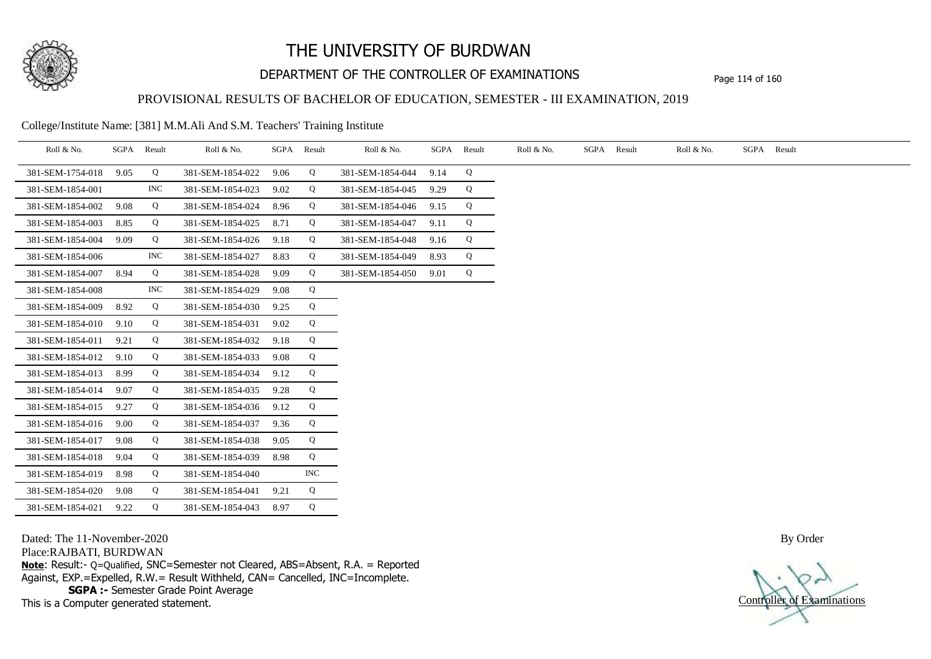

## DEPARTMENT OF THE CONTROLLER OF EXAMINATIONS Page 114 of 160

## PROVISIONAL RESULTS OF BACHELOR OF EDUCATION, SEMESTER - III EXAMINATION, 2019

College/Institute Name: [381] M.M.Ali And S.M. Teachers' Training Institute

| Roll & No.       | SGPA | Result     | Roll & No.       |      | SGPA Result | Roll & No.       | SGPA | Result | Roll & No. | SGPA Result | Roll & No. | SGPA Result |
|------------------|------|------------|------------------|------|-------------|------------------|------|--------|------------|-------------|------------|-------------|
| 381-SEM-1754-018 | 9.05 | Q          | 381-SEM-1854-022 | 9.06 | Q           | 381-SEM-1854-044 | 9.14 | Q      |            |             |            |             |
| 381-SEM-1854-001 |      | <b>INC</b> | 381-SEM-1854-023 | 9.02 | Q           | 381-SEM-1854-045 | 9.29 | Q      |            |             |            |             |
| 381-SEM-1854-002 | 9.08 | Q          | 381-SEM-1854-024 | 8.96 | Q           | 381-SEM-1854-046 | 9.15 | Q      |            |             |            |             |
| 381-SEM-1854-003 | 8.85 | Q          | 381-SEM-1854-025 | 8.71 | Q           | 381-SEM-1854-047 | 9.11 | Q      |            |             |            |             |
| 381-SEM-1854-004 | 9.09 | Q          | 381-SEM-1854-026 | 9.18 | Q           | 381-SEM-1854-048 | 9.16 | Q      |            |             |            |             |
| 381-SEM-1854-006 |      | <b>INC</b> | 381-SEM-1854-027 | 8.83 | Q           | 381-SEM-1854-049 | 8.93 | Q      |            |             |            |             |
| 381-SEM-1854-007 | 8.94 | Q          | 381-SEM-1854-028 | 9.09 | Q           | 381-SEM-1854-050 | 9.01 | Q      |            |             |            |             |
| 381-SEM-1854-008 |      | $\rm{INC}$ | 381-SEM-1854-029 | 9.08 | Q           |                  |      |        |            |             |            |             |
| 381-SEM-1854-009 | 8.92 | Q          | 381-SEM-1854-030 | 9.25 | Q           |                  |      |        |            |             |            |             |
| 381-SEM-1854-010 | 9.10 | Q          | 381-SEM-1854-031 | 9.02 | Q           |                  |      |        |            |             |            |             |
| 381-SEM-1854-011 | 9.21 | Q          | 381-SEM-1854-032 | 9.18 | Q           |                  |      |        |            |             |            |             |
| 381-SEM-1854-012 | 9.10 | Q          | 381-SEM-1854-033 | 9.08 | Q           |                  |      |        |            |             |            |             |
| 381-SEM-1854-013 | 8.99 | Q          | 381-SEM-1854-034 | 9.12 | Q           |                  |      |        |            |             |            |             |
| 381-SEM-1854-014 | 9.07 | Q          | 381-SEM-1854-035 | 9.28 | Q           |                  |      |        |            |             |            |             |
| 381-SEM-1854-015 | 9.27 | Q          | 381-SEM-1854-036 | 9.12 | Q           |                  |      |        |            |             |            |             |
| 381-SEM-1854-016 | 9.00 | Q          | 381-SEM-1854-037 | 9.36 | Q           |                  |      |        |            |             |            |             |
| 381-SEM-1854-017 | 9.08 | Q          | 381-SEM-1854-038 | 9.05 | Q           |                  |      |        |            |             |            |             |
| 381-SEM-1854-018 | 9.04 | Q          | 381-SEM-1854-039 | 8.98 | Q           |                  |      |        |            |             |            |             |
| 381-SEM-1854-019 | 8.98 | Q          | 381-SEM-1854-040 |      | <b>INC</b>  |                  |      |        |            |             |            |             |
| 381-SEM-1854-020 | 9.08 | Q          | 381-SEM-1854-041 | 9.21 | Q           |                  |      |        |            |             |            |             |
| 381-SEM-1854-021 | 9.22 | Q          | 381-SEM-1854-043 | 8.97 | Q           |                  |      |        |            |             |            |             |

Dated: The 11-November-2020

Place:RAJBATI, BURDWAN

**Note**: Result:- Q=Qualified, SNC=Semester not Cleared, ABS=Absent, R.A. = Reported Against, EXP.=Expelled, R.W.= Result Withheld, CAN= Cancelled, INC=Incomplete. **SGPA :-** Semester Grade Point Average

This is a Computer generated statement.

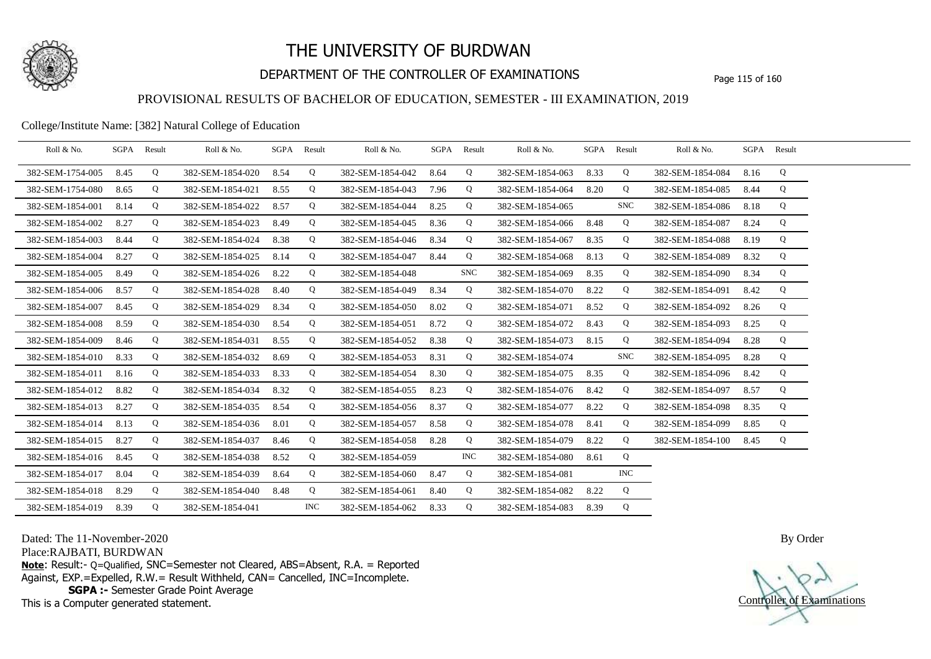

## DEPARTMENT OF THE CONTROLLER OF EXAMINATIONS Page 115 of 160

### PROVISIONAL RESULTS OF BACHELOR OF EDUCATION, SEMESTER - III EXAMINATION, 2019

#### College/Institute Name: [382] Natural College of Education

| Roll & No.       |      | SGPA Result | Roll & No.       |      | SGPA Result | Roll & No.       |      | SGPA Result | Roll & No.       | SGPA Result |            | Roll & No.       |      | SGPA Result |  |
|------------------|------|-------------|------------------|------|-------------|------------------|------|-------------|------------------|-------------|------------|------------------|------|-------------|--|
| 382-SEM-1754-005 | 8.45 | Q           | 382-SEM-1854-020 | 8.54 | Q           | 382-SEM-1854-042 | 8.64 | Q           | 382-SEM-1854-063 | 8.33        | Q          | 382-SEM-1854-084 | 8.16 | Q           |  |
| 382-SEM-1754-080 | 8.65 | Q           | 382-SEM-1854-021 | 8.55 | Q           | 382-SEM-1854-043 | 7.96 | Q           | 382-SEM-1854-064 | 8.20        | Q          | 382-SEM-1854-085 | 8.44 | Q           |  |
| 382-SEM-1854-001 | 8.14 | Q           | 382-SEM-1854-022 | 8.57 | Q           | 382-SEM-1854-044 | 8.25 | Q           | 382-SEM-1854-065 |             | <b>SNC</b> | 382-SEM-1854-086 | 8.18 | Q           |  |
| 382-SEM-1854-002 | 8.27 | Q           | 382-SEM-1854-023 | 8.49 | Q           | 382-SEM-1854-045 | 8.36 | Q           | 382-SEM-1854-066 | 8.48        | Q          | 382-SEM-1854-087 | 8.24 | Q           |  |
| 382-SEM-1854-003 | 8.44 | Q           | 382-SEM-1854-024 | 8.38 | Q           | 382-SEM-1854-046 | 8.34 | Q           | 382-SEM-1854-067 | 8.35        | Q          | 382-SEM-1854-088 | 8.19 | Q           |  |
| 382-SEM-1854-004 | 8.27 | Q           | 382-SEM-1854-025 | 8.14 | Q           | 382-SEM-1854-047 | 8.44 | Q           | 382-SEM-1854-068 | 8.13        | Q          | 382-SEM-1854-089 | 8.32 | Q           |  |
| 382-SEM-1854-005 | 8.49 | Q           | 382-SEM-1854-026 | 8.22 | Q           | 382-SEM-1854-048 |      | <b>SNC</b>  | 382-SEM-1854-069 | 8.35        | Q          | 382-SEM-1854-090 | 8.34 | Q           |  |
| 382-SEM-1854-006 | 8.57 | Q           | 382-SEM-1854-028 | 8.40 | Q           | 382-SEM-1854-049 | 8.34 | Q           | 382-SEM-1854-070 | 8.22        | Q          | 382-SEM-1854-091 | 8.42 | Q           |  |
| 382-SEM-1854-007 | 8.45 | Q           | 382-SEM-1854-029 | 8.34 | Q           | 382-SEM-1854-050 | 8.02 | Q           | 382-SEM-1854-071 | 8.52        | Q          | 382-SEM-1854-092 | 8.26 | Q           |  |
| 382-SEM-1854-008 | 8.59 | Q           | 382-SEM-1854-030 | 8.54 | Q           | 382-SEM-1854-051 | 8.72 | Q           | 382-SEM-1854-072 | 8.43        | Q          | 382-SEM-1854-093 | 8.25 | Q           |  |
| 382-SEM-1854-009 | 8.46 | Q           | 382-SEM-1854-031 | 8.55 | Q           | 382-SEM-1854-052 | 8.38 | Q           | 382-SEM-1854-073 | 8.15        | Q          | 382-SEM-1854-094 | 8.28 | Q           |  |
| 382-SEM-1854-010 | 8.33 | Q           | 382-SEM-1854-032 | 8.69 | Q           | 382-SEM-1854-053 | 8.31 | Q           | 382-SEM-1854-074 |             | <b>SNC</b> | 382-SEM-1854-095 | 8.28 | Q           |  |
| 382-SEM-1854-011 | 8.16 | Q           | 382-SEM-1854-033 | 8.33 | Q           | 382-SEM-1854-054 | 8.30 | Q           | 382-SEM-1854-075 | 8.35        | Q          | 382-SEM-1854-096 | 8.42 | Q           |  |
| 382-SEM-1854-012 | 8.82 | Q           | 382-SEM-1854-034 | 8.32 | Q           | 382-SEM-1854-055 | 8.23 | Q           | 382-SEM-1854-076 | 8.42        | Q          | 382-SEM-1854-097 | 8.57 | Q           |  |
| 382-SEM-1854-013 | 8.27 | Q           | 382-SEM-1854-035 | 8.54 | Q           | 382-SEM-1854-056 | 8.37 | Q           | 382-SEM-1854-077 | 8.22        | Q          | 382-SEM-1854-098 | 8.35 | Q           |  |
| 382-SEM-1854-014 | 8.13 | Q           | 382-SEM-1854-036 | 8.01 | Q           | 382-SEM-1854-057 | 8.58 | Q           | 382-SEM-1854-078 | 8.41        | Q          | 382-SEM-1854-099 | 8.85 | Q           |  |
| 382-SEM-1854-015 | 8.27 | Q           | 382-SEM-1854-037 | 8.46 | Q           | 382-SEM-1854-058 | 8.28 | Q           | 382-SEM-1854-079 | 8.22        | Q          | 382-SEM-1854-100 | 8.45 | Q           |  |
| 382-SEM-1854-016 | 8.45 | Q           | 382-SEM-1854-038 | 8.52 | Q           | 382-SEM-1854-059 |      | <b>INC</b>  | 382-SEM-1854-080 | 8.61        | Q          |                  |      |             |  |
| 382-SEM-1854-017 | 8.04 | Q           | 382-SEM-1854-039 | 8.64 | Q           | 382-SEM-1854-060 | 8.47 | Q           | 382-SEM-1854-081 |             | <b>INC</b> |                  |      |             |  |
| 382-SEM-1854-018 | 8.29 | Q           | 382-SEM-1854-040 | 8.48 | Q           | 382-SEM-1854-061 | 8.40 | Q           | 382-SEM-1854-082 | 8.22        | Q          |                  |      |             |  |
| 382-SEM-1854-019 | 8.39 | Q           | 382-SEM-1854-041 |      | <b>INC</b>  | 382-SEM-1854-062 | 8.33 | Q           | 382-SEM-1854-083 | 8.39        | Q          |                  |      |             |  |

Dated: The 11-November-2020

Place:RAJBATI, BURDWAN

**Note**: Result:- Q=Qualified, SNC=Semester not Cleared, ABS=Absent, R.A. = Reported Against, EXP.=Expelled, R.W.= Result Withheld, CAN= Cancelled, INC=Incomplete. **SGPA :-** Semester Grade Point Average

This is a Computer generated statement.

Controller of Examinations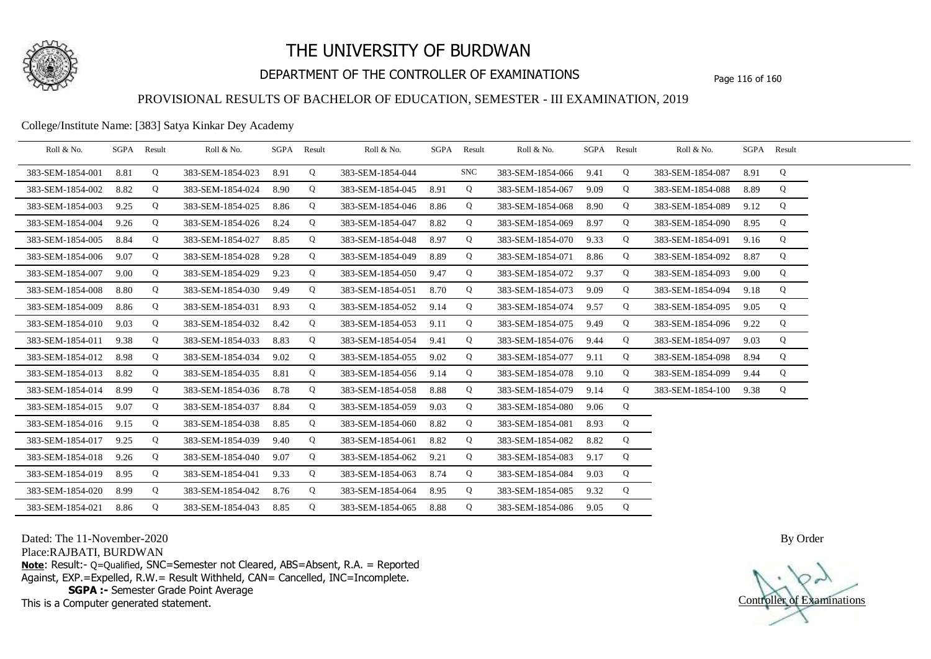

## DEPARTMENT OF THE CONTROLLER OF EXAMINATIONS Page 116 of 160

### PROVISIONAL RESULTS OF BACHELOR OF EDUCATION, SEMESTER - III EXAMINATION, 2019

College/Institute Name: [383] Satya Kinkar Dey Academy

| Roll & No.       | SGPA | Result | Roll & No.       | SGPA | Result | Roll & No.       |      | SGPA Result | Roll & No.       | SGPA | Result | Roll & No.       |      | SGPA Result |  |
|------------------|------|--------|------------------|------|--------|------------------|------|-------------|------------------|------|--------|------------------|------|-------------|--|
| 383-SEM-1854-001 | 8.81 | Q      | 383-SEM-1854-023 | 8.91 | Q      | 383-SEM-1854-044 |      | SNC         | 383-SEM-1854-066 | 9.41 | Q      | 383-SEM-1854-087 | 8.91 | Q           |  |
| 383-SEM-1854-002 | 8.82 | Q      | 383-SEM-1854-024 | 8.90 | Q      | 383-SEM-1854-045 | 8.91 | Q           | 383-SEM-1854-067 | 9.09 | Q      | 383-SEM-1854-088 | 8.89 | Q           |  |
| 383-SEM-1854-003 | 9.25 | Q      | 383-SEM-1854-025 | 8.86 | Q      | 383-SEM-1854-046 | 8.86 | Q           | 383-SEM-1854-068 | 8.90 | Q      | 383-SEM-1854-089 | 9.12 | Q           |  |
| 383-SEM-1854-004 | 9.26 | Q      | 383-SEM-1854-026 | 8.24 | Q      | 383-SEM-1854-047 | 8.82 | Q           | 383-SEM-1854-069 | 8.97 | Q      | 383-SEM-1854-090 | 8.95 | Q           |  |
| 383-SEM-1854-005 | 8.84 | Q      | 383-SEM-1854-027 | 8.85 | Q      | 383-SEM-1854-048 | 8.97 | Q           | 383-SEM-1854-070 | 9.33 | Q      | 383-SEM-1854-091 | 9.16 | Q           |  |
| 383-SEM-1854-006 | 9.07 | Q      | 383-SEM-1854-028 | 9.28 | Q      | 383-SEM-1854-049 | 8.89 | Q           | 383-SEM-1854-071 | 8.86 | Q      | 383-SEM-1854-092 | 8.87 | Q           |  |
| 383-SEM-1854-007 | 9.00 | Q      | 383-SEM-1854-029 | 9.23 | Q      | 383-SEM-1854-050 | 9.47 | Q           | 383-SEM-1854-072 | 9.37 | Q      | 383-SEM-1854-093 | 9.00 | Q           |  |
| 383-SEM-1854-008 | 8.80 | Q      | 383-SEM-1854-030 | 9.49 | Q      | 383-SEM-1854-051 | 8.70 | Q           | 383-SEM-1854-073 | 9.09 | Q      | 383-SEM-1854-094 | 9.18 | Q           |  |
| 383-SEM-1854-009 | 8.86 | Q      | 383-SEM-1854-031 | 8.93 | Q      | 383-SEM-1854-052 | 9.14 | Q           | 383-SEM-1854-074 | 9.57 | Q      | 383-SEM-1854-095 | 9.05 | Q           |  |
| 383-SEM-1854-010 | 9.03 | Q      | 383-SEM-1854-032 | 8.42 | Q      | 383-SEM-1854-053 | 9.11 | Q           | 383-SEM-1854-075 | 9.49 | Q      | 383-SEM-1854-096 | 9.22 | Q           |  |
| 383-SEM-1854-011 | 9.38 | Q      | 383-SEM-1854-033 | 8.83 | Q      | 383-SEM-1854-054 | 9.41 | Q           | 383-SEM-1854-076 | 9.44 | Q      | 383-SEM-1854-097 | 9.03 | Q           |  |
| 383-SEM-1854-012 | 8.98 | Q      | 383-SEM-1854-034 | 9.02 | Q      | 383-SEM-1854-055 | 9.02 | Q           | 383-SEM-1854-077 | 9.11 | Q      | 383-SEM-1854-098 | 8.94 | Q           |  |
| 383-SEM-1854-013 | 8.82 | Q      | 383-SEM-1854-035 | 8.81 | Q      | 383-SEM-1854-056 | 9.14 | Q           | 383-SEM-1854-078 | 9.10 | Q      | 383-SEM-1854-099 | 9.44 | Q           |  |
| 383-SEM-1854-014 | 8.99 | Q      | 383-SEM-1854-036 | 8.78 | Q      | 383-SEM-1854-058 | 8.88 | Q           | 383-SEM-1854-079 | 9.14 | Q      | 383-SEM-1854-100 | 9.38 | Q           |  |
| 383-SEM-1854-015 | 9.07 | Q      | 383-SEM-1854-037 | 8.84 | Q      | 383-SEM-1854-059 | 9.03 | Q           | 383-SEM-1854-080 | 9.06 | Q      |                  |      |             |  |
| 383-SEM-1854-016 | 9.15 | Q      | 383-SEM-1854-038 | 8.85 | Q      | 383-SEM-1854-060 | 8.82 | Q           | 383-SEM-1854-081 | 8.93 | Q      |                  |      |             |  |
| 383-SEM-1854-017 | 9.25 | Q      | 383-SEM-1854-039 | 9.40 | Q      | 383-SEM-1854-061 | 8.82 | Q           | 383-SEM-1854-082 | 8.82 | Q      |                  |      |             |  |
| 383-SEM-1854-018 | 9.26 | Q      | 383-SEM-1854-040 | 9.07 | Q      | 383-SEM-1854-062 | 9.21 | Q           | 383-SEM-1854-083 | 9.17 | Q      |                  |      |             |  |
| 383-SEM-1854-019 | 8.95 | Q      | 383-SEM-1854-041 | 9.33 | Q      | 383-SEM-1854-063 | 8.74 | Q           | 383-SEM-1854-084 | 9.03 | Q      |                  |      |             |  |
| 383-SEM-1854-020 | 8.99 | Q      | 383-SEM-1854-042 | 8.76 | Q      | 383-SEM-1854-064 | 8.95 | Q           | 383-SEM-1854-085 | 9.32 | Q      |                  |      |             |  |
| 383-SEM-1854-021 | 8.86 | Q      | 383-SEM-1854-043 | 8.85 | Q      | 383-SEM-1854-065 | 8.88 | Q           | 383-SEM-1854-086 | 9.05 | Q      |                  |      |             |  |

Dated: The 11-November-2020

Place:RAJBATI, BURDWAN

**Note**: Result:- Q=Qualified, SNC=Semester not Cleared, ABS=Absent, R.A. = Reported Against, EXP.=Expelled, R.W.= Result Withheld, CAN= Cancelled, INC=Incomplete. **SGPA :-** Semester Grade Point Average

This is a Computer generated statement.

Controller of Examinations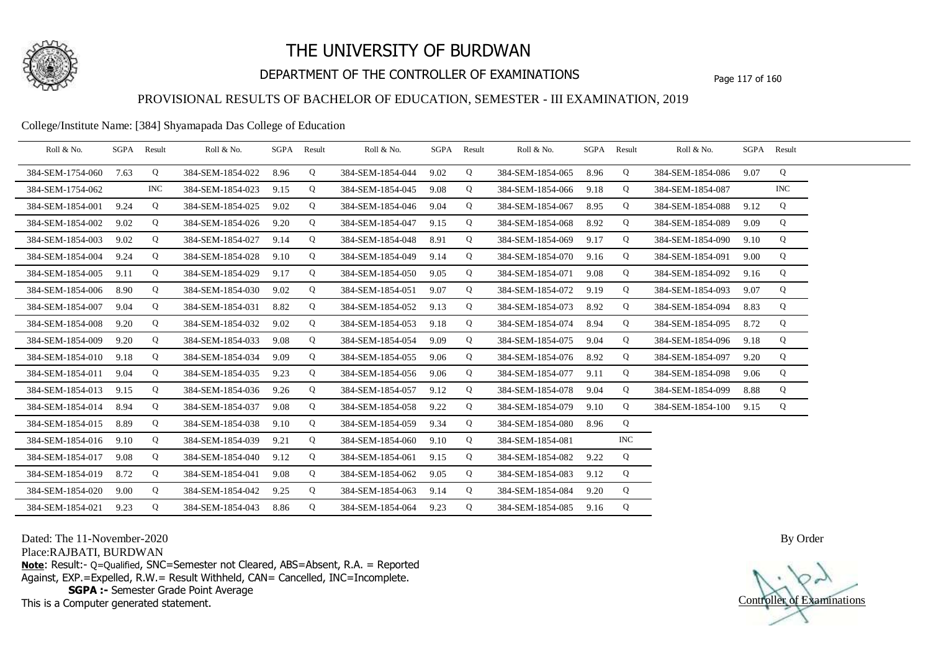

## DEPARTMENT OF THE CONTROLLER OF EXAMINATIONS Page 117 of 160

### PROVISIONAL RESULTS OF BACHELOR OF EDUCATION, SEMESTER - III EXAMINATION, 2019

#### College/Institute Name: [384] Shyamapada Das College of Education

| Roll & No.       |      | SGPA Result | Roll & No.       |      | SGPA Result | Roll & No.       | SGPA Result |   | Roll & No.       | SGPA Result |            | Roll & No.       |      | SGPA Result |  |
|------------------|------|-------------|------------------|------|-------------|------------------|-------------|---|------------------|-------------|------------|------------------|------|-------------|--|
| 384-SEM-1754-060 | 7.63 | Q           | 384-SEM-1854-022 | 8.96 | Q           | 384-SEM-1854-044 | 9.02        | Q | 384-SEM-1854-065 | 8.96        | Q          | 384-SEM-1854-086 | 9.07 | Q           |  |
| 384-SEM-1754-062 |      | INC         | 384-SEM-1854-023 | 9.15 | Q           | 384-SEM-1854-045 | 9.08        | Q | 384-SEM-1854-066 | 9.18        | Q          | 384-SEM-1854-087 |      | <b>INC</b>  |  |
| 384-SEM-1854-001 | 9.24 | Q           | 384-SEM-1854-025 | 9.02 | Q           | 384-SEM-1854-046 | 9.04        | Q | 384-SEM-1854-067 | 8.95        | Q          | 384-SEM-1854-088 | 9.12 | Q           |  |
| 384-SEM-1854-002 | 9.02 | Q           | 384-SEM-1854-026 | 9.20 | Q           | 384-SEM-1854-047 | 9.15        | Q | 384-SEM-1854-068 | 8.92        | Q          | 384-SEM-1854-089 | 9.09 | Q           |  |
| 384-SEM-1854-003 | 9.02 | Q           | 384-SEM-1854-027 | 9.14 | Q           | 384-SEM-1854-048 | 8.91        | Q | 384-SEM-1854-069 | 9.17        | Q          | 384-SEM-1854-090 | 9.10 | Q           |  |
| 384-SEM-1854-004 | 9.24 | Q           | 384-SEM-1854-028 | 9.10 | Q           | 384-SEM-1854-049 | 9.14        | Q | 384-SEM-1854-070 | 9.16        | Q          | 384-SEM-1854-091 | 9.00 | Q           |  |
| 384-SEM-1854-005 | 9.11 | Q           | 384-SEM-1854-029 | 9.17 | Q           | 384-SEM-1854-050 | 9.05        | Q | 384-SEM-1854-071 | 9.08        | Q          | 384-SEM-1854-092 | 9.16 | Q           |  |
| 384-SEM-1854-006 | 8.90 | Q           | 384-SEM-1854-030 | 9.02 | Q           | 384-SEM-1854-051 | 9.07        | Q | 384-SEM-1854-072 | 9.19        | Q          | 384-SEM-1854-093 | 9.07 | Q           |  |
| 384-SEM-1854-007 | 9.04 | Q           | 384-SEM-1854-031 | 8.82 | Q           | 384-SEM-1854-052 | 9.13        | Q | 384-SEM-1854-073 | 8.92        | Q          | 384-SEM-1854-094 | 8.83 | Q           |  |
| 384-SEM-1854-008 | 9.20 | Q           | 384-SEM-1854-032 | 9.02 | Q           | 384-SEM-1854-053 | 9.18        | Q | 384-SEM-1854-074 | 8.94        | Q          | 384-SEM-1854-095 | 8.72 | Q           |  |
| 384-SEM-1854-009 | 9.20 | Q           | 384-SEM-1854-033 | 9.08 | Q           | 384-SEM-1854-054 | 9.09        | Q | 384-SEM-1854-075 | 9.04        | Q          | 384-SEM-1854-096 | 9.18 | Q           |  |
| 384-SEM-1854-010 | 9.18 | Q           | 384-SEM-1854-034 | 9.09 | Q           | 384-SEM-1854-055 | 9.06        | Q | 384-SEM-1854-076 | 8.92        | Q          | 384-SEM-1854-097 | 9.20 | Q           |  |
| 384-SEM-1854-011 | 9.04 | Q           | 384-SEM-1854-035 | 9.23 | Q           | 384-SEM-1854-056 | 9.06        | Q | 384-SEM-1854-077 | 9.11        | Q          | 384-SEM-1854-098 | 9.06 | Q           |  |
| 384-SEM-1854-013 | 9.15 | Q           | 384-SEM-1854-036 | 9.26 | Q           | 384-SEM-1854-057 | 9.12        | Q | 384-SEM-1854-078 | 9.04        | Q          | 384-SEM-1854-099 | 8.88 | Q           |  |
| 384-SEM-1854-014 | 8.94 | Q           | 384-SEM-1854-037 | 9.08 | Q           | 384-SEM-1854-058 | 9.22        | Q | 384-SEM-1854-079 | 9.10        | Q          | 384-SEM-1854-100 | 9.15 | Q           |  |
| 384-SEM-1854-015 | 8.89 | Q           | 384-SEM-1854-038 | 9.10 | Q           | 384-SEM-1854-059 | 9.34        | Q | 384-SEM-1854-080 | 8.96        | Q          |                  |      |             |  |
| 384-SEM-1854-016 | 9.10 | Q           | 384-SEM-1854-039 | 9.21 | Q           | 384-SEM-1854-060 | 9.10        | Q | 384-SEM-1854-081 |             | <b>INC</b> |                  |      |             |  |
| 384-SEM-1854-017 | 9.08 | Q           | 384-SEM-1854-040 | 9.12 | Q           | 384-SEM-1854-061 | 9.15        | Q | 384-SEM-1854-082 | 9.22        | Q          |                  |      |             |  |
| 384-SEM-1854-019 | 8.72 | Q           | 384-SEM-1854-041 | 9.08 | Q           | 384-SEM-1854-062 | 9.05        | Q | 384-SEM-1854-083 | 9.12        | Q          |                  |      |             |  |
| 384-SEM-1854-020 | 9.00 | Q           | 384-SEM-1854-042 | 9.25 | Q           | 384-SEM-1854-063 | 9.14        | Q | 384-SEM-1854-084 | 9.20        | Q          |                  |      |             |  |
| 384-SEM-1854-021 | 9.23 | Q           | 384-SEM-1854-043 | 8.86 | Q           | 384-SEM-1854-064 | 9.23        | Q | 384-SEM-1854-085 | 9.16        | Q          |                  |      |             |  |

Dated: The 11-November-2020

Place:RAJBATI, BURDWAN

**Note**: Result:- Q=Qualified, SNC=Semester not Cleared, ABS=Absent, R.A. = Reported Against, EXP.=Expelled, R.W.= Result Withheld, CAN= Cancelled, INC=Incomplete. **SGPA :-** Semester Grade Point Average

This is a Computer generated statement.

Controller of Examinations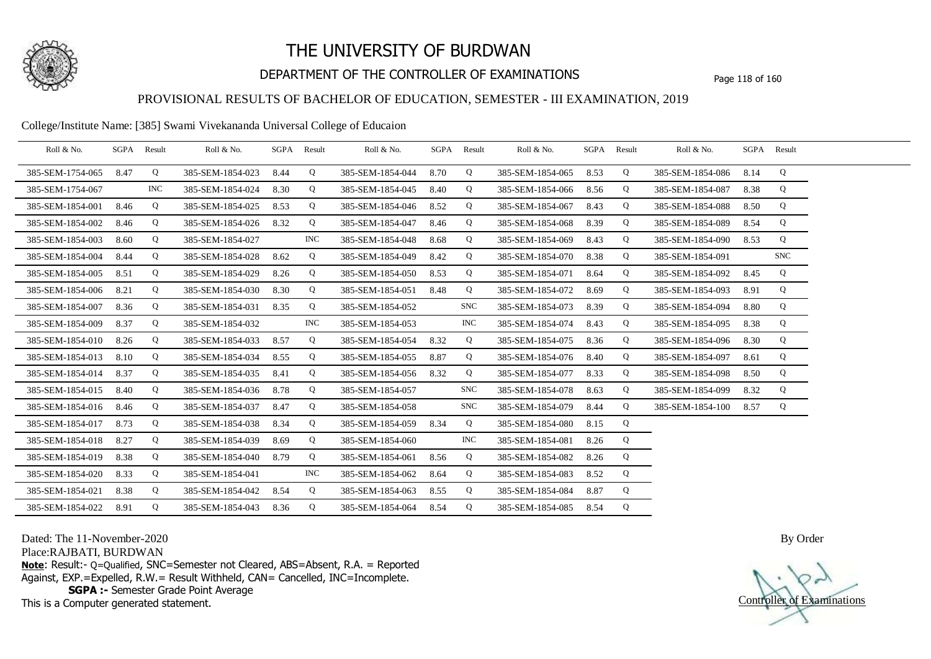

## DEPARTMENT OF THE CONTROLLER OF EXAMINATIONS Page 118 of 160

### PROVISIONAL RESULTS OF BACHELOR OF EDUCATION, SEMESTER - III EXAMINATION, 2019

College/Institute Name: [385] Swami Vivekananda Universal College of Educaion

| Roll & No.       |      | SGPA Result | Roll & No.       |      | SGPA Result | Roll & No.       |      | SGPA Result | Roll & No.            |      | SGPA Result | Roll & No.       |      | SGPA Result |  |
|------------------|------|-------------|------------------|------|-------------|------------------|------|-------------|-----------------------|------|-------------|------------------|------|-------------|--|
| 385-SEM-1754-065 | 8.47 | Q           | 385-SEM-1854-023 | 8.44 | Q           | 385-SEM-1854-044 | 8.70 | Q           | 385-SEM-1854-065 8.53 |      | Q           | 385-SEM-1854-086 | 8.14 | Q           |  |
| 385-SEM-1754-067 |      | <b>INC</b>  | 385-SEM-1854-024 | 8.30 | Q           | 385-SEM-1854-045 | 8.40 | Q           | 385-SEM-1854-066      | 8.56 | Q           | 385-SEM-1854-087 | 8.38 | Q           |  |
| 385-SEM-1854-001 | 8.46 | Q           | 385-SEM-1854-025 | 8.53 | Q           | 385-SEM-1854-046 | 8.52 | Q           | 385-SEM-1854-067      | 8.43 | Q           | 385-SEM-1854-088 | 8.50 | Q           |  |
| 385-SEM-1854-002 | 8.46 | Q           | 385-SEM-1854-026 | 8.32 | Q           | 385-SEM-1854-047 | 8.46 | Q           | 385-SEM-1854-068      | 8.39 | Q           | 385-SEM-1854-089 | 8.54 | Q           |  |
| 385-SEM-1854-003 | 8.60 | Q           | 385-SEM-1854-027 |      | <b>INC</b>  | 385-SEM-1854-048 | 8.68 | Q           | 385-SEM-1854-069      | 8.43 | Q           | 385-SEM-1854-090 | 8.53 | Q           |  |
| 385-SEM-1854-004 | 8.44 | Q           | 385-SEM-1854-028 | 8.62 | Q           | 385-SEM-1854-049 | 8.42 | Q           | 385-SEM-1854-070      | 8.38 | Q           | 385-SEM-1854-091 |      | <b>SNC</b>  |  |
| 385-SEM-1854-005 | 8.51 | Q           | 385-SEM-1854-029 | 8.26 | Q           | 385-SEM-1854-050 | 8.53 | Q           | 385-SEM-1854-071      | 8.64 | Q           | 385-SEM-1854-092 | 8.45 | Q           |  |
| 385-SEM-1854-006 | 8.21 | Q           | 385-SEM-1854-030 | 8.30 | Q           | 385-SEM-1854-051 | 8.48 | Q           | 385-SEM-1854-072      | 8.69 | Q           | 385-SEM-1854-093 | 8.91 | Q           |  |
| 385-SEM-1854-007 | 8.36 | Q           | 385-SEM-1854-031 | 8.35 | Q           | 385-SEM-1854-052 |      | <b>SNC</b>  | 385-SEM-1854-073      | 8.39 | Q           | 385-SEM-1854-094 | 8.80 | Q           |  |
| 385-SEM-1854-009 | 8.37 | Q           | 385-SEM-1854-032 |      | <b>INC</b>  | 385-SEM-1854-053 |      | <b>INC</b>  | 385-SEM-1854-074      | 8.43 | Q           | 385-SEM-1854-095 | 8.38 | Q           |  |
| 385-SEM-1854-010 | 8.26 | Q           | 385-SEM-1854-033 | 8.57 | Q           | 385-SEM-1854-054 | 8.32 | Q           | 385-SEM-1854-075      | 8.36 | Q           | 385-SEM-1854-096 | 8.30 | Q           |  |
| 385-SEM-1854-013 | 8.10 | Q           | 385-SEM-1854-034 | 8.55 | $\mathbf Q$ | 385-SEM-1854-055 | 8.87 | Q           | 385-SEM-1854-076      | 8.40 | Q           | 385-SEM-1854-097 | 8.61 | Q           |  |
| 385-SEM-1854-014 | 8.37 | Q           | 385-SEM-1854-035 | 8.41 | Q           | 385-SEM-1854-056 | 8.32 | Q           | 385-SEM-1854-077      | 8.33 | Q           | 385-SEM-1854-098 | 8.50 | Q           |  |
| 385-SEM-1854-015 | 8.40 | Q           | 385-SEM-1854-036 | 8.78 | Q           | 385-SEM-1854-057 |      | SNC         | 385-SEM-1854-078      | 8.63 | Q           | 385-SEM-1854-099 | 8.32 | Q           |  |
| 385-SEM-1854-016 | 8.46 | Q           | 385-SEM-1854-037 | 8.47 | Q           | 385-SEM-1854-058 |      | <b>SNC</b>  | 385-SEM-1854-079      | 8.44 | Q           | 385-SEM-1854-100 | 8.57 | Q           |  |
| 385-SEM-1854-017 | 8.73 | Q           | 385-SEM-1854-038 | 8.34 | Q           | 385-SEM-1854-059 | 8.34 | Q           | 385-SEM-1854-080      | 8.15 | Q           |                  |      |             |  |
| 385-SEM-1854-018 | 8.27 | Q           | 385-SEM-1854-039 | 8.69 | Q           | 385-SEM-1854-060 |      | <b>INC</b>  | 385-SEM-1854-081      | 8.26 | Q           |                  |      |             |  |
| 385-SEM-1854-019 | 8.38 | Q           | 385-SEM-1854-040 | 8.79 | Q           | 385-SEM-1854-061 | 8.56 | Q           | 385-SEM-1854-082      | 8.26 | Q           |                  |      |             |  |
| 385-SEM-1854-020 | 8.33 | Q           | 385-SEM-1854-041 |      | <b>INC</b>  | 385-SEM-1854-062 | 8.64 | Q           | 385-SEM-1854-083      | 8.52 | Q           |                  |      |             |  |
| 385-SEM-1854-021 | 8.38 | Q           | 385-SEM-1854-042 | 8.54 | Q           | 385-SEM-1854-063 | 8.55 | Q           | 385-SEM-1854-084      | 8.87 | Q           |                  |      |             |  |
| 385-SEM-1854-022 | 8.91 | Q           | 385-SEM-1854-043 | 8.36 | Q           | 385-SEM-1854-064 | 8.54 | Q           | 385-SEM-1854-085 8.54 |      | Q           |                  |      |             |  |

Dated: The 11-November-2020

Place:RAJBATI, BURDWAN

**Note**: Result:- Q=Qualified, SNC=Semester not Cleared, ABS=Absent, R.A. = Reported Against, EXP.=Expelled, R.W.= Result Withheld, CAN= Cancelled, INC=Incomplete. **SGPA :-** Semester Grade Point Average

This is a Computer generated statement.

Controller of Examinations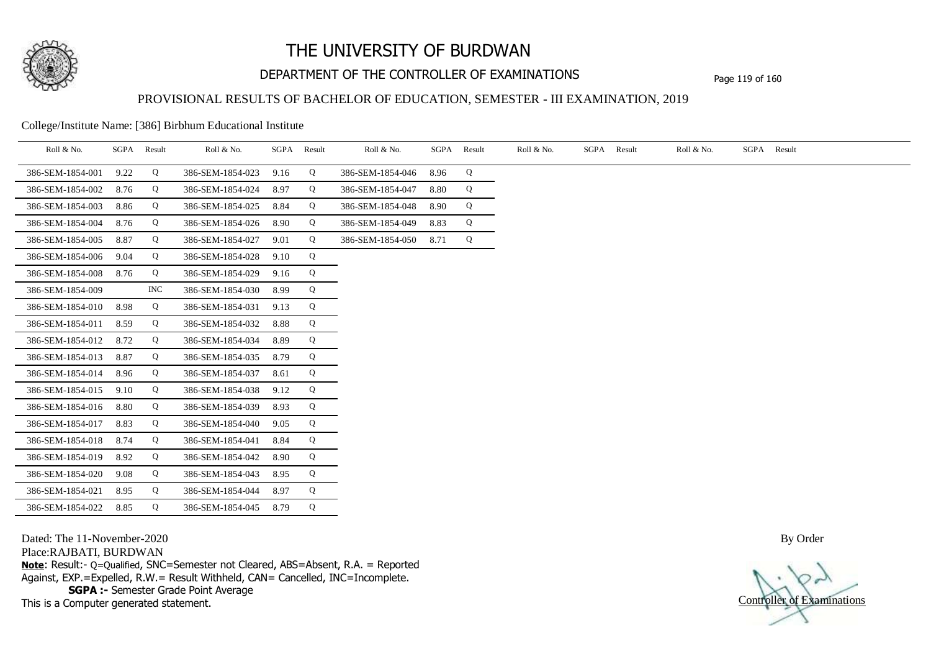

## DEPARTMENT OF THE CONTROLLER OF EXAMINATIONS Page 119 of 160

## PROVISIONAL RESULTS OF BACHELOR OF EDUCATION, SEMESTER - III EXAMINATION, 2019

College/Institute Name: [386] Birbhum Educational Institute

| Roll & No.       | SGPA | Result     | Roll & No.       |      | SGPA Result | Roll & No.       | SGPA | Result | Roll & No. | SGPA Result | Roll & No. | SGPA Result |
|------------------|------|------------|------------------|------|-------------|------------------|------|--------|------------|-------------|------------|-------------|
| 386-SEM-1854-001 | 9.22 | Q          | 386-SEM-1854-023 | 9.16 | Q           | 386-SEM-1854-046 | 8.96 | Q      |            |             |            |             |
| 386-SEM-1854-002 | 8.76 | Q          | 386-SEM-1854-024 | 8.97 | Q           | 386-SEM-1854-047 | 8.80 | Q      |            |             |            |             |
| 386-SEM-1854-003 | 8.86 | Q          | 386-SEM-1854-025 | 8.84 | Q           | 386-SEM-1854-048 | 8.90 | Q      |            |             |            |             |
| 386-SEM-1854-004 | 8.76 | Q          | 386-SEM-1854-026 | 8.90 | Q           | 386-SEM-1854-049 | 8.83 | Q      |            |             |            |             |
| 386-SEM-1854-005 | 8.87 | Q          | 386-SEM-1854-027 | 9.01 | Q           | 386-SEM-1854-050 | 8.71 | Q      |            |             |            |             |
| 386-SEM-1854-006 | 9.04 | Q          | 386-SEM-1854-028 | 9.10 | Q           |                  |      |        |            |             |            |             |
| 386-SEM-1854-008 | 8.76 | Q          | 386-SEM-1854-029 | 9.16 | Q           |                  |      |        |            |             |            |             |
| 386-SEM-1854-009 |      | <b>INC</b> | 386-SEM-1854-030 | 8.99 | Q           |                  |      |        |            |             |            |             |
| 386-SEM-1854-010 | 8.98 | Q          | 386-SEM-1854-031 | 9.13 | Q           |                  |      |        |            |             |            |             |
| 386-SEM-1854-011 | 8.59 | Q          | 386-SEM-1854-032 | 8.88 | Q           |                  |      |        |            |             |            |             |
| 386-SEM-1854-012 | 8.72 | Q          | 386-SEM-1854-034 | 8.89 | Q           |                  |      |        |            |             |            |             |
| 386-SEM-1854-013 | 8.87 | Q          | 386-SEM-1854-035 | 8.79 | Q           |                  |      |        |            |             |            |             |
| 386-SEM-1854-014 | 8.96 | Q          | 386-SEM-1854-037 | 8.61 | Q           |                  |      |        |            |             |            |             |
| 386-SEM-1854-015 | 9.10 | Q          | 386-SEM-1854-038 | 9.12 | Q           |                  |      |        |            |             |            |             |
| 386-SEM-1854-016 | 8.80 | Q          | 386-SEM-1854-039 | 8.93 | Q           |                  |      |        |            |             |            |             |
| 386-SEM-1854-017 | 8.83 | Q          | 386-SEM-1854-040 | 9.05 | Q           |                  |      |        |            |             |            |             |
| 386-SEM-1854-018 | 8.74 | Q          | 386-SEM-1854-041 | 8.84 | Q           |                  |      |        |            |             |            |             |
| 386-SEM-1854-019 | 8.92 | Q          | 386-SEM-1854-042 | 8.90 | Q           |                  |      |        |            |             |            |             |
| 386-SEM-1854-020 | 9.08 | Q          | 386-SEM-1854-043 | 8.95 | Q           |                  |      |        |            |             |            |             |
| 386-SEM-1854-021 | 8.95 | Q          | 386-SEM-1854-044 | 8.97 | Q           |                  |      |        |            |             |            |             |
| 386-SEM-1854-022 | 8.85 | Q          | 386-SEM-1854-045 | 8.79 | Q           |                  |      |        |            |             |            |             |

Dated: The 11-November-2020

Place:RAJBATI, BURDWAN

**Note**: Result:- Q=Qualified, SNC=Semester not Cleared, ABS=Absent, R.A. = Reported Against, EXP.=Expelled, R.W.= Result Withheld, CAN= Cancelled, INC=Incomplete. **SGPA :-** Semester Grade Point Average

This is a Computer generated statement.

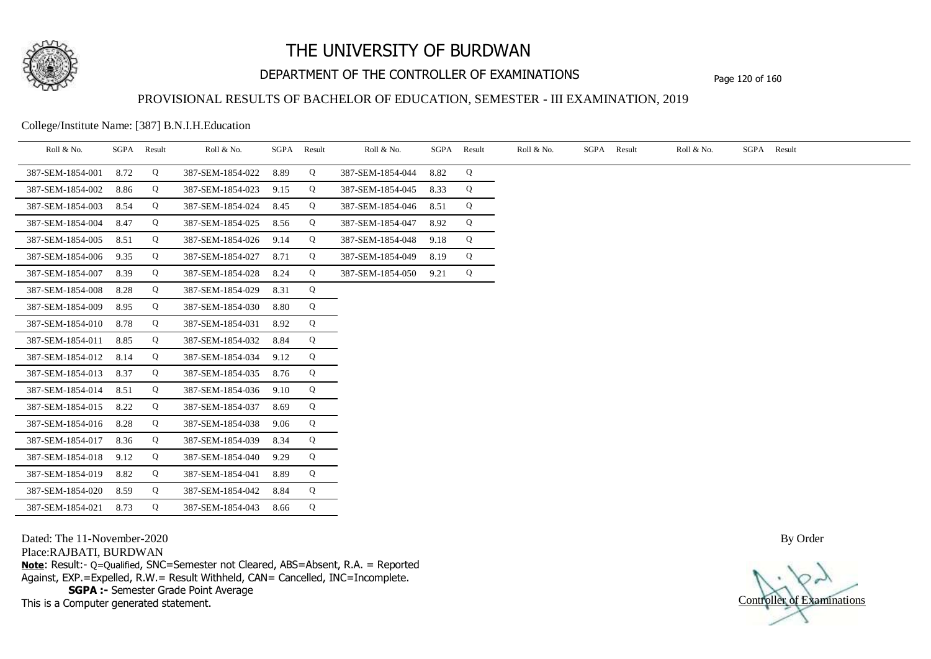

## DEPARTMENT OF THE CONTROLLER OF EXAMINATIONS Page 120 of 160

## PROVISIONAL RESULTS OF BACHELOR OF EDUCATION, SEMESTER - III EXAMINATION, 2019

College/Institute Name: [387] B.N.I.H.Education

| Roll & No.       | SGPA Result |   | Roll & No.       |      | SGPA Result | Roll & No.       | SGPA Result |   | Roll & No. | SGPA Result | Roll & No. | SGPA Result |
|------------------|-------------|---|------------------|------|-------------|------------------|-------------|---|------------|-------------|------------|-------------|
| 387-SEM-1854-001 | 8.72        | Q | 387-SEM-1854-022 | 8.89 | Q           | 387-SEM-1854-044 | 8.82        | Q |            |             |            |             |
| 387-SEM-1854-002 | 8.86        | Q | 387-SEM-1854-023 | 9.15 | Q           | 387-SEM-1854-045 | 8.33        | Q |            |             |            |             |
| 387-SEM-1854-003 | 8.54        | Q | 387-SEM-1854-024 | 8.45 | Q           | 387-SEM-1854-046 | 8.51        | Q |            |             |            |             |
| 387-SEM-1854-004 | 8.47        | Q | 387-SEM-1854-025 | 8.56 | Q           | 387-SEM-1854-047 | 8.92        | Q |            |             |            |             |
| 387-SEM-1854-005 | 8.51        | Q | 387-SEM-1854-026 | 9.14 | Q           | 387-SEM-1854-048 | 9.18        | Q |            |             |            |             |
| 387-SEM-1854-006 | 9.35        | Q | 387-SEM-1854-027 | 8.71 | Q           | 387-SEM-1854-049 | 8.19        | Q |            |             |            |             |
| 387-SEM-1854-007 | 8.39        | Q | 387-SEM-1854-028 | 8.24 | Q           | 387-SEM-1854-050 | 9.21        | Q |            |             |            |             |
| 387-SEM-1854-008 | 8.28        | Q | 387-SEM-1854-029 | 8.31 | Q           |                  |             |   |            |             |            |             |
| 387-SEM-1854-009 | 8.95        | Q | 387-SEM-1854-030 | 8.80 | Q           |                  |             |   |            |             |            |             |
| 387-SEM-1854-010 | 8.78        | Q | 387-SEM-1854-031 | 8.92 | Q           |                  |             |   |            |             |            |             |
| 387-SEM-1854-011 | 8.85        | Q | 387-SEM-1854-032 | 8.84 | Q           |                  |             |   |            |             |            |             |
| 387-SEM-1854-012 | 8.14        | Q | 387-SEM-1854-034 | 9.12 | Q           |                  |             |   |            |             |            |             |
| 387-SEM-1854-013 | 8.37        | Q | 387-SEM-1854-035 | 8.76 | Q           |                  |             |   |            |             |            |             |
| 387-SEM-1854-014 | 8.51        | Q | 387-SEM-1854-036 | 9.10 | Q           |                  |             |   |            |             |            |             |
| 387-SEM-1854-015 | 8.22        | Q | 387-SEM-1854-037 | 8.69 | Q           |                  |             |   |            |             |            |             |
| 387-SEM-1854-016 | 8.28        | Q | 387-SEM-1854-038 | 9.06 | Q           |                  |             |   |            |             |            |             |
| 387-SEM-1854-017 | 8.36        | Q | 387-SEM-1854-039 | 8.34 | Q           |                  |             |   |            |             |            |             |
| 387-SEM-1854-018 | 9.12        | Q | 387-SEM-1854-040 | 9.29 | Q           |                  |             |   |            |             |            |             |
| 387-SEM-1854-019 | 8.82        | Q | 387-SEM-1854-041 | 8.89 | Q           |                  |             |   |            |             |            |             |
| 387-SEM-1854-020 | 8.59        | Q | 387-SEM-1854-042 | 8.84 | Q           |                  |             |   |            |             |            |             |
| 387-SEM-1854-021 | 8.73        | Q | 387-SEM-1854-043 | 8.66 | Q           |                  |             |   |            |             |            |             |

Dated: The 11-November-2020

Place:RAJBATI, BURDWAN

**Note**: Result:- Q=Qualified, SNC=Semester not Cleared, ABS=Absent, R.A. = Reported Against, EXP.=Expelled, R.W.= Result Withheld, CAN= Cancelled, INC=Incomplete. **SGPA :-** Semester Grade Point Average

This is a Computer generated statement.

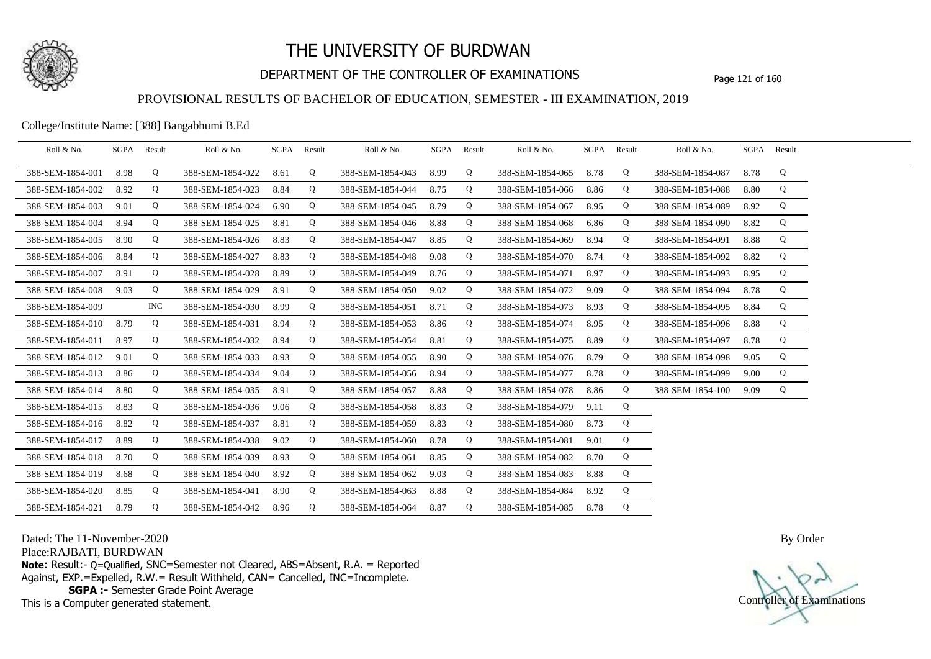

# DEPARTMENT OF THE CONTROLLER OF EXAMINATIONS Page 121 of 160

### PROVISIONAL RESULTS OF BACHELOR OF EDUCATION, SEMESTER - III EXAMINATION, 2019

College/Institute Name: [388] Bangabhumi B.Ed

| Roll & No.       | SGPA Result |     | Roll & No.       |      | SGPA Result | Roll & No.       | SGPA Result |   | Roll & No.       | SGPA | Result | Roll & No.       |      | SGPA Result |  |
|------------------|-------------|-----|------------------|------|-------------|------------------|-------------|---|------------------|------|--------|------------------|------|-------------|--|
| 388-SEM-1854-001 | 8.98        | Q   | 388-SEM-1854-022 | 8.61 | Q           | 388-SEM-1854-043 | 8.99        | Q | 388-SEM-1854-065 | 8.78 | Q      | 388-SEM-1854-087 | 8.78 | Q           |  |
| 388-SEM-1854-002 | 8.92        | Q   | 388-SEM-1854-023 | 8.84 | Q           | 388-SEM-1854-044 | 8.75        | Q | 388-SEM-1854-066 | 8.86 | Q      | 388-SEM-1854-088 | 8.80 | Q           |  |
| 388-SEM-1854-003 | 9.01        | Q   | 388-SEM-1854-024 | 6.90 | Q           | 388-SEM-1854-045 | 8.79        | Q | 388-SEM-1854-067 | 8.95 | Q      | 388-SEM-1854-089 | 8.92 | Q           |  |
| 388-SEM-1854-004 | 8.94        | Q   | 388-SEM-1854-025 | 8.81 | Q           | 388-SEM-1854-046 | 8.88        | Q | 388-SEM-1854-068 | 6.86 | Q      | 388-SEM-1854-090 | 8.82 | Q           |  |
| 388-SEM-1854-005 | 8.90        | Q   | 388-SEM-1854-026 | 8.83 | Q           | 388-SEM-1854-047 | 8.85        | Q | 388-SEM-1854-069 | 8.94 | Q      | 388-SEM-1854-091 | 8.88 | Q           |  |
| 388-SEM-1854-006 | 8.84        | Q   | 388-SEM-1854-027 | 8.83 | Q           | 388-SEM-1854-048 | 9.08        | Q | 388-SEM-1854-070 | 8.74 | Q      | 388-SEM-1854-092 | 8.82 | Q           |  |
| 388-SEM-1854-007 | 8.91        | Q   | 388-SEM-1854-028 | 8.89 | Q           | 388-SEM-1854-049 | 8.76        | Q | 388-SEM-1854-071 | 8.97 | Q      | 388-SEM-1854-093 | 8.95 | Q           |  |
| 388-SEM-1854-008 | 9.03        | Q   | 388-SEM-1854-029 | 8.91 | Q           | 388-SEM-1854-050 | 9.02        | Q | 388-SEM-1854-072 | 9.09 | Q      | 388-SEM-1854-094 | 8.78 | Q           |  |
| 388-SEM-1854-009 |             | INC | 388-SEM-1854-030 | 8.99 | Q           | 388-SEM-1854-051 | 8.71        | Q | 388-SEM-1854-073 | 8.93 | Q      | 388-SEM-1854-095 | 8.84 | Q           |  |
| 388-SEM-1854-010 | 8.79        | Q   | 388-SEM-1854-031 | 8.94 | Q           | 388-SEM-1854-053 | 8.86        | Q | 388-SEM-1854-074 | 8.95 | Q      | 388-SEM-1854-096 | 8.88 | Q           |  |
| 388-SEM-1854-011 | 8.97        | Q   | 388-SEM-1854-032 | 8.94 | Q           | 388-SEM-1854-054 | 8.81        | Q | 388-SEM-1854-075 | 8.89 | Q      | 388-SEM-1854-097 | 8.78 | Q           |  |
| 388-SEM-1854-012 | 9.01        | Q   | 388-SEM-1854-033 | 8.93 | Q           | 388-SEM-1854-055 | 8.90        | Q | 388-SEM-1854-076 | 8.79 | Q      | 388-SEM-1854-098 | 9.05 | Q           |  |
| 388-SEM-1854-013 | 8.86        | Q   | 388-SEM-1854-034 | 9.04 | Q           | 388-SEM-1854-056 | 8.94        | Q | 388-SEM-1854-077 | 8.78 | Q      | 388-SEM-1854-099 | 9.00 | Q           |  |
| 388-SEM-1854-014 | 8.80        | Q   | 388-SEM-1854-035 | 8.91 | Q           | 388-SEM-1854-057 | 8.88        | Q | 388-SEM-1854-078 | 8.86 | Q      | 388-SEM-1854-100 | 9.09 | Q           |  |
| 388-SEM-1854-015 | 8.83        | Q   | 388-SEM-1854-036 | 9.06 | Q           | 388-SEM-1854-058 | 8.83        | Q | 388-SEM-1854-079 | 9.11 | Q      |                  |      |             |  |
| 388-SEM-1854-016 | 8.82        | Q   | 388-SEM-1854-037 | 8.81 | Q           | 388-SEM-1854-059 | 8.83        | Q | 388-SEM-1854-080 | 8.73 | Q      |                  |      |             |  |
| 388-SEM-1854-017 | 8.89        | Q   | 388-SEM-1854-038 | 9.02 | Q           | 388-SEM-1854-060 | 8.78        | Q | 388-SEM-1854-081 | 9.01 | Q      |                  |      |             |  |
| 388-SEM-1854-018 | 8.70        | Q   | 388-SEM-1854-039 | 8.93 | Q           | 388-SEM-1854-061 | 8.85        | Q | 388-SEM-1854-082 | 8.70 | Q      |                  |      |             |  |
| 388-SEM-1854-019 | 8.68        | Q   | 388-SEM-1854-040 | 8.92 | Q           | 388-SEM-1854-062 | 9.03        | Q | 388-SEM-1854-083 | 8.88 | Q      |                  |      |             |  |
| 388-SEM-1854-020 | 8.85        | Q   | 388-SEM-1854-041 | 8.90 | Q           | 388-SEM-1854-063 | 8.88        | Q | 388-SEM-1854-084 | 8.92 | Q      |                  |      |             |  |
| 388-SEM-1854-021 | 8.79        | Q   | 388-SEM-1854-042 | 8.96 | Q           | 388-SEM-1854-064 | 8.87        | Q | 388-SEM-1854-085 | 8.78 | Q      |                  |      |             |  |

Dated: The 11-November-2020

Place:RAJBATI, BURDWAN

**Note**: Result:- Q=Qualified, SNC=Semester not Cleared, ABS=Absent, R.A. = Reported Against, EXP.=Expelled, R.W.= Result Withheld, CAN= Cancelled, INC=Incomplete. **SGPA :-** Semester Grade Point Average

This is a Computer generated statement.

Controller of Examinations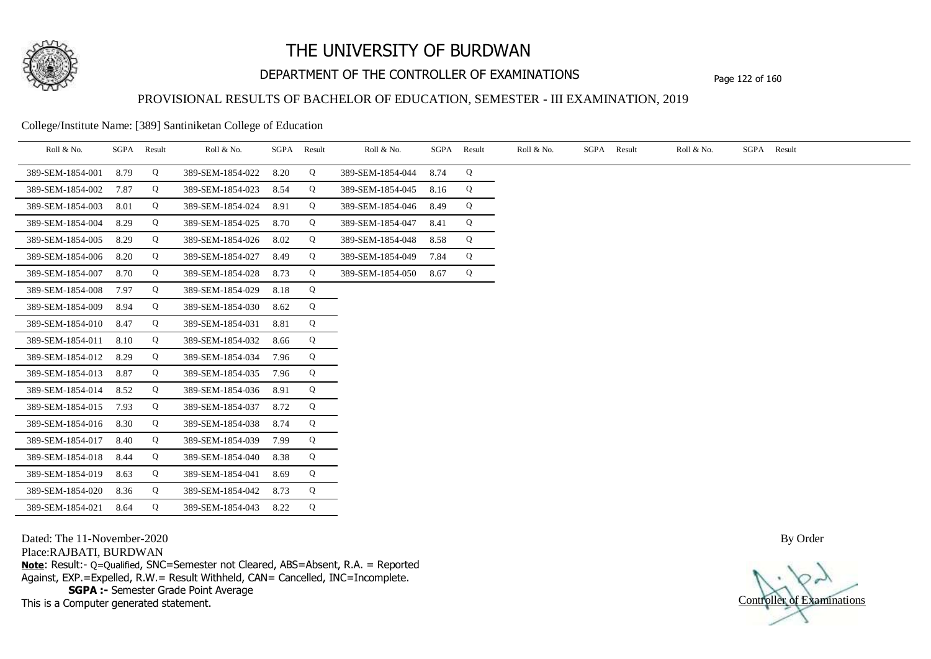

## DEPARTMENT OF THE CONTROLLER OF EXAMINATIONS Page 122 of 160

## PROVISIONAL RESULTS OF BACHELOR OF EDUCATION, SEMESTER - III EXAMINATION, 2019

#### College/Institute Name: [389] Santiniketan College of Education

| Roll & No.       | SGPA | Result | Roll & No.       |      | SGPA Result | Roll & No.       | SGPA | Result | Roll & No. | SGPA Result | Roll & No. | SGPA Result |
|------------------|------|--------|------------------|------|-------------|------------------|------|--------|------------|-------------|------------|-------------|
| 389-SEM-1854-001 | 8.79 | Q      | 389-SEM-1854-022 | 8.20 | Q           | 389-SEM-1854-044 | 8.74 | Q      |            |             |            |             |
| 389-SEM-1854-002 | 7.87 | Q      | 389-SEM-1854-023 | 8.54 | Q           | 389-SEM-1854-045 | 8.16 | Q      |            |             |            |             |
| 389-SEM-1854-003 | 8.01 | Q      | 389-SEM-1854-024 | 8.91 | Q           | 389-SEM-1854-046 | 8.49 | Q      |            |             |            |             |
| 389-SEM-1854-004 | 8.29 | Q      | 389-SEM-1854-025 | 8.70 | Q           | 389-SEM-1854-047 | 8.41 | Q      |            |             |            |             |
| 389-SEM-1854-005 | 8.29 | Q      | 389-SEM-1854-026 | 8.02 | Q           | 389-SEM-1854-048 | 8.58 | Q      |            |             |            |             |
| 389-SEM-1854-006 | 8.20 | Q      | 389-SEM-1854-027 | 8.49 | Q           | 389-SEM-1854-049 | 7.84 | Q      |            |             |            |             |
| 389-SEM-1854-007 | 8.70 | Q      | 389-SEM-1854-028 | 8.73 | Q           | 389-SEM-1854-050 | 8.67 | Q      |            |             |            |             |
| 389-SEM-1854-008 | 7.97 | Q      | 389-SEM-1854-029 | 8.18 | Q           |                  |      |        |            |             |            |             |
| 389-SEM-1854-009 | 8.94 | Q      | 389-SEM-1854-030 | 8.62 | Q           |                  |      |        |            |             |            |             |
| 389-SEM-1854-010 | 8.47 | Q      | 389-SEM-1854-031 | 8.81 | Q           |                  |      |        |            |             |            |             |
| 389-SEM-1854-011 | 8.10 | Q      | 389-SEM-1854-032 | 8.66 | Q           |                  |      |        |            |             |            |             |
| 389-SEM-1854-012 | 8.29 | Q      | 389-SEM-1854-034 | 7.96 | Q           |                  |      |        |            |             |            |             |
| 389-SEM-1854-013 | 8.87 | Q      | 389-SEM-1854-035 | 7.96 | Q           |                  |      |        |            |             |            |             |
| 389-SEM-1854-014 | 8.52 | Q      | 389-SEM-1854-036 | 8.91 | Q           |                  |      |        |            |             |            |             |
| 389-SEM-1854-015 | 7.93 | Q      | 389-SEM-1854-037 | 8.72 | Q           |                  |      |        |            |             |            |             |
| 389-SEM-1854-016 | 8.30 | Q      | 389-SEM-1854-038 | 8.74 | Q           |                  |      |        |            |             |            |             |
| 389-SEM-1854-017 | 8.40 | Q      | 389-SEM-1854-039 | 7.99 | Q           |                  |      |        |            |             |            |             |
| 389-SEM-1854-018 | 8.44 | Q      | 389-SEM-1854-040 | 8.38 | Q           |                  |      |        |            |             |            |             |
| 389-SEM-1854-019 | 8.63 | Q      | 389-SEM-1854-041 | 8.69 | Q           |                  |      |        |            |             |            |             |
| 389-SEM-1854-020 | 8.36 | Q      | 389-SEM-1854-042 | 8.73 | Q           |                  |      |        |            |             |            |             |
| 389-SEM-1854-021 | 8.64 | Q      | 389-SEM-1854-043 | 8.22 | Q           |                  |      |        |            |             |            |             |

Dated: The 11-November-2020

Place:RAJBATI, BURDWAN

**Note**: Result:- Q=Qualified, SNC=Semester not Cleared, ABS=Absent, R.A. = Reported Against, EXP.=Expelled, R.W.= Result Withheld, CAN= Cancelled, INC=Incomplete. **SGPA :-** Semester Grade Point Average

This is a Computer generated statement.

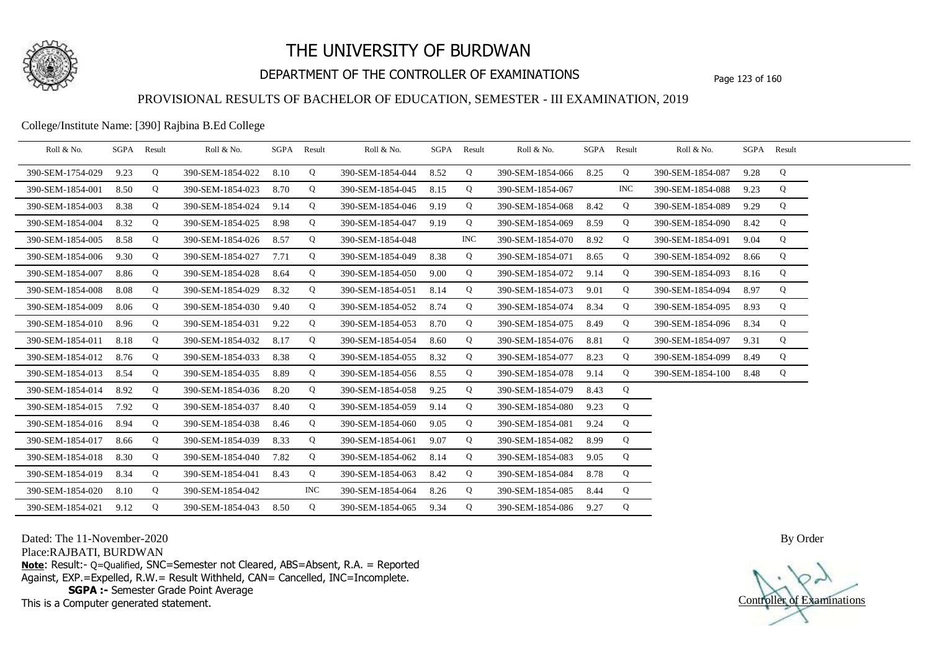

## DEPARTMENT OF THE CONTROLLER OF EXAMINATIONS Page 123 of 160

## PROVISIONAL RESULTS OF BACHELOR OF EDUCATION, SEMESTER - III EXAMINATION, 2019

College/Institute Name: [390] Rajbina B.Ed College

| Roll & No.       | SGPA Result |   | Roll & No.       |      | SGPA Result | Roll & No.       |      | SGPA Result | Roll & No.       |      | SGPA Result | Roll & No.       | SGPA Result |   |  |
|------------------|-------------|---|------------------|------|-------------|------------------|------|-------------|------------------|------|-------------|------------------|-------------|---|--|
| 390-SEM-1754-029 | 9.23        | Q | 390-SEM-1854-022 | 8.10 | Q           | 390-SEM-1854-044 | 8.52 | Q           | 390-SEM-1854-066 | 8.25 | Q           | 390-SEM-1854-087 | 9.28        | Q |  |
| 390-SEM-1854-001 | 8.50        | Q | 390-SEM-1854-023 | 8.70 | Q           | 390-SEM-1854-045 | 8.15 | Q           | 390-SEM-1854-067 |      | <b>INC</b>  | 390-SEM-1854-088 | 9.23        | Q |  |
| 390-SEM-1854-003 | 8.38        | Q | 390-SEM-1854-024 | 9.14 | Q           | 390-SEM-1854-046 | 9.19 | Q           | 390-SEM-1854-068 | 8.42 | Q           | 390-SEM-1854-089 | 9.29        | Q |  |
| 390-SEM-1854-004 | 8.32        | Q | 390-SEM-1854-025 | 8.98 | Q           | 390-SEM-1854-047 | 9.19 | Q           | 390-SEM-1854-069 | 8.59 | Q           | 390-SEM-1854-090 | 8.42        | Q |  |
| 390-SEM-1854-005 | 8.58        | Q | 390-SEM-1854-026 | 8.57 | Q           | 390-SEM-1854-048 |      | <b>INC</b>  | 390-SEM-1854-070 | 8.92 | Q           | 390-SEM-1854-091 | 9.04        | Q |  |
| 390-SEM-1854-006 | 9.30        | Q | 390-SEM-1854-027 | 7.71 | Q           | 390-SEM-1854-049 | 8.38 | Q           | 390-SEM-1854-071 | 8.65 | Q           | 390-SEM-1854-092 | 8.66        | Q |  |
| 390-SEM-1854-007 | 8.86        | Q | 390-SEM-1854-028 | 8.64 | Q           | 390-SEM-1854-050 | 9.00 | Q           | 390-SEM-1854-072 | 9.14 | Q           | 390-SEM-1854-093 | 8.16        | Q |  |
| 390-SEM-1854-008 | 8.08        | Q | 390-SEM-1854-029 | 8.32 | Q           | 390-SEM-1854-051 | 8.14 | Q           | 390-SEM-1854-073 | 9.01 | Q           | 390-SEM-1854-094 | 8.97        | Q |  |
| 390-SEM-1854-009 | 8.06        | Q | 390-SEM-1854-030 | 9.40 | Q           | 390-SEM-1854-052 | 8.74 | Q           | 390-SEM-1854-074 | 8.34 | Q           | 390-SEM-1854-095 | 8.93        | Q |  |
| 390-SEM-1854-010 | 8.96        | Q | 390-SEM-1854-031 | 9.22 | Q           | 390-SEM-1854-053 | 8.70 | Q           | 390-SEM-1854-075 | 8.49 | Q           | 390-SEM-1854-096 | 8.34        | Q |  |
| 390-SEM-1854-011 | 8.18        | Q | 390-SEM-1854-032 | 8.17 | Q           | 390-SEM-1854-054 | 8.60 | Q           | 390-SEM-1854-076 | 8.81 | Q           | 390-SEM-1854-097 | 9.31        | Q |  |
| 390-SEM-1854-012 | 8.76        | Q | 390-SEM-1854-033 | 8.38 | Q           | 390-SEM-1854-055 | 8.32 | Q           | 390-SEM-1854-077 | 8.23 | Q           | 390-SEM-1854-099 | 8.49        | Q |  |
| 390-SEM-1854-013 | 8.54        | Q | 390-SEM-1854-035 | 8.89 | Q           | 390-SEM-1854-056 | 8.55 | Q           | 390-SEM-1854-078 | 9.14 | Q           | 390-SEM-1854-100 | 8.48        | Q |  |
| 390-SEM-1854-014 | 8.92        | Q | 390-SEM-1854-036 | 8.20 | Q           | 390-SEM-1854-058 | 9.25 | Q           | 390-SEM-1854-079 | 8.43 | Q           |                  |             |   |  |
| 390-SEM-1854-015 | 7.92        | Q | 390-SEM-1854-037 | 8.40 | Q           | 390-SEM-1854-059 | 9.14 | Q           | 390-SEM-1854-080 | 9.23 | Q           |                  |             |   |  |
| 390-SEM-1854-016 | 8.94        | Q | 390-SEM-1854-038 | 8.46 | Q           | 390-SEM-1854-060 | 9.05 | Q           | 390-SEM-1854-081 | 9.24 | Q           |                  |             |   |  |
| 390-SEM-1854-017 | 8.66        | Q | 390-SEM-1854-039 | 8.33 | Q           | 390-SEM-1854-061 | 9.07 | Q           | 390-SEM-1854-082 | 8.99 | Q           |                  |             |   |  |
| 390-SEM-1854-018 | 8.30        | Q | 390-SEM-1854-040 | 7.82 | Q           | 390-SEM-1854-062 | 8.14 | Q           | 390-SEM-1854-083 | 9.05 | Q           |                  |             |   |  |
| 390-SEM-1854-019 | 8.34        | Q | 390-SEM-1854-041 | 8.43 | Q           | 390-SEM-1854-063 | 8.42 | Q           | 390-SEM-1854-084 | 8.78 | Q           |                  |             |   |  |
| 390-SEM-1854-020 | 8.10        | Q | 390-SEM-1854-042 |      | INC.        | 390-SEM-1854-064 | 8.26 | Q           | 390-SEM-1854-085 | 8.44 | Q           |                  |             |   |  |
| 390-SEM-1854-021 | 9.12        | Q | 390-SEM-1854-043 | 8.50 | Q           | 390-SEM-1854-065 | 9.34 | Q           | 390-SEM-1854-086 | 9.27 | Q           |                  |             |   |  |

Dated: The 11-November-2020

Place:RAJBATI, BURDWAN

**Note**: Result:- Q=Qualified, SNC=Semester not Cleared, ABS=Absent, R.A. = Reported Against, EXP.=Expelled, R.W.= Result Withheld, CAN= Cancelled, INC=Incomplete. **SGPA :-** Semester Grade Point Average

This is a Computer generated statement.

Controller of Examinations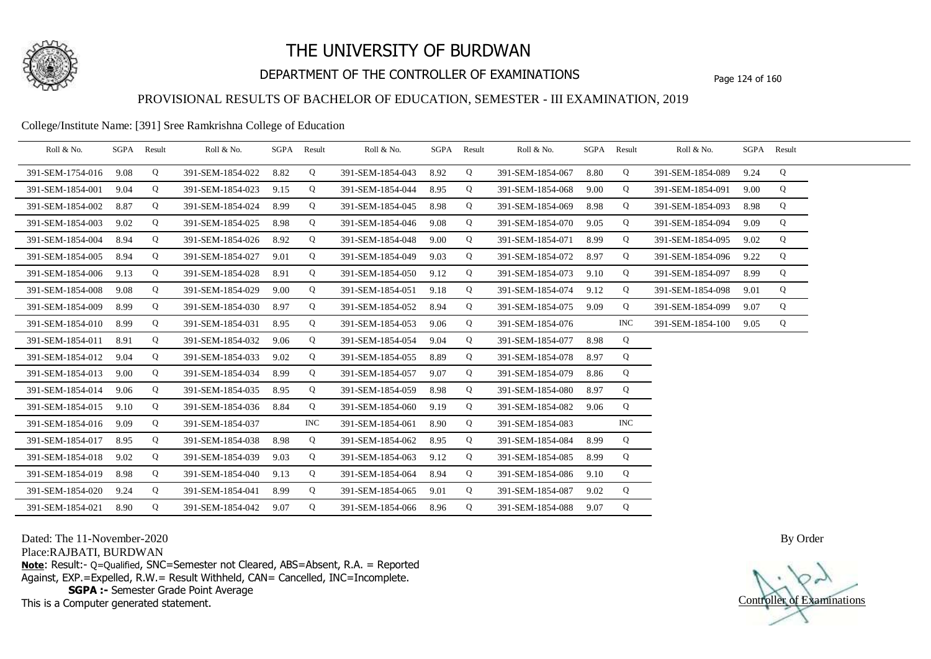

## DEPARTMENT OF THE CONTROLLER OF EXAMINATIONS Page 124 of 160

## PROVISIONAL RESULTS OF BACHELOR OF EDUCATION, SEMESTER - III EXAMINATION, 2019

#### College/Institute Name: [391] Sree Ramkrishna College of Education

| Roll & No.       | SGPA | Result | Roll & No.       |      | SGPA Result | Roll & No.       |      | SGPA Result | Roll & No.       |      | SGPA Result | Roll & No.       | SGPA Result |   |  |
|------------------|------|--------|------------------|------|-------------|------------------|------|-------------|------------------|------|-------------|------------------|-------------|---|--|
| 391-SEM-1754-016 | 9.08 | Q      | 391-SEM-1854-022 | 8.82 | Q           | 391-SEM-1854-043 | 8.92 | Q           | 391-SEM-1854-067 | 8.80 | Q           | 391-SEM-1854-089 | 9.24        | Q |  |
| 391-SEM-1854-001 | 9.04 | Q      | 391-SEM-1854-023 | 9.15 | Q           | 391-SEM-1854-044 | 8.95 | Q           | 391-SEM-1854-068 | 9.00 | Q           | 391-SEM-1854-091 | 9.00        | Q |  |
| 391-SEM-1854-002 | 8.87 | Q      | 391-SEM-1854-024 | 8.99 | Q           | 391-SEM-1854-045 | 8.98 | Q           | 391-SEM-1854-069 | 8.98 | Q           | 391-SEM-1854-093 | 8.98        | Q |  |
| 391-SEM-1854-003 | 9.02 | Q      | 391-SEM-1854-025 | 8.98 | Q           | 391-SEM-1854-046 | 9.08 | Q           | 391-SEM-1854-070 | 9.05 | Q           | 391-SEM-1854-094 | 9.09        | Q |  |
| 391-SEM-1854-004 | 8.94 | Q      | 391-SEM-1854-026 | 8.92 | Q           | 391-SEM-1854-048 | 9.00 | Q           | 391-SEM-1854-071 | 8.99 | Q           | 391-SEM-1854-095 | 9.02        | Q |  |
| 391-SEM-1854-005 | 8.94 | Q      | 391-SEM-1854-027 | 9.01 | Q           | 391-SEM-1854-049 | 9.03 | Q           | 391-SEM-1854-072 | 8.97 | Q           | 391-SEM-1854-096 | 9.22        | Q |  |
| 391-SEM-1854-006 | 9.13 | Q      | 391-SEM-1854-028 | 8.91 | Q           | 391-SEM-1854-050 | 9.12 | Q           | 391-SEM-1854-073 | 9.10 | Q           | 391-SEM-1854-097 | 8.99        | Q |  |
| 391-SEM-1854-008 | 9.08 | Q      | 391-SEM-1854-029 | 9.00 | Q           | 391-SEM-1854-051 | 9.18 | Q           | 391-SEM-1854-074 | 9.12 | Q           | 391-SEM-1854-098 | 9.01        | Q |  |
| 391-SEM-1854-009 | 8.99 | Q      | 391-SEM-1854-030 | 8.97 | Q           | 391-SEM-1854-052 | 8.94 | Q           | 391-SEM-1854-075 | 9.09 | Q           | 391-SEM-1854-099 | 9.07        | Q |  |
| 391-SEM-1854-010 | 8.99 | Q      | 391-SEM-1854-031 | 8.95 | Q           | 391-SEM-1854-053 | 9.06 | Q           | 391-SEM-1854-076 |      | <b>INC</b>  | 391-SEM-1854-100 | 9.05        | Q |  |
| 391-SEM-1854-011 | 8.91 | Q      | 391-SEM-1854-032 | 9.06 | Q           | 391-SEM-1854-054 | 9.04 | Q           | 391-SEM-1854-077 | 8.98 | Q           |                  |             |   |  |
| 391-SEM-1854-012 | 9.04 | Q      | 391-SEM-1854-033 | 9.02 | Q           | 391-SEM-1854-055 | 8.89 | Q           | 391-SEM-1854-078 | 8.97 | Q           |                  |             |   |  |
| 391-SEM-1854-013 | 9.00 | Q      | 391-SEM-1854-034 | 8.99 | Q           | 391-SEM-1854-057 | 9.07 | Q           | 391-SEM-1854-079 | 8.86 | Q           |                  |             |   |  |
| 391-SEM-1854-014 | 9.06 | Q      | 391-SEM-1854-035 | 8.95 | Q           | 391-SEM-1854-059 | 8.98 | Q           | 391-SEM-1854-080 | 8.97 | Q           |                  |             |   |  |
| 391-SEM-1854-015 | 9.10 | Q      | 391-SEM-1854-036 | 8.84 | Q           | 391-SEM-1854-060 | 9.19 | Q           | 391-SEM-1854-082 | 9.06 | Q           |                  |             |   |  |
| 391-SEM-1854-016 | 9.09 | Q      | 391-SEM-1854-037 |      | <b>INC</b>  | 391-SEM-1854-061 | 8.90 | Q           | 391-SEM-1854-083 |      | <b>INC</b>  |                  |             |   |  |
| 391-SEM-1854-017 | 8.95 | Q      | 391-SEM-1854-038 | 8.98 | Q           | 391-SEM-1854-062 | 8.95 | Q           | 391-SEM-1854-084 | 8.99 | Q           |                  |             |   |  |
| 391-SEM-1854-018 | 9.02 | Q      | 391-SEM-1854-039 | 9.03 | Q           | 391-SEM-1854-063 | 9.12 | Q           | 391-SEM-1854-085 | 8.99 | Q           |                  |             |   |  |
| 391-SEM-1854-019 | 8.98 | Q      | 391-SEM-1854-040 | 9.13 | Q           | 391-SEM-1854-064 | 8.94 | Q           | 391-SEM-1854-086 | 9.10 | Q           |                  |             |   |  |
| 391-SEM-1854-020 | 9.24 | Q      | 391-SEM-1854-041 | 8.99 | Q           | 391-SEM-1854-065 | 9.01 | Q           | 391-SEM-1854-087 | 9.02 | Q           |                  |             |   |  |
| 391-SEM-1854-021 | 8.90 | Q      | 391-SEM-1854-042 | 9.07 | Q           | 391-SEM-1854-066 | 8.96 | Q           | 391-SEM-1854-088 | 9.07 | Q           |                  |             |   |  |

Dated: The 11-November-2020

Place:RAJBATI, BURDWAN

**Note**: Result:- Q=Qualified, SNC=Semester not Cleared, ABS=Absent, R.A. = Reported Against, EXP.=Expelled, R.W.= Result Withheld, CAN= Cancelled, INC=Incomplete. **SGPA :-** Semester Grade Point Average

This is a Computer generated statement.

Controller of Examinations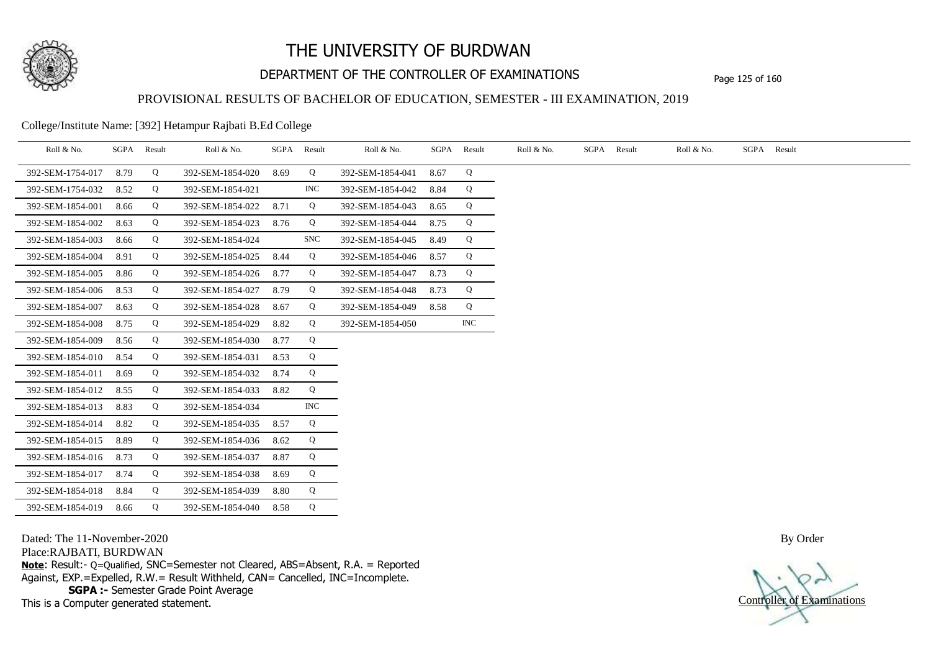

## DEPARTMENT OF THE CONTROLLER OF EXAMINATIONS Page 125 of 160

### PROVISIONAL RESULTS OF BACHELOR OF EDUCATION, SEMESTER - III EXAMINATION, 2019

College/Institute Name: [392] Hetampur Rajbati B.Ed College

| Roll & No.       | SGPA | Result | Roll & No.       | SGPA | Result     | Roll & No.       | SGPA | Result     | Roll & No. | SGPA | Result | Roll & No. | SGPA Result |
|------------------|------|--------|------------------|------|------------|------------------|------|------------|------------|------|--------|------------|-------------|
| 392-SEM-1754-017 | 8.79 | Q      | 392-SEM-1854-020 | 8.69 | Q          | 392-SEM-1854-041 | 8.67 | Q          |            |      |        |            |             |
| 392-SEM-1754-032 | 8.52 | Q      | 392-SEM-1854-021 |      | INC        | 392-SEM-1854-042 | 8.84 | Q          |            |      |        |            |             |
| 392-SEM-1854-001 | 8.66 | Q      | 392-SEM-1854-022 | 8.71 | Q          | 392-SEM-1854-043 | 8.65 | Q          |            |      |        |            |             |
| 392-SEM-1854-002 | 8.63 | Q      | 392-SEM-1854-023 | 8.76 | Q          | 392-SEM-1854-044 | 8.75 | Q          |            |      |        |            |             |
| 392-SEM-1854-003 | 8.66 | Q      | 392-SEM-1854-024 |      | <b>SNC</b> | 392-SEM-1854-045 | 8.49 | Q          |            |      |        |            |             |
| 392-SEM-1854-004 | 8.91 | Q      | 392-SEM-1854-025 | 8.44 | Q          | 392-SEM-1854-046 | 8.57 | Q          |            |      |        |            |             |
| 392-SEM-1854-005 | 8.86 | Q      | 392-SEM-1854-026 | 8.77 | Q          | 392-SEM-1854-047 | 8.73 | Q          |            |      |        |            |             |
| 392-SEM-1854-006 | 8.53 | Q      | 392-SEM-1854-027 | 8.79 | Q          | 392-SEM-1854-048 | 8.73 | Q          |            |      |        |            |             |
| 392-SEM-1854-007 | 8.63 | Q      | 392-SEM-1854-028 | 8.67 | Q          | 392-SEM-1854-049 | 8.58 | Q          |            |      |        |            |             |
| 392-SEM-1854-008 | 8.75 | Q      | 392-SEM-1854-029 | 8.82 | Q          | 392-SEM-1854-050 |      | <b>INC</b> |            |      |        |            |             |
| 392-SEM-1854-009 | 8.56 | Q      | 392-SEM-1854-030 | 8.77 | Q          |                  |      |            |            |      |        |            |             |
| 392-SEM-1854-010 | 8.54 | Q      | 392-SEM-1854-031 | 8.53 | Q          |                  |      |            |            |      |        |            |             |
| 392-SEM-1854-011 | 8.69 | Q      | 392-SEM-1854-032 | 8.74 | Q          |                  |      |            |            |      |        |            |             |
| 392-SEM-1854-012 | 8.55 | Q      | 392-SEM-1854-033 | 8.82 | Q          |                  |      |            |            |      |        |            |             |
| 392-SEM-1854-013 | 8.83 | Q      | 392-SEM-1854-034 |      | <b>INC</b> |                  |      |            |            |      |        |            |             |
| 392-SEM-1854-014 | 8.82 | Q      | 392-SEM-1854-035 | 8.57 | Q          |                  |      |            |            |      |        |            |             |
| 392-SEM-1854-015 | 8.89 | Q      | 392-SEM-1854-036 | 8.62 | Q          |                  |      |            |            |      |        |            |             |
| 392-SEM-1854-016 | 8.73 | Q      | 392-SEM-1854-037 | 8.87 | Q          |                  |      |            |            |      |        |            |             |
| 392-SEM-1854-017 | 8.74 | Q      | 392-SEM-1854-038 | 8.69 | Q          |                  |      |            |            |      |        |            |             |
| 392-SEM-1854-018 | 8.84 | Q      | 392-SEM-1854-039 | 8.80 | Q          |                  |      |            |            |      |        |            |             |
| 392-SEM-1854-019 | 8.66 | Q      | 392-SEM-1854-040 | 8.58 | Q          |                  |      |            |            |      |        |            |             |

Dated: The 11-November-2020

Place:RAJBATI, BURDWAN

**Note**: Result:- Q=Qualified, SNC=Semester not Cleared, ABS=Absent, R.A. = Reported Against, EXP.=Expelled, R.W.= Result Withheld, CAN= Cancelled, INC=Incomplete. **SGPA :-** Semester Grade Point Average

This is a Computer generated statement.

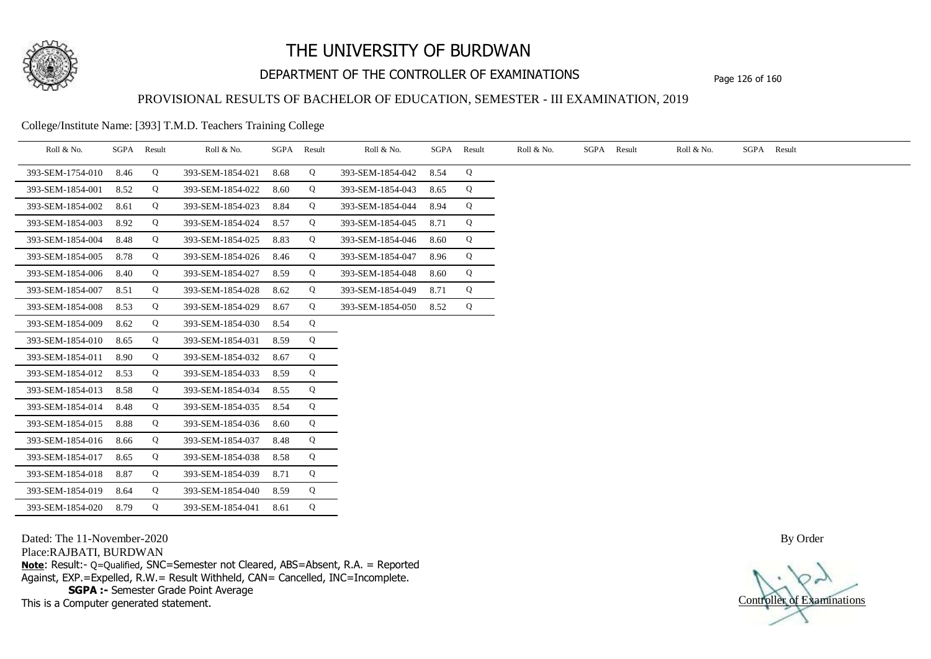

## DEPARTMENT OF THE CONTROLLER OF EXAMINATIONS Page 126 of 160

### PROVISIONAL RESULTS OF BACHELOR OF EDUCATION, SEMESTER - III EXAMINATION, 2019

College/Institute Name: [393] T.M.D. Teachers Training College

| Roll & No.       |      | SGPA Result | Roll & No.       |      | SGPA Result | Roll & No.       | SGPA | Result | Roll & No. | SGPA Result | Roll & No. | SGPA Result |
|------------------|------|-------------|------------------|------|-------------|------------------|------|--------|------------|-------------|------------|-------------|
| 393-SEM-1754-010 | 8.46 | Q           | 393-SEM-1854-021 | 8.68 | Q           | 393-SEM-1854-042 | 8.54 | Q      |            |             |            |             |
| 393-SEM-1854-001 | 8.52 | Q           | 393-SEM-1854-022 | 8.60 | Q           | 393-SEM-1854-043 | 8.65 | Q      |            |             |            |             |
| 393-SEM-1854-002 | 8.61 | Q           | 393-SEM-1854-023 | 8.84 | Q           | 393-SEM-1854-044 | 8.94 | Q      |            |             |            |             |
| 393-SEM-1854-003 | 8.92 | Q           | 393-SEM-1854-024 | 8.57 | Q           | 393-SEM-1854-045 | 8.71 | Q      |            |             |            |             |
| 393-SEM-1854-004 | 8.48 | Q           | 393-SEM-1854-025 | 8.83 | Q           | 393-SEM-1854-046 | 8.60 | Q      |            |             |            |             |
| 393-SEM-1854-005 | 8.78 | Q           | 393-SEM-1854-026 | 8.46 | Q           | 393-SEM-1854-047 | 8.96 | Q      |            |             |            |             |
| 393-SEM-1854-006 | 8.40 | Q           | 393-SEM-1854-027 | 8.59 | Q           | 393-SEM-1854-048 | 8.60 | Q      |            |             |            |             |
| 393-SEM-1854-007 | 8.51 | Q           | 393-SEM-1854-028 | 8.62 | Q           | 393-SEM-1854-049 | 8.71 | Q      |            |             |            |             |
| 393-SEM-1854-008 | 8.53 | Q           | 393-SEM-1854-029 | 8.67 | Q           | 393-SEM-1854-050 | 8.52 | Q      |            |             |            |             |
| 393-SEM-1854-009 | 8.62 | Q           | 393-SEM-1854-030 | 8.54 | Q           |                  |      |        |            |             |            |             |
| 393-SEM-1854-010 | 8.65 | Q           | 393-SEM-1854-031 | 8.59 | Q           |                  |      |        |            |             |            |             |
| 393-SEM-1854-011 | 8.90 | Q           | 393-SEM-1854-032 | 8.67 | Q           |                  |      |        |            |             |            |             |
| 393-SEM-1854-012 | 8.53 | Q           | 393-SEM-1854-033 | 8.59 | Q           |                  |      |        |            |             |            |             |
| 393-SEM-1854-013 | 8.58 | Q           | 393-SEM-1854-034 | 8.55 | Q           |                  |      |        |            |             |            |             |
| 393-SEM-1854-014 | 8.48 | Q           | 393-SEM-1854-035 | 8.54 | Q           |                  |      |        |            |             |            |             |
| 393-SEM-1854-015 | 8.88 | Q           | 393-SEM-1854-036 | 8.60 | Q           |                  |      |        |            |             |            |             |
| 393-SEM-1854-016 | 8.66 | Q           | 393-SEM-1854-037 | 8.48 | Q           |                  |      |        |            |             |            |             |
| 393-SEM-1854-017 | 8.65 | Q           | 393-SEM-1854-038 | 8.58 | Q           |                  |      |        |            |             |            |             |
| 393-SEM-1854-018 | 8.87 | Q           | 393-SEM-1854-039 | 8.71 | Q           |                  |      |        |            |             |            |             |
| 393-SEM-1854-019 | 8.64 | Q           | 393-SEM-1854-040 | 8.59 | Q           |                  |      |        |            |             |            |             |
| 393-SEM-1854-020 | 8.79 | Q           | 393-SEM-1854-041 | 8.61 | Q           |                  |      |        |            |             |            |             |

Dated: The 11-November-2020

Place:RAJBATI, BURDWAN

**Note**: Result:- Q=Qualified, SNC=Semester not Cleared, ABS=Absent, R.A. = Reported Against, EXP.=Expelled, R.W.= Result Withheld, CAN= Cancelled, INC=Incomplete. **SGPA :-** Semester Grade Point Average

This is a Computer generated statement.

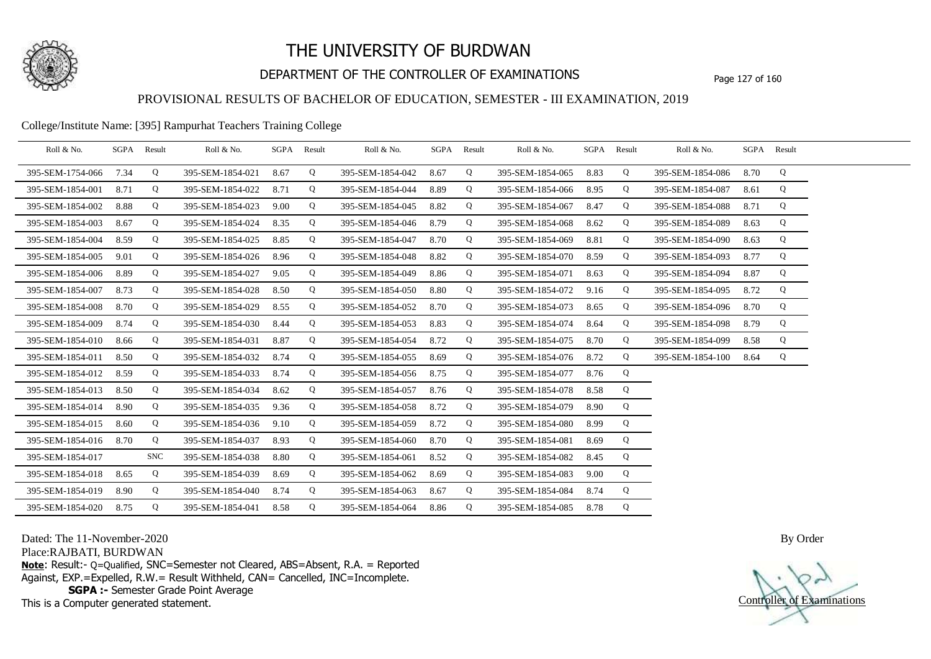

## DEPARTMENT OF THE CONTROLLER OF EXAMINATIONS Page 127 of 160

### PROVISIONAL RESULTS OF BACHELOR OF EDUCATION, SEMESTER - III EXAMINATION, 2019

### College/Institute Name: [395] Rampurhat Teachers Training College

| Roll & No.       | SGPA | Result     | Roll & No.       | SGPA Result |   | Roll & No.       |      | SGPA Result | Roll & No.       |      | SGPA Result | Roll & No.       |      | SGPA Result |  |
|------------------|------|------------|------------------|-------------|---|------------------|------|-------------|------------------|------|-------------|------------------|------|-------------|--|
| 395-SEM-1754-066 | 7.34 | Q          | 395-SEM-1854-021 | 8.67        | Q | 395-SEM-1854-042 | 8.67 | Q           | 395-SEM-1854-065 | 8.83 | Q           | 395-SEM-1854-086 | 8.70 | Q           |  |
| 395-SEM-1854-001 | 8.71 | Q          | 395-SEM-1854-022 | 8.71        | Q | 395-SEM-1854-044 | 8.89 | Q           | 395-SEM-1854-066 | 8.95 | Q           | 395-SEM-1854-087 | 8.61 | Q           |  |
| 395-SEM-1854-002 | 8.88 | Q          | 395-SEM-1854-023 | 9.00        | Q | 395-SEM-1854-045 | 8.82 | Q           | 395-SEM-1854-067 | 8.47 | Q           | 395-SEM-1854-088 | 8.71 | Q           |  |
| 395-SEM-1854-003 | 8.67 | Q          | 395-SEM-1854-024 | 8.35        | Q | 395-SEM-1854-046 | 8.79 | Q           | 395-SEM-1854-068 | 8.62 | Q           | 395-SEM-1854-089 | 8.63 | Q           |  |
| 395-SEM-1854-004 | 8.59 | Q          | 395-SEM-1854-025 | 8.85        | Q | 395-SEM-1854-047 | 8.70 | Q           | 395-SEM-1854-069 | 8.81 | Q           | 395-SEM-1854-090 | 8.63 | Q           |  |
| 395-SEM-1854-005 | 9.01 | Q          | 395-SEM-1854-026 | 8.96        | Q | 395-SEM-1854-048 | 8.82 | Q           | 395-SEM-1854-070 | 8.59 | Q           | 395-SEM-1854-093 | 8.77 | Q           |  |
| 395-SEM-1854-006 | 8.89 | Q          | 395-SEM-1854-027 | 9.05        | Q | 395-SEM-1854-049 | 8.86 | Q           | 395-SEM-1854-071 | 8.63 | Q           | 395-SEM-1854-094 | 8.87 | Q           |  |
| 395-SEM-1854-007 | 8.73 | Q          | 395-SEM-1854-028 | 8.50        | Q | 395-SEM-1854-050 | 8.80 | Q           | 395-SEM-1854-072 | 9.16 | Q           | 395-SEM-1854-095 | 8.72 | Q           |  |
| 395-SEM-1854-008 | 8.70 | Q          | 395-SEM-1854-029 | 8.55        | Q | 395-SEM-1854-052 | 8.70 | Q           | 395-SEM-1854-073 | 8.65 | Q           | 395-SEM-1854-096 | 8.70 | Q           |  |
| 395-SEM-1854-009 | 8.74 | Q          | 395-SEM-1854-030 | 8.44        | Q | 395-SEM-1854-053 | 8.83 | Q           | 395-SEM-1854-074 | 8.64 | Q           | 395-SEM-1854-098 | 8.79 | Q           |  |
| 395-SEM-1854-010 | 8.66 | Q          | 395-SEM-1854-031 | 8.87        | Q | 395-SEM-1854-054 | 8.72 | Q           | 395-SEM-1854-075 | 8.70 | Q           | 395-SEM-1854-099 | 8.58 | Q           |  |
| 395-SEM-1854-011 | 8.50 | Q          | 395-SEM-1854-032 | 8.74        | Q | 395-SEM-1854-055 | 8.69 | Q           | 395-SEM-1854-076 | 8.72 | Q           | 395-SEM-1854-100 | 8.64 | Q           |  |
| 395-SEM-1854-012 | 8.59 | Q          | 395-SEM-1854-033 | 8.74        | Q | 395-SEM-1854-056 | 8.75 | Q           | 395-SEM-1854-077 | 8.76 | Q           |                  |      |             |  |
| 395-SEM-1854-013 | 8.50 | Q          | 395-SEM-1854-034 | 8.62        | Q | 395-SEM-1854-057 | 8.76 | Q           | 395-SEM-1854-078 | 8.58 | Q           |                  |      |             |  |
| 395-SEM-1854-014 | 8.90 | Q          | 395-SEM-1854-035 | 9.36        | Q | 395-SEM-1854-058 | 8.72 | Q           | 395-SEM-1854-079 | 8.90 | Q           |                  |      |             |  |
| 395-SEM-1854-015 | 8.60 | Q          | 395-SEM-1854-036 | 9.10        | Q | 395-SEM-1854-059 | 8.72 | Q           | 395-SEM-1854-080 | 8.99 | Q           |                  |      |             |  |
| 395-SEM-1854-016 | 8.70 | Q          | 395-SEM-1854-037 | 8.93        | Q | 395-SEM-1854-060 | 8.70 | Q           | 395-SEM-1854-081 | 8.69 | Q           |                  |      |             |  |
| 395-SEM-1854-017 |      | <b>SNC</b> | 395-SEM-1854-038 | 8.80        | Q | 395-SEM-1854-061 | 8.52 | Q           | 395-SEM-1854-082 | 8.45 | Q           |                  |      |             |  |
| 395-SEM-1854-018 | 8.65 | Q          | 395-SEM-1854-039 | 8.69        | Q | 395-SEM-1854-062 | 8.69 | Q           | 395-SEM-1854-083 | 9.00 | Q           |                  |      |             |  |
| 395-SEM-1854-019 | 8.90 | Q          | 395-SEM-1854-040 | 8.74        | Q | 395-SEM-1854-063 | 8.67 | Q           | 395-SEM-1854-084 | 8.74 | Q           |                  |      |             |  |
| 395-SEM-1854-020 | 8.75 | Q          | 395-SEM-1854-041 | 8.58        | Q | 395-SEM-1854-064 | 8.86 | Q           | 395-SEM-1854-085 | 8.78 | Q           |                  |      |             |  |

Dated: The 11-November-2020

Place:RAJBATI, BURDWAN

**Note**: Result:- Q=Qualified, SNC=Semester not Cleared, ABS=Absent, R.A. = Reported Against, EXP.=Expelled, R.W.= Result Withheld, CAN= Cancelled, INC=Incomplete. **SGPA :-** Semester Grade Point Average

This is a Computer generated statement.

Controller of Examinations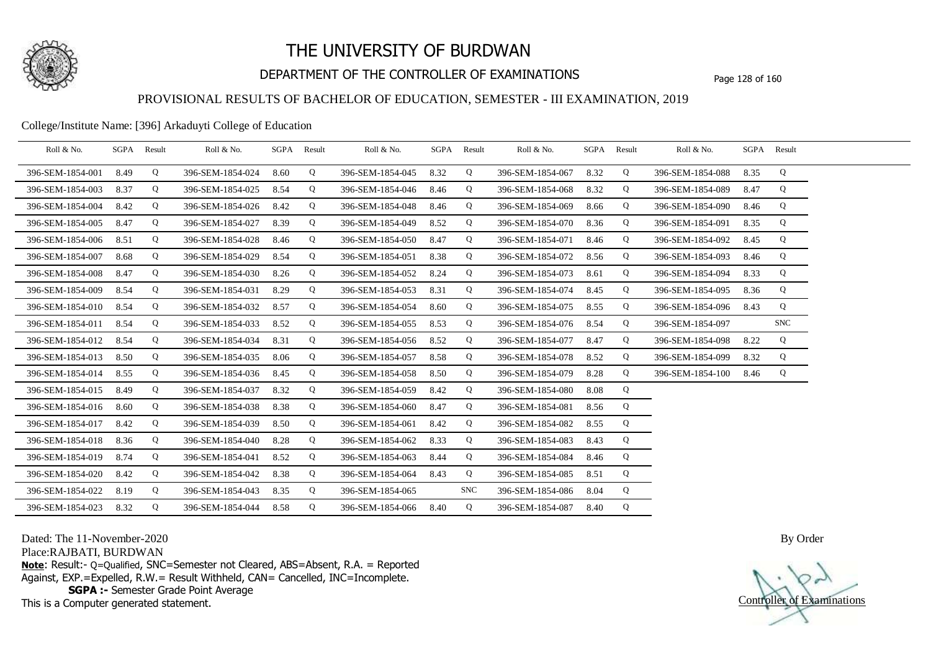

## DEPARTMENT OF THE CONTROLLER OF EXAMINATIONS Page 128 of 160

### PROVISIONAL RESULTS OF BACHELOR OF EDUCATION, SEMESTER - III EXAMINATION, 2019

#### College/Institute Name: [396] Arkaduyti College of Education

| Roll & No.       | SGPA | Result | Roll & No.       | SGPA | Result | Roll & No.       |      | SGPA Result | Roll & No.       | SGPA | Result | Roll & No.       |      | SGPA Result |  |
|------------------|------|--------|------------------|------|--------|------------------|------|-------------|------------------|------|--------|------------------|------|-------------|--|
| 396-SEM-1854-001 | 8.49 | Q      | 396-SEM-1854-024 | 8.60 | Q      | 396-SEM-1854-045 | 8.32 | Q           | 396-SEM-1854-067 | 8.32 | Q      | 396-SEM-1854-088 | 8.35 | Q           |  |
| 396-SEM-1854-003 | 8.37 | Q      | 396-SEM-1854-025 | 8.54 | Q      | 396-SEM-1854-046 | 8.46 | Q           | 396-SEM-1854-068 | 8.32 | Q      | 396-SEM-1854-089 | 8.47 | Q           |  |
| 396-SEM-1854-004 | 8.42 | Q      | 396-SEM-1854-026 | 8.42 | Q      | 396-SEM-1854-048 | 8.46 | Q           | 396-SEM-1854-069 | 8.66 | Q      | 396-SEM-1854-090 | 8.46 | Q           |  |
| 396-SEM-1854-005 | 8.47 | Q      | 396-SEM-1854-027 | 8.39 | Q      | 396-SEM-1854-049 | 8.52 | Q           | 396-SEM-1854-070 | 8.36 | Q      | 396-SEM-1854-091 | 8.35 | Q           |  |
| 396-SEM-1854-006 | 8.51 | Q      | 396-SEM-1854-028 | 8.46 | Q      | 396-SEM-1854-050 | 8.47 | Q           | 396-SEM-1854-071 | 8.46 | Q      | 396-SEM-1854-092 | 8.45 | Q           |  |
| 396-SEM-1854-007 | 8.68 | Q      | 396-SEM-1854-029 | 8.54 | Q      | 396-SEM-1854-051 | 8.38 | Q           | 396-SEM-1854-072 | 8.56 | Q      | 396-SEM-1854-093 | 8.46 | Q           |  |
| 396-SEM-1854-008 | 8.47 | Q      | 396-SEM-1854-030 | 8.26 | Q      | 396-SEM-1854-052 | 8.24 | Q           | 396-SEM-1854-073 | 8.61 | Q      | 396-SEM-1854-094 | 8.33 | Q           |  |
| 396-SEM-1854-009 | 8.54 | Q      | 396-SEM-1854-031 | 8.29 | Q      | 396-SEM-1854-053 | 8.31 | Q           | 396-SEM-1854-074 | 8.45 | Q      | 396-SEM-1854-095 | 8.36 | Q           |  |
| 396-SEM-1854-010 | 8.54 | Q      | 396-SEM-1854-032 | 8.57 | Q      | 396-SEM-1854-054 | 8.60 | Q           | 396-SEM-1854-075 | 8.55 | Q      | 396-SEM-1854-096 | 8.43 | Q           |  |
| 396-SEM-1854-011 | 8.54 | Q      | 396-SEM-1854-033 | 8.52 | Q      | 396-SEM-1854-055 | 8.53 | Q           | 396-SEM-1854-076 | 8.54 | Q      | 396-SEM-1854-097 |      | <b>SNC</b>  |  |
| 396-SEM-1854-012 | 8.54 | Q      | 396-SEM-1854-034 | 8.31 | Q      | 396-SEM-1854-056 | 8.52 | Q           | 396-SEM-1854-077 | 8.47 | Q      | 396-SEM-1854-098 | 8.22 | Q           |  |
| 396-SEM-1854-013 | 8.50 | Q      | 396-SEM-1854-035 | 8.06 | Q      | 396-SEM-1854-057 | 8.58 | Q           | 396-SEM-1854-078 | 8.52 | Q      | 396-SEM-1854-099 | 8.32 | Q           |  |
| 396-SEM-1854-014 | 8.55 | Q      | 396-SEM-1854-036 | 8.45 | Q      | 396-SEM-1854-058 | 8.50 | Q           | 396-SEM-1854-079 | 8.28 | Q      | 396-SEM-1854-100 | 8.46 | Q           |  |
| 396-SEM-1854-015 | 8.49 | Q      | 396-SEM-1854-037 | 8.32 | Q      | 396-SEM-1854-059 | 8.42 | Q           | 396-SEM-1854-080 | 8.08 | Q      |                  |      |             |  |
| 396-SEM-1854-016 | 8.60 | Q      | 396-SEM-1854-038 | 8.38 | Q      | 396-SEM-1854-060 | 8.47 | Q           | 396-SEM-1854-081 | 8.56 | Q      |                  |      |             |  |
| 396-SEM-1854-017 | 8.42 | Q      | 396-SEM-1854-039 | 8.50 | Q      | 396-SEM-1854-061 | 8.42 | Q           | 396-SEM-1854-082 | 8.55 | Q      |                  |      |             |  |
| 396-SEM-1854-018 | 8.36 | Q      | 396-SEM-1854-040 | 8.28 | Q      | 396-SEM-1854-062 | 8.33 | Q           | 396-SEM-1854-083 | 8.43 | Q      |                  |      |             |  |
| 396-SEM-1854-019 | 8.74 | Q      | 396-SEM-1854-041 | 8.52 | Q      | 396-SEM-1854-063 | 8.44 | Q           | 396-SEM-1854-084 | 8.46 | Q      |                  |      |             |  |
| 396-SEM-1854-020 | 8.42 | Q      | 396-SEM-1854-042 | 8.38 | Q      | 396-SEM-1854-064 | 8.43 | Q           | 396-SEM-1854-085 | 8.51 | Q      |                  |      |             |  |
| 396-SEM-1854-022 | 8.19 | Q      | 396-SEM-1854-043 | 8.35 | Q      | 396-SEM-1854-065 |      | <b>SNC</b>  | 396-SEM-1854-086 | 8.04 | Q      |                  |      |             |  |
| 396-SEM-1854-023 | 8.32 | Q      | 396-SEM-1854-044 | 8.58 | Q      | 396-SEM-1854-066 | 8.40 | Q           | 396-SEM-1854-087 | 8.40 | Q      |                  |      |             |  |

Dated: The 11-November-2020

Place:RAJBATI, BURDWAN

**Note**: Result:- Q=Qualified, SNC=Semester not Cleared, ABS=Absent, R.A. = Reported Against, EXP.=Expelled, R.W.= Result Withheld, CAN= Cancelled, INC=Incomplete. **SGPA :-** Semester Grade Point Average

This is a Computer generated statement.

Controller of Examinations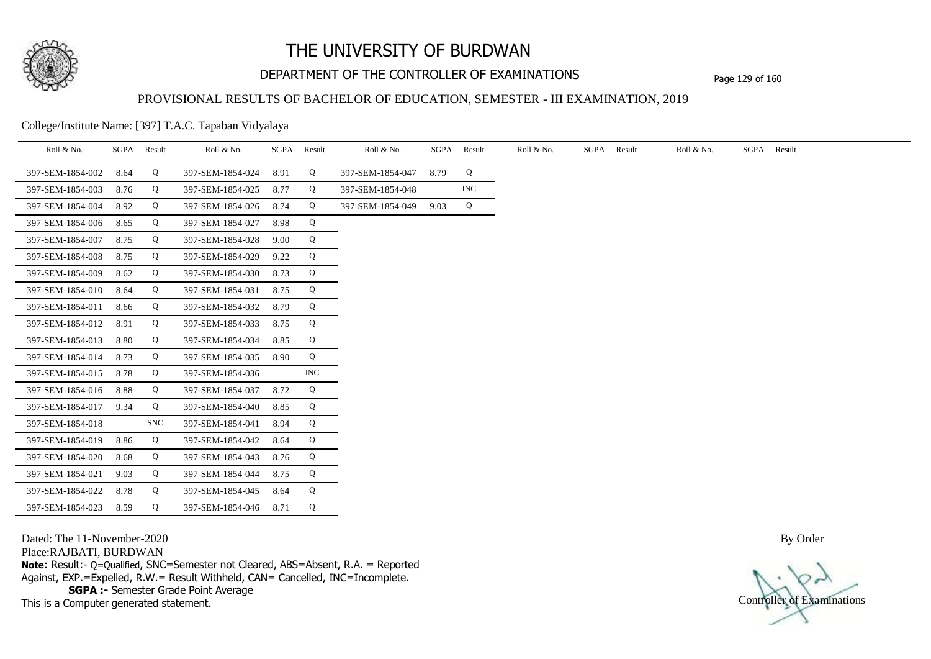

## DEPARTMENT OF THE CONTROLLER OF EXAMINATIONS Page 129 of 160

## PROVISIONAL RESULTS OF BACHELOR OF EDUCATION, SEMESTER - III EXAMINATION, 2019

College/Institute Name: [397] T.A.C. Tapaban Vidyalaya

| Roll & No.       | SGPA | Result     | Roll & No.       | SGPA | Result                    | Roll & No.       | SGPA | Result     | Roll & No. | SGPA Result | Roll & No. | SGPA Result |
|------------------|------|------------|------------------|------|---------------------------|------------------|------|------------|------------|-------------|------------|-------------|
| 397-SEM-1854-002 | 8.64 | Q          | 397-SEM-1854-024 | 8.91 | Q                         | 397-SEM-1854-047 | 8.79 | Q          |            |             |            |             |
| 397-SEM-1854-003 | 8.76 | Q          | 397-SEM-1854-025 | 8.77 | Q                         | 397-SEM-1854-048 |      | <b>INC</b> |            |             |            |             |
| 397-SEM-1854-004 | 8.92 | Q          | 397-SEM-1854-026 | 8.74 | Q                         | 397-SEM-1854-049 | 9.03 | Q          |            |             |            |             |
| 397-SEM-1854-006 | 8.65 | Q          | 397-SEM-1854-027 | 8.98 | Q                         |                  |      |            |            |             |            |             |
| 397-SEM-1854-007 | 8.75 | Q          | 397-SEM-1854-028 | 9.00 | Q                         |                  |      |            |            |             |            |             |
| 397-SEM-1854-008 | 8.75 | Q          | 397-SEM-1854-029 | 9.22 | Q                         |                  |      |            |            |             |            |             |
| 397-SEM-1854-009 | 8.62 | Q          | 397-SEM-1854-030 | 8.73 | Q                         |                  |      |            |            |             |            |             |
| 397-SEM-1854-010 | 8.64 | Q          | 397-SEM-1854-031 | 8.75 | Q                         |                  |      |            |            |             |            |             |
| 397-SEM-1854-011 | 8.66 | Q          | 397-SEM-1854-032 | 8.79 | Q                         |                  |      |            |            |             |            |             |
| 397-SEM-1854-012 | 8.91 | Q          | 397-SEM-1854-033 | 8.75 | Q                         |                  |      |            |            |             |            |             |
| 397-SEM-1854-013 | 8.80 | Q          | 397-SEM-1854-034 | 8.85 | Q                         |                  |      |            |            |             |            |             |
| 397-SEM-1854-014 | 8.73 | Q          | 397-SEM-1854-035 | 8.90 | Q                         |                  |      |            |            |             |            |             |
| 397-SEM-1854-015 | 8.78 | Q          | 397-SEM-1854-036 |      | $\ensuremath{\text{INC}}$ |                  |      |            |            |             |            |             |
| 397-SEM-1854-016 | 8.88 | Q          | 397-SEM-1854-037 | 8.72 | Q                         |                  |      |            |            |             |            |             |
| 397-SEM-1854-017 | 9.34 | Q          | 397-SEM-1854-040 | 8.85 | Q                         |                  |      |            |            |             |            |             |
| 397-SEM-1854-018 |      | <b>SNC</b> | 397-SEM-1854-041 | 8.94 | Q                         |                  |      |            |            |             |            |             |
| 397-SEM-1854-019 | 8.86 | Q          | 397-SEM-1854-042 | 8.64 | Q                         |                  |      |            |            |             |            |             |
| 397-SEM-1854-020 | 8.68 | Q          | 397-SEM-1854-043 | 8.76 | Q                         |                  |      |            |            |             |            |             |
| 397-SEM-1854-021 | 9.03 | Q          | 397-SEM-1854-044 | 8.75 | Q                         |                  |      |            |            |             |            |             |
| 397-SEM-1854-022 | 8.78 | Q          | 397-SEM-1854-045 | 8.64 | Q                         |                  |      |            |            |             |            |             |
| 397-SEM-1854-023 | 8.59 | Q          | 397-SEM-1854-046 | 8.71 | Q                         |                  |      |            |            |             |            |             |

Dated: The 11-November-2020

Place:RAJBATI, BURDWAN

**Note**: Result:- Q=Qualified, SNC=Semester not Cleared, ABS=Absent, R.A. = Reported Against, EXP.=Expelled, R.W.= Result Withheld, CAN= Cancelled, INC=Incomplete. **SGPA :-** Semester Grade Point Average

This is a Computer generated statement.

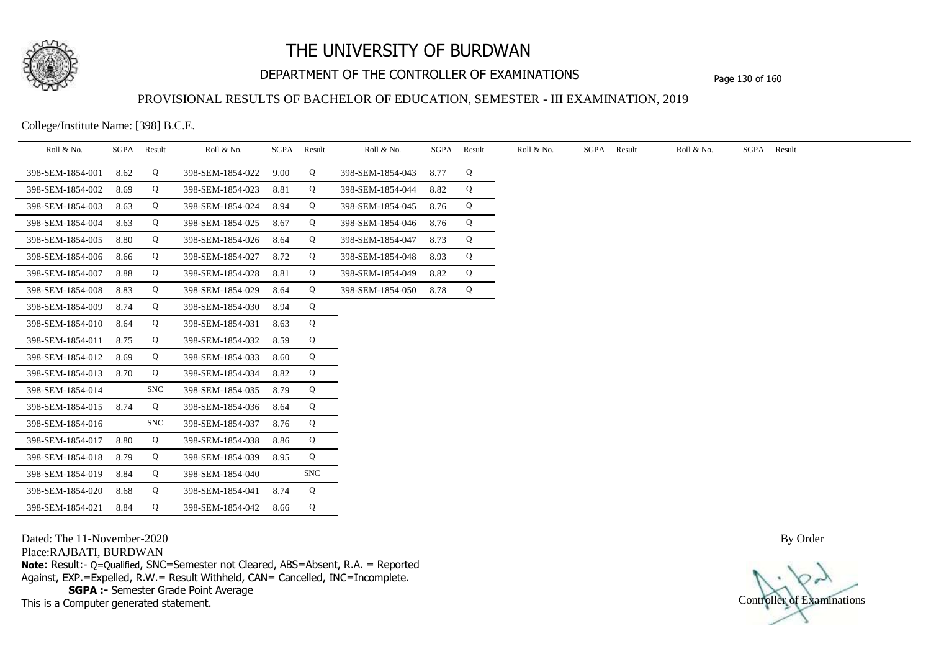

# DEPARTMENT OF THE CONTROLLER OF EXAMINATIONS Page 130 of 160

## PROVISIONAL RESULTS OF BACHELOR OF EDUCATION, SEMESTER - III EXAMINATION, 2019

College/Institute Name: [398] B.C.E.

| Roll & No.       | SGPA | Result     | Roll & No.       |      | SGPA Result | Roll & No.       | SGPA | Result | Roll & No. | SGPA Result | Roll & No. | SGPA Result |
|------------------|------|------------|------------------|------|-------------|------------------|------|--------|------------|-------------|------------|-------------|
| 398-SEM-1854-001 | 8.62 | Q          | 398-SEM-1854-022 | 9.00 | Q           | 398-SEM-1854-043 | 8.77 | Q      |            |             |            |             |
| 398-SEM-1854-002 | 8.69 | Q          | 398-SEM-1854-023 | 8.81 | Q           | 398-SEM-1854-044 | 8.82 | Q      |            |             |            |             |
| 398-SEM-1854-003 | 8.63 | Q          | 398-SEM-1854-024 | 8.94 | Q           | 398-SEM-1854-045 | 8.76 | Q      |            |             |            |             |
| 398-SEM-1854-004 | 8.63 | Q          | 398-SEM-1854-025 | 8.67 | Q           | 398-SEM-1854-046 | 8.76 | Q      |            |             |            |             |
| 398-SEM-1854-005 | 8.80 | Q          | 398-SEM-1854-026 | 8.64 | Q           | 398-SEM-1854-047 | 8.73 | Q      |            |             |            |             |
| 398-SEM-1854-006 | 8.66 | Q          | 398-SEM-1854-027 | 8.72 | Q           | 398-SEM-1854-048 | 8.93 | Q      |            |             |            |             |
| 398-SEM-1854-007 | 8.88 | Q          | 398-SEM-1854-028 | 8.81 | Q           | 398-SEM-1854-049 | 8.82 | Q      |            |             |            |             |
| 398-SEM-1854-008 | 8.83 | Q          | 398-SEM-1854-029 | 8.64 | Q           | 398-SEM-1854-050 | 8.78 | Q      |            |             |            |             |
| 398-SEM-1854-009 | 8.74 | Q          | 398-SEM-1854-030 | 8.94 | Q           |                  |      |        |            |             |            |             |
| 398-SEM-1854-010 | 8.64 | Q          | 398-SEM-1854-031 | 8.63 | Q           |                  |      |        |            |             |            |             |
| 398-SEM-1854-011 | 8.75 | Q          | 398-SEM-1854-032 | 8.59 | Q           |                  |      |        |            |             |            |             |
| 398-SEM-1854-012 | 8.69 | Q          | 398-SEM-1854-033 | 8.60 | Q           |                  |      |        |            |             |            |             |
| 398-SEM-1854-013 | 8.70 | Q          | 398-SEM-1854-034 | 8.82 | Q           |                  |      |        |            |             |            |             |
| 398-SEM-1854-014 |      | <b>SNC</b> | 398-SEM-1854-035 | 8.79 | Q           |                  |      |        |            |             |            |             |
| 398-SEM-1854-015 | 8.74 | Q          | 398-SEM-1854-036 | 8.64 | Q           |                  |      |        |            |             |            |             |
| 398-SEM-1854-016 |      | <b>SNC</b> | 398-SEM-1854-037 | 8.76 | Q           |                  |      |        |            |             |            |             |
| 398-SEM-1854-017 | 8.80 | Q          | 398-SEM-1854-038 | 8.86 | Q           |                  |      |        |            |             |            |             |
| 398-SEM-1854-018 | 8.79 | Q          | 398-SEM-1854-039 | 8.95 | Q           |                  |      |        |            |             |            |             |
| 398-SEM-1854-019 | 8.84 | Q          | 398-SEM-1854-040 |      | <b>SNC</b>  |                  |      |        |            |             |            |             |
| 398-SEM-1854-020 | 8.68 | Q          | 398-SEM-1854-041 | 8.74 | Q           |                  |      |        |            |             |            |             |
| 398-SEM-1854-021 | 8.84 | Q          | 398-SEM-1854-042 | 8.66 | Q           |                  |      |        |            |             |            |             |

Dated: The 11-November-2020

Place:RAJBATI, BURDWAN

**Note**: Result:- Q=Qualified, SNC=Semester not Cleared, ABS=Absent, R.A. = Reported Against, EXP.=Expelled, R.W.= Result Withheld, CAN= Cancelled, INC=Incomplete. **SGPA :-** Semester Grade Point Average

This is a Computer generated statement.